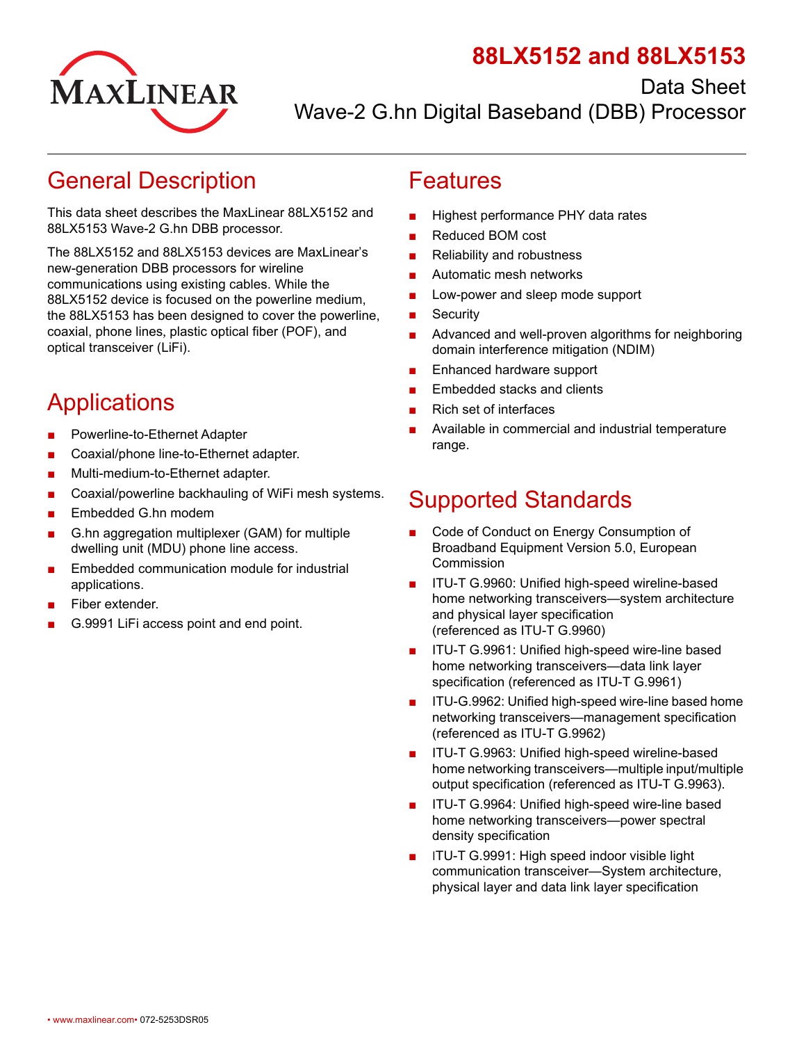

Data Sheet



Wave-2 G.hn Digital Baseband (DBB) Processor

## <span id="page-0-0"></span>General Description

This data sheet describes the MaxLinear 88LX5152 and 88LX5153 Wave-2 G.hn DBB processor.

The 88LX5152 and 88LX5153 devices are MaxLinear's new-generation DBB processors for wireline communications using existing cables. While the 88LX5152 device is focused on the powerline medium, the 88LX5153 has been designed to cover the powerline, coaxial, phone lines, plastic optical fiber (POF), and optical transceiver (LiFi).

# <span id="page-0-1"></span>Applications

- **■** Powerline-to-Ethernet Adapter
- **■** Coaxial/phone line-to-Ethernet adapter.
- **■** Multi-medium-to-Ethernet adapter.
- **■** Coaxial/powerline backhauling of WiFi mesh systems.
- **■** Embedded G.hn modem
- **■** G.hn aggregation multiplexer (GAM) for multiple dwelling unit (MDU) phone line access.
- **■** Embedded communication module for industrial applications.
- **■** Fiber extender.
- **■** G.9991 LiFi access point and end point.

### Features

- **■** Highest performance PHY data rates
- **■** Reduced BOM cost
- Reliability and robustness
- **■** Automatic mesh networks
- Low-power and sleep mode support
- **■** Security
- **■** Advanced and well-proven algorithms for neighboring domain interference mitigation (NDIM)
- **■** Enhanced hardware support
- **Embedded stacks and clients**
- **■** Rich set of interfaces
- **■** Available in commercial and industrial temperature range.

## <span id="page-0-2"></span>Supported Standards

- **■** Code of Conduct on Energy Consumption of Broadband Equipment Version 5.0, European Commission
- **■** ITU-T G.9960: Unified high-speed wireline-based home networking transceivers—system architecture and physical layer specification (referenced as ITU-T G.9960)
- **■** ITU-T G.9961: Unified high-speed wire-line based home networking transceivers—data link layer specification (referenced as ITU-T G.9961)
- **■** ITU-G.9962: Unified high-speed wire-line based home networking transceivers—management specification (referenced as ITU-T G.9962)
- **■** ITU-T G.9963: Unified high-speed wireline-based home networking transceivers—multiple input/multiple output specification (referenced as ITU-T G.9963).
- ITU-T G.9964: Unified high-speed wire-line based home networking transceivers—power spectral density specification
- ITU-T G.9991: High speed indoor visible light communication transceiver—System architecture, physical layer and data link layer specification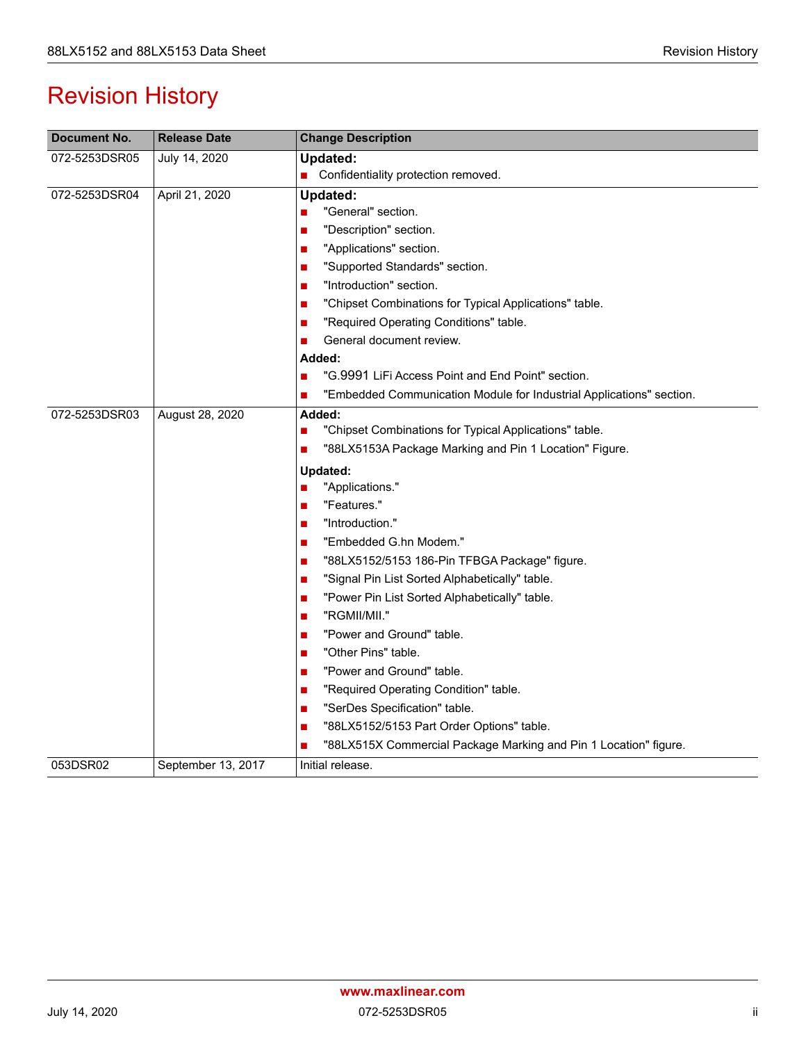# Revision History

| Document No.  | <b>Release Date</b> | <b>Change Description</b>                                                                                                  |
|---------------|---------------------|----------------------------------------------------------------------------------------------------------------------------|
| 072-5253DSR05 | July 14, 2020       | <b>Updated:</b>                                                                                                            |
|               |                     | Confidentiality protection removed.                                                                                        |
| 072-5253DSR04 | April 21, 2020      | <b>Updated:</b>                                                                                                            |
|               |                     | "General" section.                                                                                                         |
|               |                     | "Description" section.                                                                                                     |
|               |                     | "Applications" section.<br>$\blacksquare$                                                                                  |
|               |                     | "Supported Standards" section.<br>■                                                                                        |
|               |                     | "Introduction" section.<br>H                                                                                               |
|               |                     | "Chipset Combinations for Typical Applications" table.<br>$\blacksquare$                                                   |
|               |                     | "Required Operating Conditions" table.<br>$\blacksquare$                                                                   |
|               |                     | General document review.                                                                                                   |
|               |                     | Added:                                                                                                                     |
|               |                     | "G.9991 LiFi Access Point and End Point" section.                                                                          |
|               |                     | "Embedded Communication Module for Industrial Applications" section.<br>■                                                  |
| 072-5253DSR03 | August 28, 2020     | Added:<br>"Chipset Combinations for Typical Applications" table.<br>"88LX5153A Package Marking and Pin 1 Location" Figure. |
|               |                     | Updated:                                                                                                                   |
|               |                     | "Applications."                                                                                                            |
|               |                     | "Features."<br>П                                                                                                           |
|               |                     | "Introduction."<br>×                                                                                                       |
|               |                     | "Embedded G.hn Modem."<br>ш                                                                                                |
|               |                     | "88LX5152/5153 186-Pin TFBGA Package" figure.<br>$\blacksquare$                                                            |
|               |                     | "Signal Pin List Sorted Alphabetically" table.<br>■                                                                        |
|               |                     | "Power Pin List Sorted Alphabetically" table.<br>$\blacksquare$                                                            |
|               |                     | "RGMII/MII."<br>$\blacksquare$                                                                                             |
|               |                     | "Power and Ground" table.                                                                                                  |
|               |                     | "Other Pins" table.                                                                                                        |
|               |                     | "Power and Ground" table.<br>H                                                                                             |
|               |                     | "Required Operating Condition" table.                                                                                      |
|               |                     | "SerDes Specification" table.<br>$\blacksquare$                                                                            |
|               |                     | "88LX5152/5153 Part Order Options" table.                                                                                  |
|               |                     | "88LX515X Commercial Package Marking and Pin 1 Location" figure.                                                           |
| 053DSR02      | September 13, 2017  | Initial release.                                                                                                           |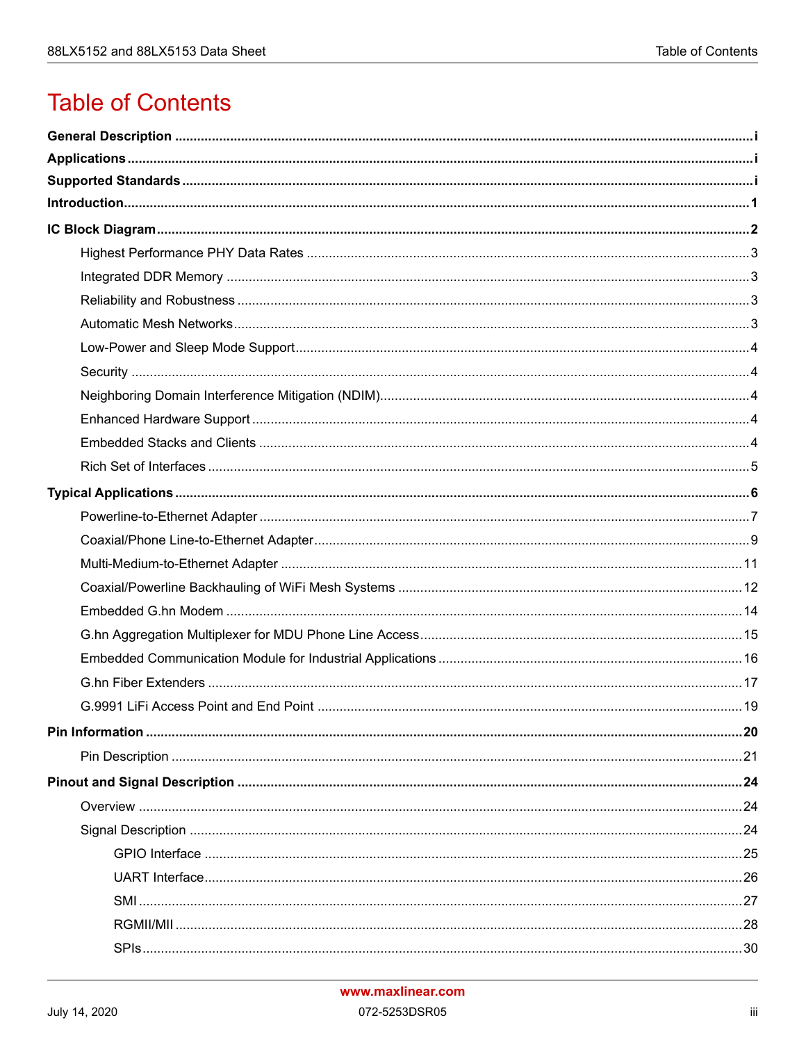# **Table of Contents**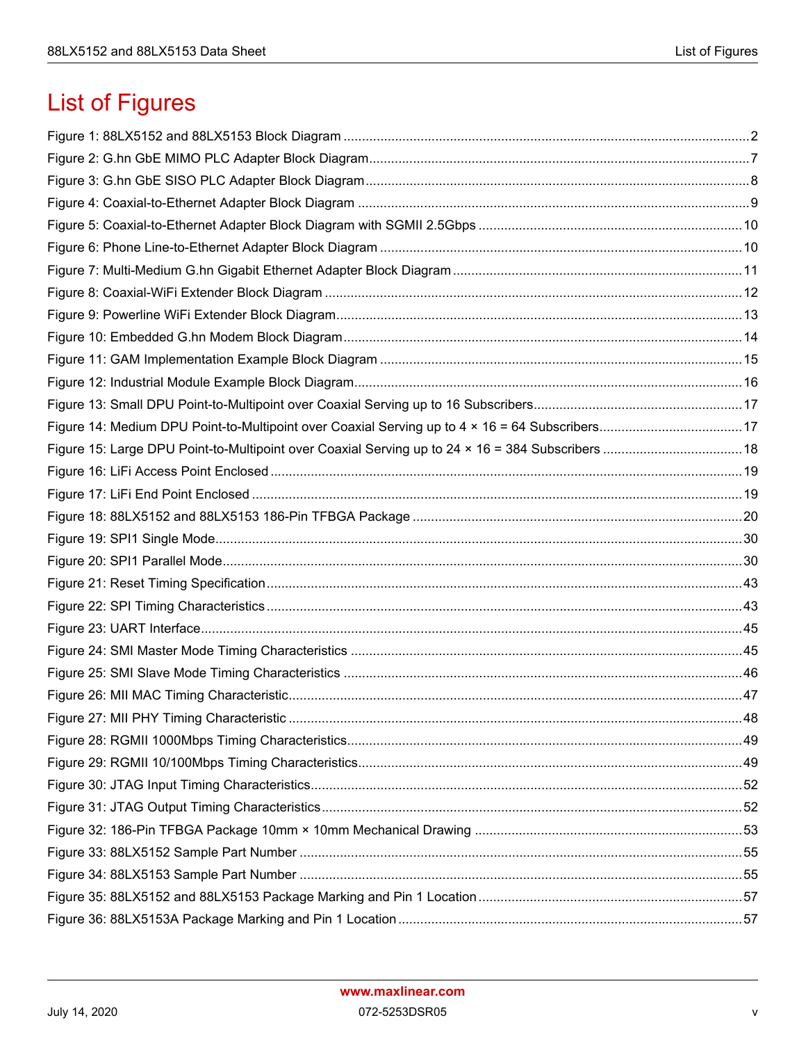# List of Figures

| . 48 |
|------|
|      |
|      |
|      |
|      |
|      |
|      |
|      |
|      |
|      |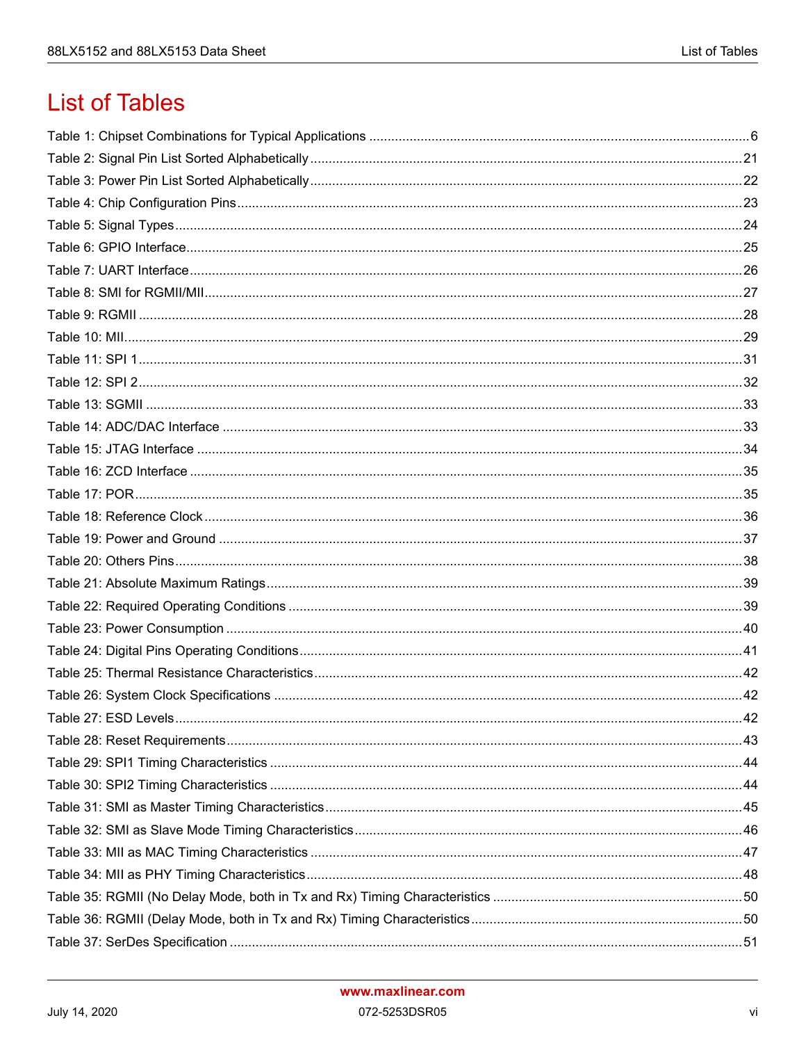# **List of Tables**

| Table $27 \cdot$ FSD Levels | 42 |
|-----------------------------|----|
|                             |    |
|                             |    |
|                             |    |
|                             |    |
|                             |    |
|                             |    |
|                             |    |
|                             |    |
|                             |    |
|                             |    |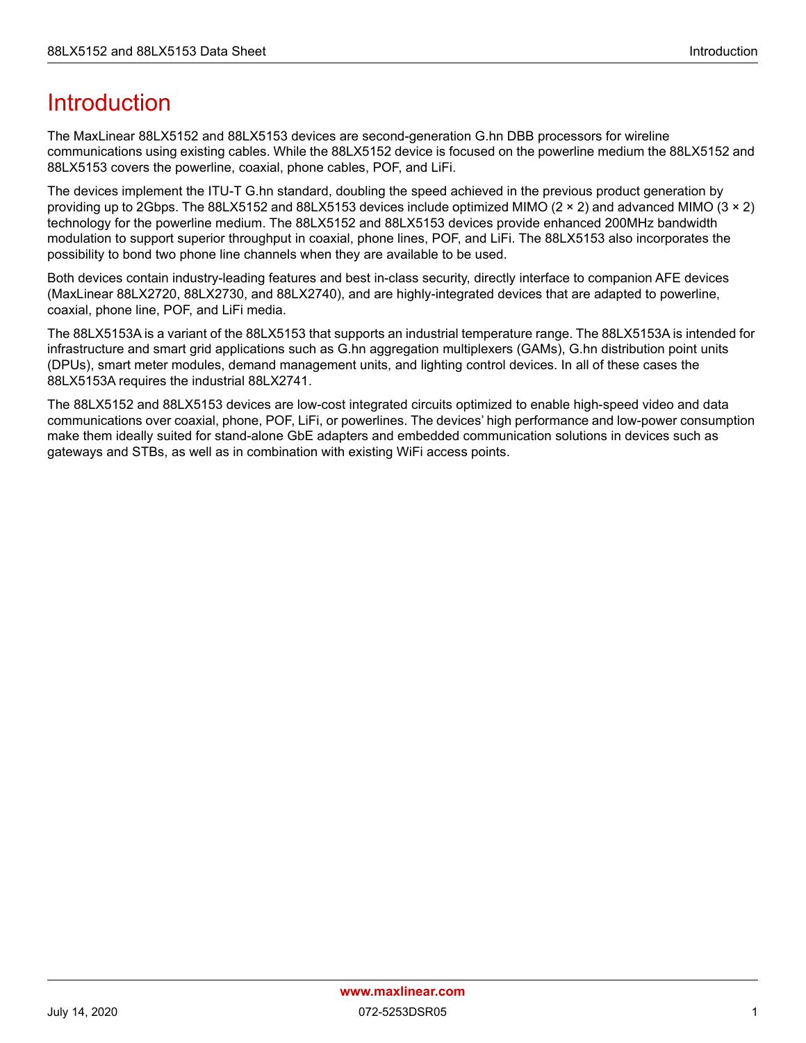# <span id="page-7-0"></span>Introduction

The MaxLinear 88LX5152 and 88LX5153 devices are second-generation G.hn DBB processors for wireline communications using existing cables. While the 88LX5152 device is focused on the powerline medium the 88LX5152 and 88LX5153 covers the powerline, coaxial, phone cables, POF, and LiFi.

The devices implement the ITU-T G.hn standard, doubling the speed achieved in the previous product generation by providing up to 2Gbps. The 88LX5152 and 88LX5153 devices include optimized MIMO (2 × 2) and advanced MIMO (3 × 2) technology for the powerline medium. The 88LX5152 and 88LX5153 devices provide enhanced 200MHz bandwidth modulation to support superior throughput in coaxial, phone lines, POF, and LiFi. The 88LX5153 also incorporates the possibility to bond two phone line channels when they are available to be used.

Both devices contain industry-leading features and best in-class security, directly interface to companion AFE devices (MaxLinear 88LX2720, 88LX2730, and 88LX2740), and are highly-integrated devices that are adapted to powerline, coaxial, phone line, POF, and LiFi media.

The 88LX5153A is a variant of the 88LX5153 that supports an industrial temperature range. The 88LX5153A is intended for infrastructure and smart grid applications such as G.hn aggregation multiplexers (GAMs), G.hn distribution point units (DPUs), smart meter modules, demand management units, and lighting control devices. In all of these cases the 88LX5153A requires the industrial 88LX2741.

The 88LX5152 and 88LX5153 devices are low-cost integrated circuits optimized to enable high-speed video and data communications over coaxial, phone, POF, LiFi, or powerlines. The devices' high performance and low-power consumption make them ideally suited for stand-alone GbE adapters and embedded communication solutions in devices such as gateways and STBs, as well as in combination with existing WiFi access points.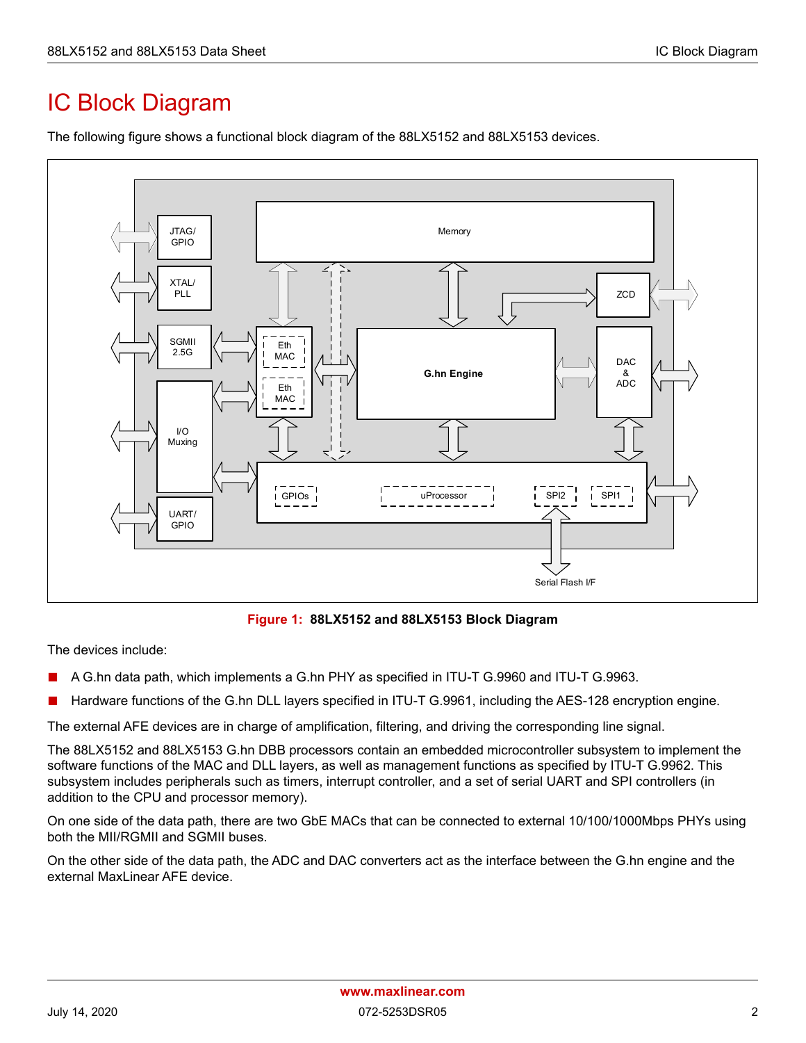# <span id="page-8-0"></span>IC Block Diagram

The following figure shows a functional block diagram of the 88LX5152 and 88LX5153 devices.



**Figure 1: 88LX5152 and 88LX5153 Block Diagram**

<span id="page-8-1"></span>The devices include:

- A G.hn data path, which implements a G.hn PHY as specified in ITU-T G.9960 and ITU-T G.9963.
- Hardware functions of the G.hn DLL layers specified in ITU-T G.9961, including the AES-128 encryption engine.

The external AFE devices are in charge of amplification, filtering, and driving the corresponding line signal.

The 88LX5152 and 88LX5153 G.hn DBB processors contain an embedded microcontroller subsystem to implement the software functions of the MAC and DLL layers, as well as management functions as specified by ITU-T G.9962. This subsystem includes peripherals such as timers, interrupt controller, and a set of serial UART and SPI controllers (in addition to the CPU and processor memory).

On one side of the data path, there are two GbE MACs that can be connected to external 10/100/1000Mbps PHYs using both the MII/RGMII and SGMII buses.

On the other side of the data path, the ADC and DAC converters act as the interface between the G.hn engine and the external MaxLinear AFE device.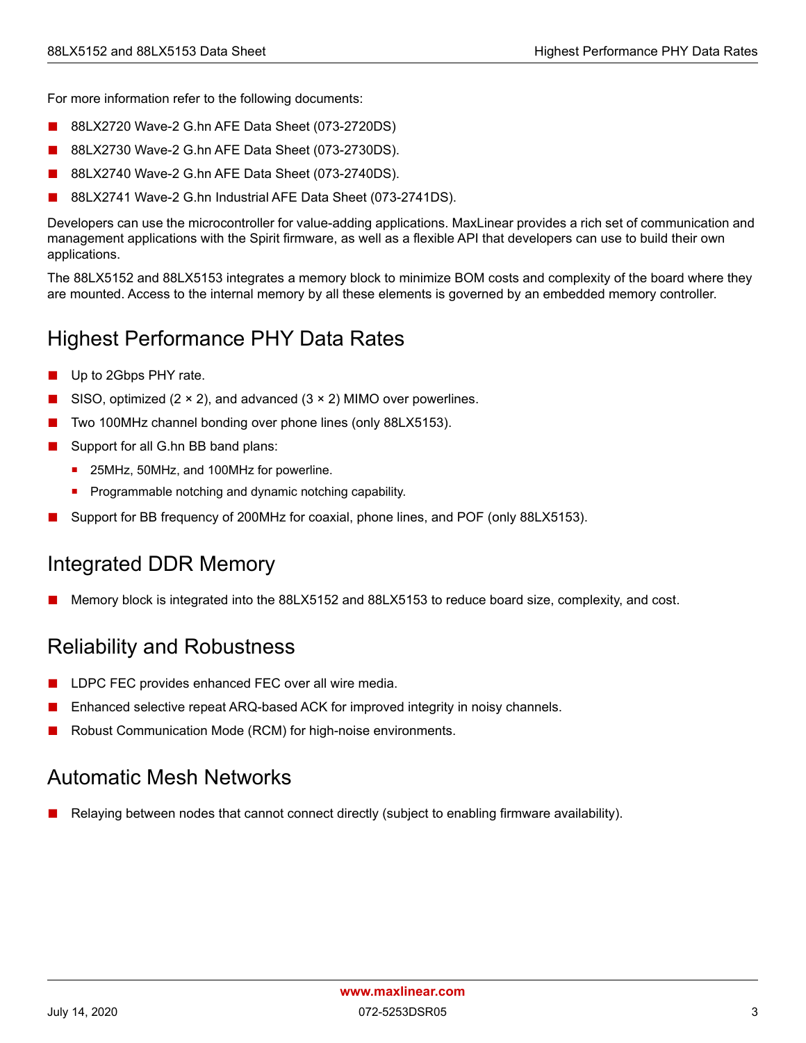For more information refer to the following documents:

- 88LX2720 Wave-2 G.hn AFE Data Sheet (073-2720DS)
- 88LX2730 Wave-2 G.hn AFE Data Sheet (073-2730DS).
- 88LX2740 Wave-2 G.hn AFE Data Sheet (073-2740DS).
- 88LX2741 Wave-2 G.hn Industrial AFE Data Sheet (073-2741DS).

Developers can use the microcontroller for value-adding applications. MaxLinear provides a rich set of communication and management applications with the Spirit firmware, as well as a flexible API that developers can use to build their own applications.

The 88LX5152 and 88LX5153 integrates a memory block to minimize BOM costs and complexity of the board where they are mounted. Access to the internal memory by all these elements is governed by an embedded memory controller.

## <span id="page-9-0"></span>Highest Performance PHY Data Rates

- Up to 2Gbps PHY rate.
- SISO, optimized  $(2 \times 2)$ , and advanced  $(3 \times 2)$  MIMO over powerlines.
- Two 100MHz channel bonding over phone lines (only 88LX5153).
- Support for all G.hn BB band plans:
	- 25MHz, 50MHz, and 100MHz for powerline.
	- Programmable notching and dynamic notching capability.
- Support for BB frequency of 200MHz for coaxial, phone lines, and POF (only 88LX5153).

### <span id="page-9-1"></span>Integrated DDR Memory

Memory block is integrated into the 88LX5152 and 88LX5153 to reduce board size, complexity, and cost.

### <span id="page-9-2"></span>Reliability and Robustness

- LDPC FEC provides enhanced FEC over all wire media.
- Enhanced selective repeat ARQ-based ACK for improved integrity in noisy channels.
- Robust Communication Mode (RCM) for high-noise environments.

### <span id="page-9-3"></span>Automatic Mesh Networks

Relaying between nodes that cannot connect directly (subject to enabling firmware availability).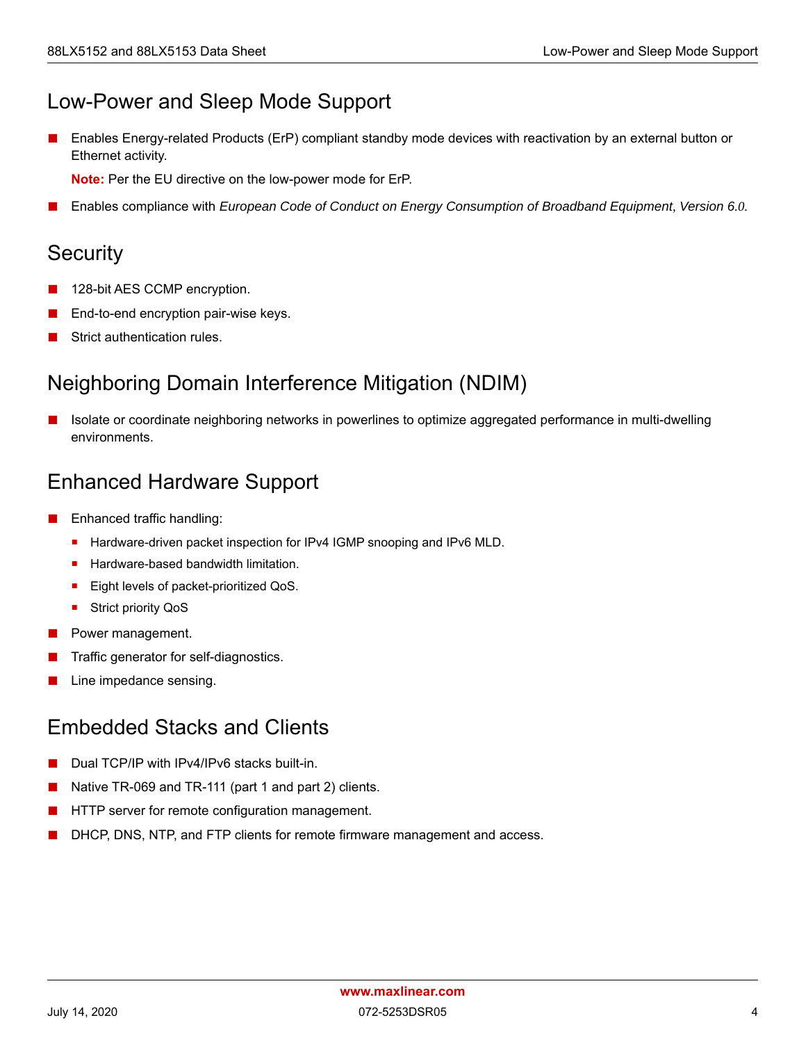## <span id="page-10-0"></span>Low-Power and Sleep Mode Support

Enables Energy-related Products (ErP) compliant standby mode devices with reactivation by an external button or Ethernet activity.

**Note:** Per the EU directive on the low-power mode for ErP.

■ Enables compliance with *European Code of Conduct on Energy Consumption of Broadband Equipment, Version 6.0.*

## <span id="page-10-1"></span>**Security**

- 128-bit AES CCMP encryption.
- End-to-end encryption pair-wise keys.
- Strict authentication rules.

## <span id="page-10-2"></span>Neighboring Domain Interference Mitigation (NDIM)

Isolate or coordinate neighboring networks in powerlines to optimize aggregated performance in multi-dwelling environments.

## <span id="page-10-3"></span>Enhanced Hardware Support

- Enhanced traffic handling:
	- Hardware-driven packet inspection for IPv4 IGMP snooping and IPv6 MLD.
	- Hardware-based bandwidth limitation.
	- Eight levels of packet-prioritized QoS.
	- Strict priority QoS
- Power management.
- Traffic generator for self-diagnostics.
- Line impedance sensing.

## <span id="page-10-4"></span>Embedded Stacks and Clients

- Dual TCP/IP with IPv4/IPv6 stacks built-in.
- Native TR-069 and TR-111 (part 1 and part 2) clients.
- HTTP server for remote configuration management.
- DHCP, DNS, NTP, and FTP clients for remote firmware management and access.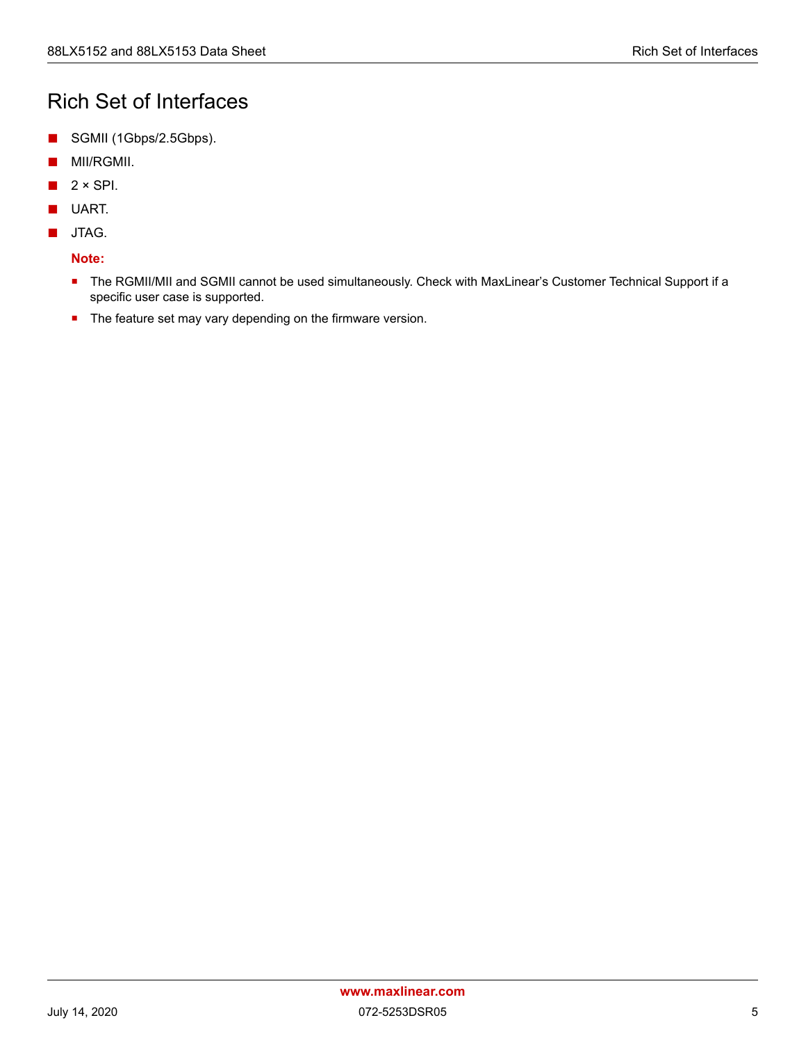## <span id="page-11-0"></span>Rich Set of Interfaces

- SGMII (1Gbps/2.5Gbps).
- MII/RGMII.
- $2 \times$  SPI.
- UART.
- JTAG.

#### **Note:**

- **The RGMII/MII and SGMII cannot be used simultaneously. Check with MaxLinear's Customer Technical Support if a** specific user case is supported.
- **The feature set may vary depending on the firmware version.**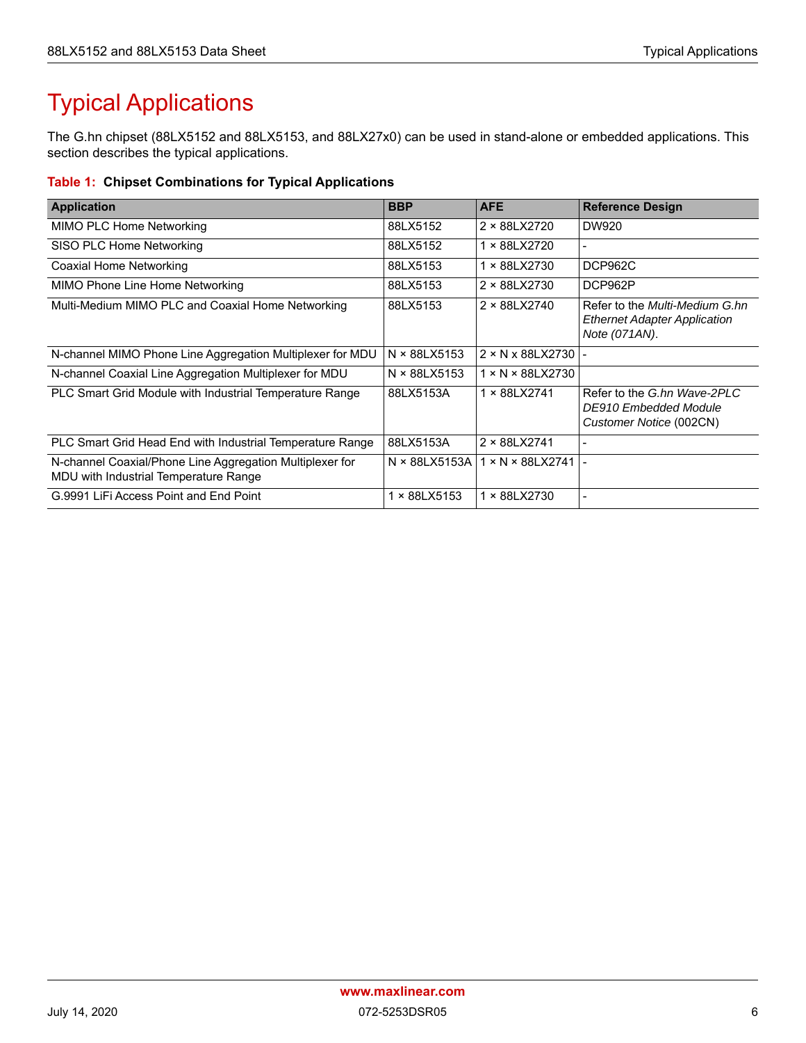# <span id="page-12-0"></span>Typical Applications

The G.hn chipset (88LX5152 and 88LX5153, and 88LX27x0) can be used in stand-alone or embedded applications. This section describes the typical applications.

#### <span id="page-12-1"></span>**Table 1: Chipset Combinations for Typical Applications**

| <b>Application</b>                                                                                | <b>BBP</b>    | <b>AFE</b>                        | <b>Reference Design</b>                                                                |
|---------------------------------------------------------------------------------------------------|---------------|-----------------------------------|----------------------------------------------------------------------------------------|
| MIMO PLC Home Networking                                                                          | 88LX5152      | 2 × 88LX2720                      | DW920                                                                                  |
| SISO PLC Home Networking                                                                          | 88LX5152      | 1 × 88LX2720                      |                                                                                        |
| Coaxial Home Networking                                                                           | 88LX5153      | 1 × 88LX2730                      | DCP962C                                                                                |
| MIMO Phone Line Home Networking                                                                   | 88LX5153      | 2 × 88LX2730                      | DCP962P                                                                                |
| Multi-Medium MIMO PLC and Coaxial Home Networking                                                 | 88LX5153      | 2 × 88LX2740                      | Refer to the Multi-Medium G.hn<br><b>Ethernet Adapter Application</b><br>Note (071AN). |
| N-channel MIMO Phone Line Aggregation Multiplexer for MDU                                         | N × 88LX5153  | $2 \times N \times 88$ LX2730   - |                                                                                        |
| N-channel Coaxial Line Aggregation Multiplexer for MDU                                            | N × 88LX5153  | $1 \times N \times 88$ LX2730     |                                                                                        |
| PLC Smart Grid Module with Industrial Temperature Range                                           | 88LX5153A     | 1 × 88LX2741                      | Refer to the G.hn Wave-2PLC<br>DE910 Embedded Module<br>Customer Notice (002CN)        |
| PLC Smart Grid Head End with Industrial Temperature Range                                         | 88LX5153A     | 2 × 88LX2741                      |                                                                                        |
| N-channel Coaxial/Phone Line Aggregation Multiplexer for<br>MDU with Industrial Temperature Range | N × 88LX5153A | $1 \times N \times 88$ LX2741   - |                                                                                        |
| G.9991 LiFi Access Point and End Point                                                            | × 88LX5153    | 1 × 88LX2730                      |                                                                                        |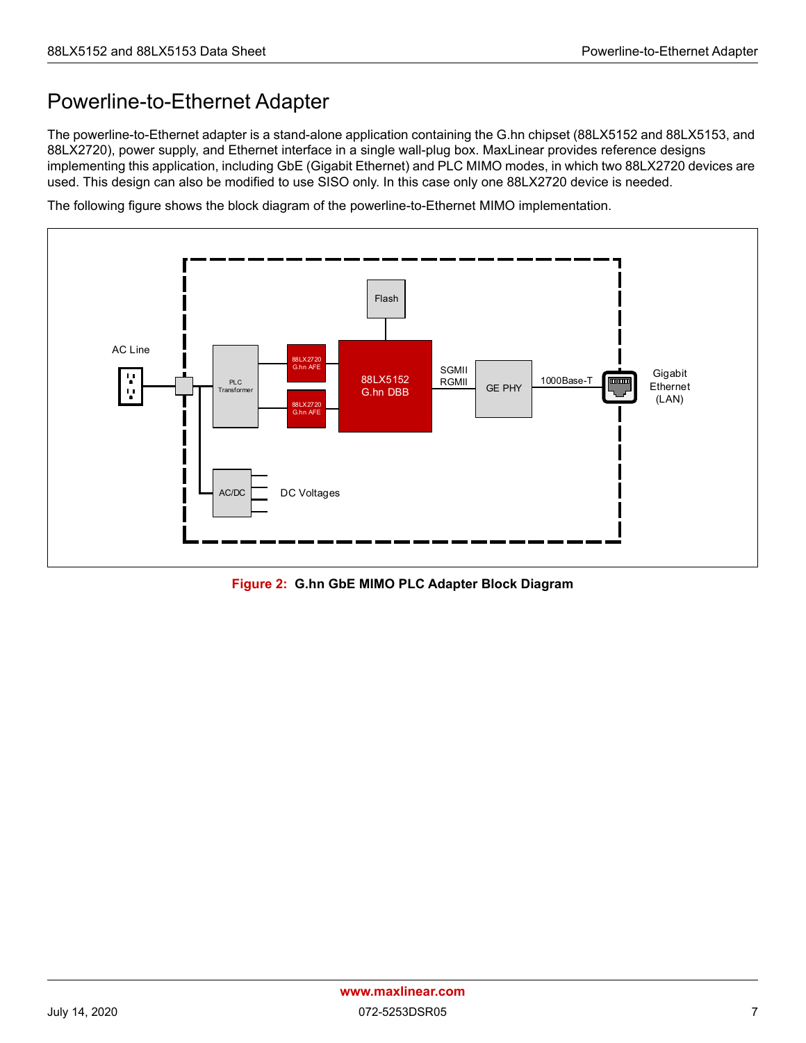## <span id="page-13-0"></span>Powerline-to-Ethernet Adapter

The powerline-to-Ethernet adapter is a stand-alone application containing the G.hn chipset (88LX5152 and 88LX5153, and 88LX2720), power supply, and Ethernet interface in a single wall-plug box. MaxLinear provides reference designs implementing this application, including GbE (Gigabit Ethernet) and PLC MIMO modes, in which two 88LX2720 devices are used. This design can also be modified to use SISO only. In this case only one 88LX2720 device is needed.

The following figure shows the block diagram of the powerline-to-Ethernet MIMO implementation.



<span id="page-13-1"></span>**Figure 2: G.hn GbE MIMO PLC Adapter Block Diagram**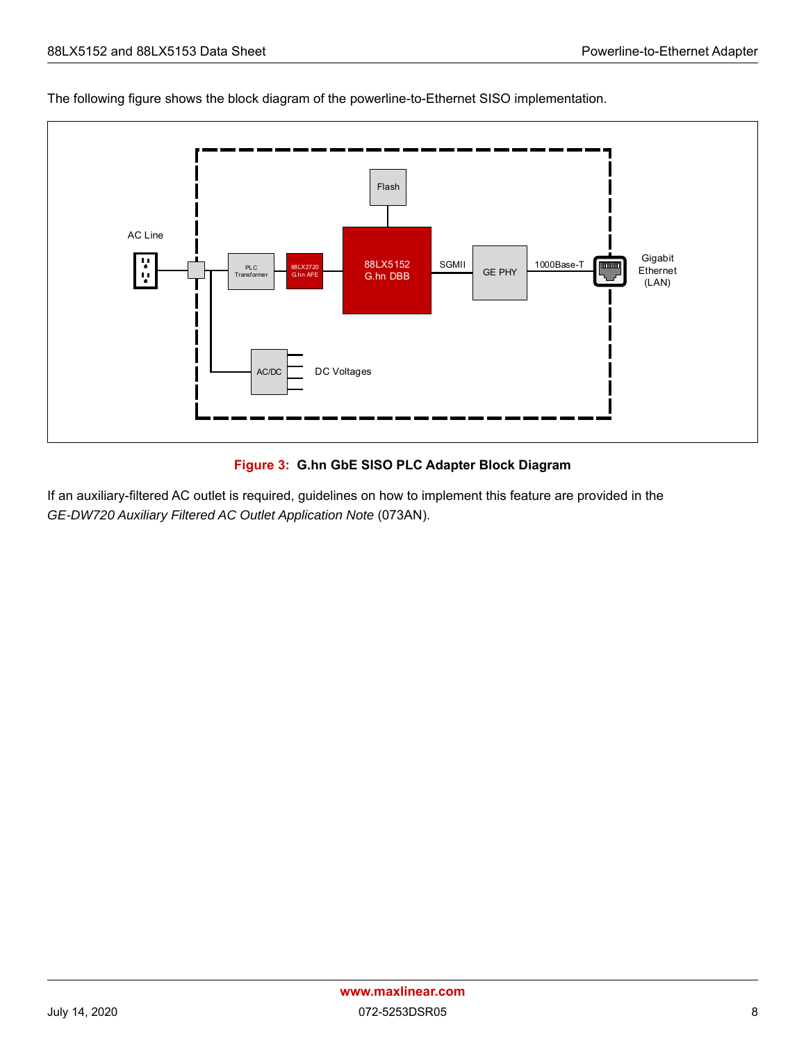The following figure shows the block diagram of the powerline-to-Ethernet SISO implementation.



#### **Figure 3: G.hn GbE SISO PLC Adapter Block Diagram**

<span id="page-14-0"></span>If an auxiliary-filtered AC outlet is required, guidelines on how to implement this feature are provided in the *GE-DW720 Auxiliary Filtered AC Outlet Application Note* (073AN).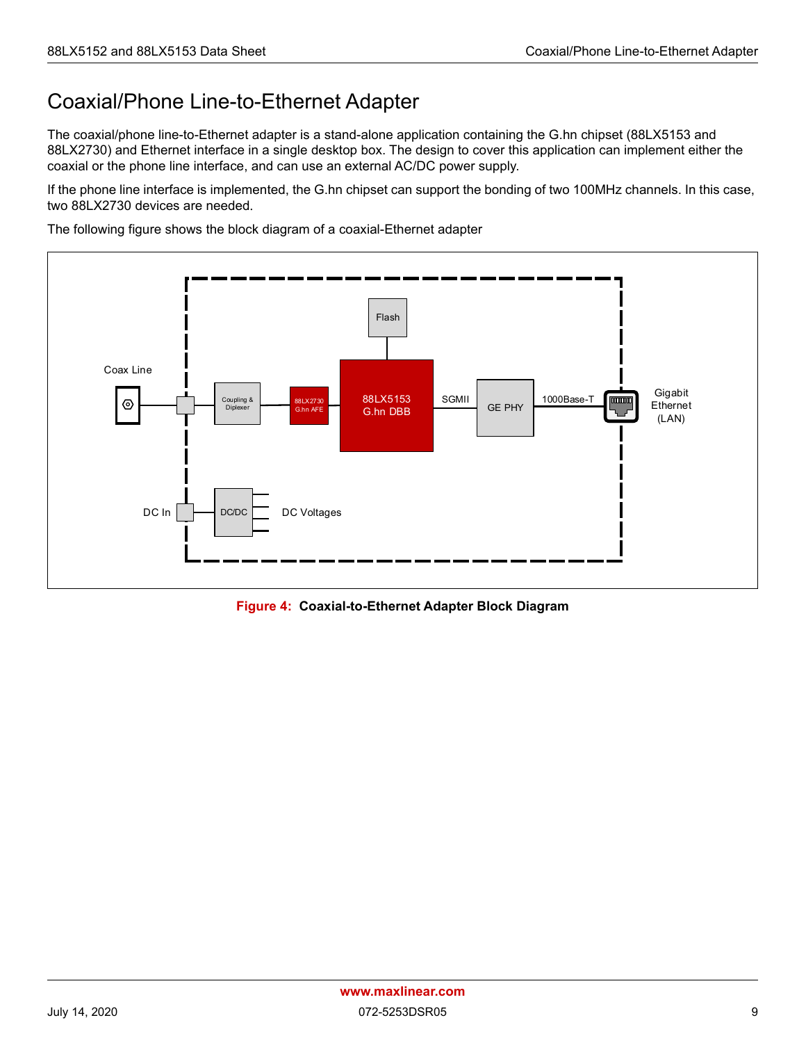## <span id="page-15-0"></span>Coaxial/Phone Line-to-Ethernet Adapter

The coaxial/phone line-to-Ethernet adapter is a stand-alone application containing the G.hn chipset (88LX5153 and 88LX2730) and Ethernet interface in a single desktop box. The design to cover this application can implement either the coaxial or the phone line interface, and can use an external AC/DC power supply.

If the phone line interface is implemented, the G.hn chipset can support the bonding of two 100MHz channels. In this case, two 88LX2730 devices are needed.

The following figure shows the block diagram of a coaxial-Ethernet adapter



<span id="page-15-1"></span>**Figure 4: Coaxial-to-Ethernet Adapter Block Diagram**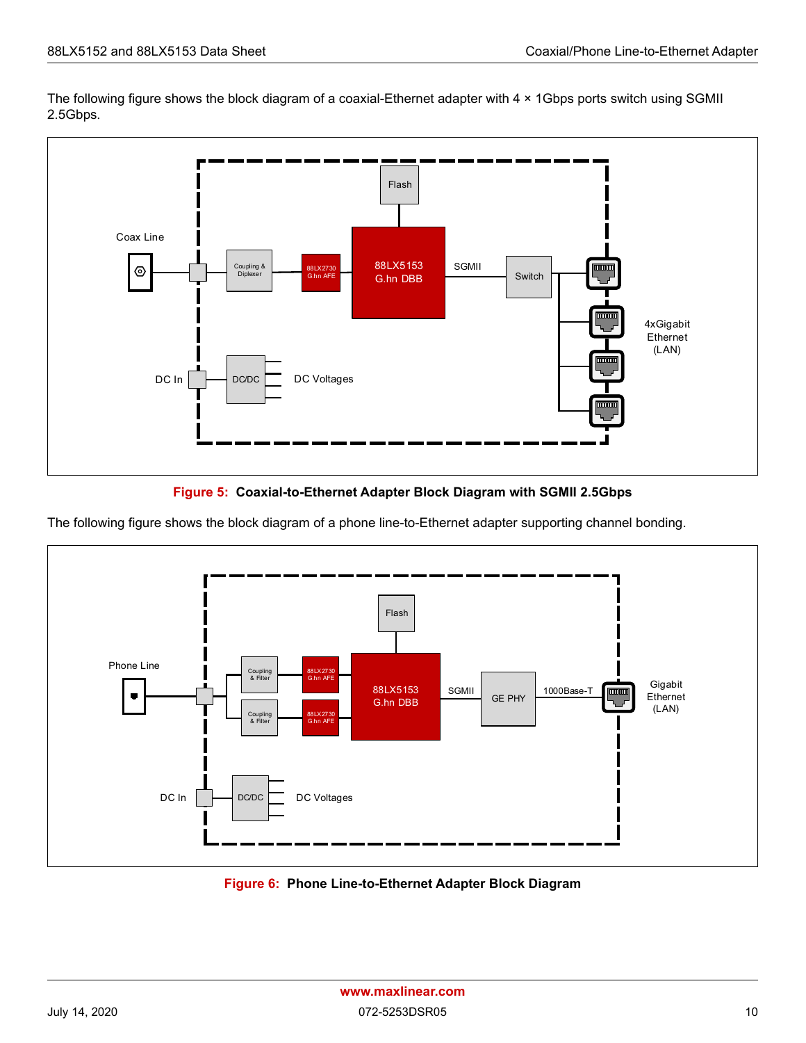The following figure shows the block diagram of a coaxial-Ethernet adapter with 4 × 1Gbps ports switch using SGMII 2.5Gbps.





<span id="page-16-0"></span>The following figure shows the block diagram of a phone line-to-Ethernet adapter supporting channel bonding.



<span id="page-16-1"></span>**Figure 6: Phone Line-to-Ethernet Adapter Block Diagram**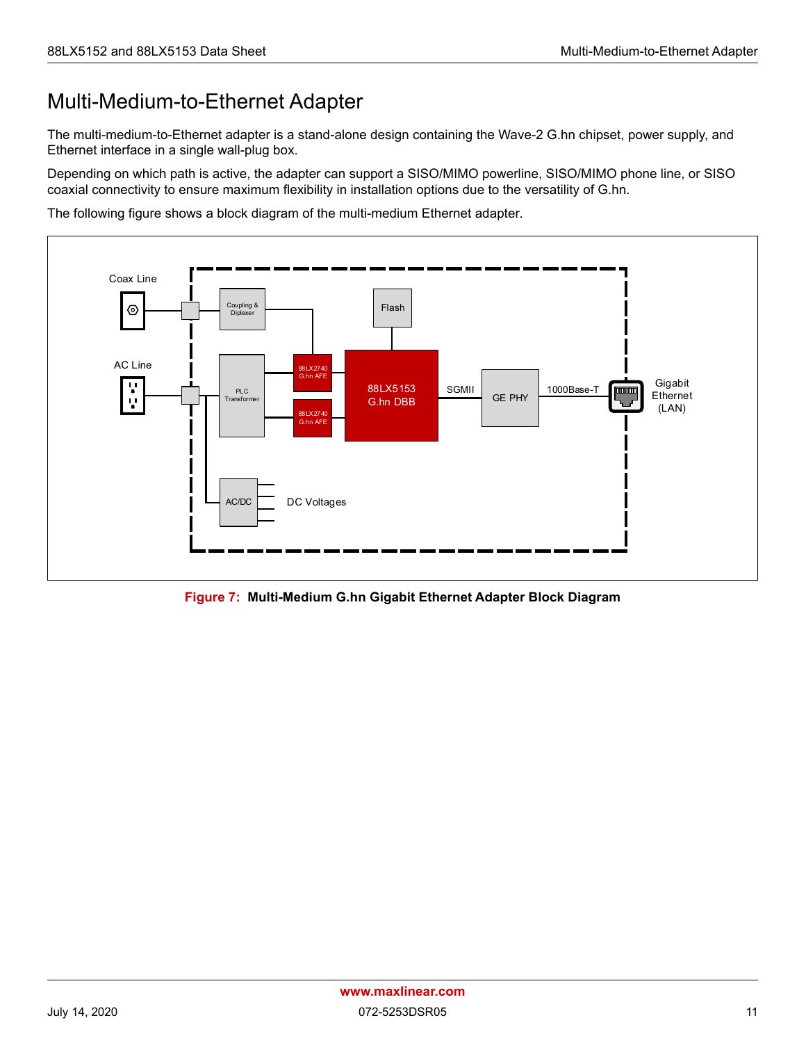## <span id="page-17-0"></span>Multi-Medium-to-Ethernet Adapter

The multi-medium-to-Ethernet adapter is a stand-alone design containing the Wave-2 G.hn chipset, power supply, and Ethernet interface in a single wall-plug box.

Depending on which path is active, the adapter can support a SISO/MIMO powerline, SISO/MIMO phone line, or SISO coaxial connectivity to ensure maximum flexibility in installation options due to the versatility of G.hn.

The following figure shows a block diagram of the multi-medium Ethernet adapter.



<span id="page-17-1"></span>**Figure 7: Multi-Medium G.hn Gigabit Ethernet Adapter Block Diagram**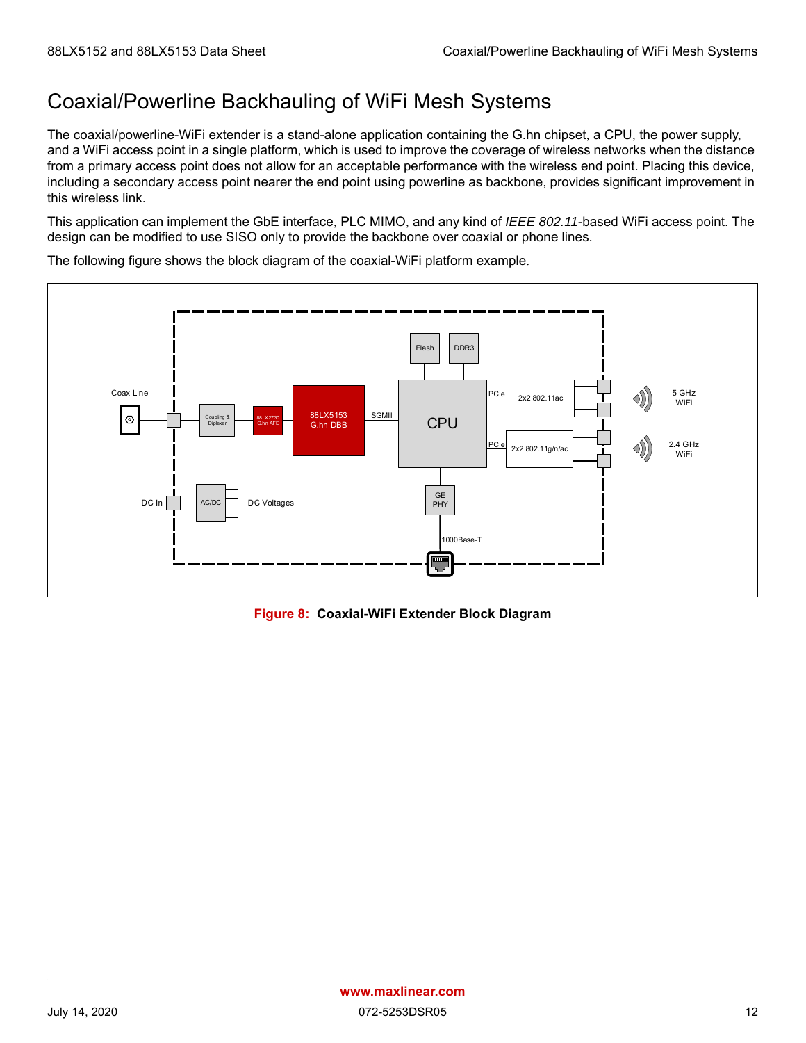## <span id="page-18-0"></span>Coaxial/Powerline Backhauling of WiFi Mesh Systems

The coaxial/powerline-WiFi extender is a stand-alone application containing the G.hn chipset, a CPU, the power supply, and a WiFi access point in a single platform, which is used to improve the coverage of wireless networks when the distance from a primary access point does not allow for an acceptable performance with the wireless end point. Placing this device, including a secondary access point nearer the end point using powerline as backbone, provides significant improvement in this wireless link.

This application can implement the GbE interface, PLC MIMO, and any kind of *IEEE 802.11*-based WiFi access point. The design can be modified to use SISO only to provide the backbone over coaxial or phone lines.



The following figure shows the block diagram of the coaxial-WiFi platform example.

<span id="page-18-1"></span>**Figure 8: Coaxial-WiFi Extender Block Diagram**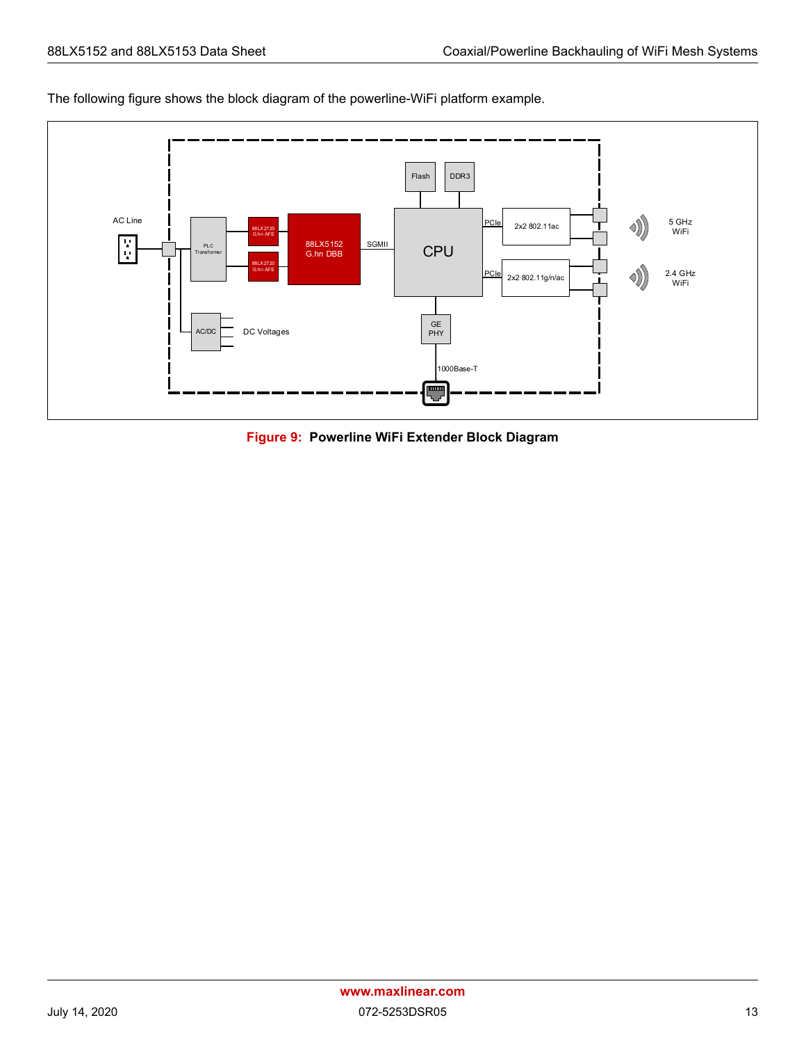



<span id="page-19-0"></span>**Figure 9: Powerline WiFi Extender Block Diagram**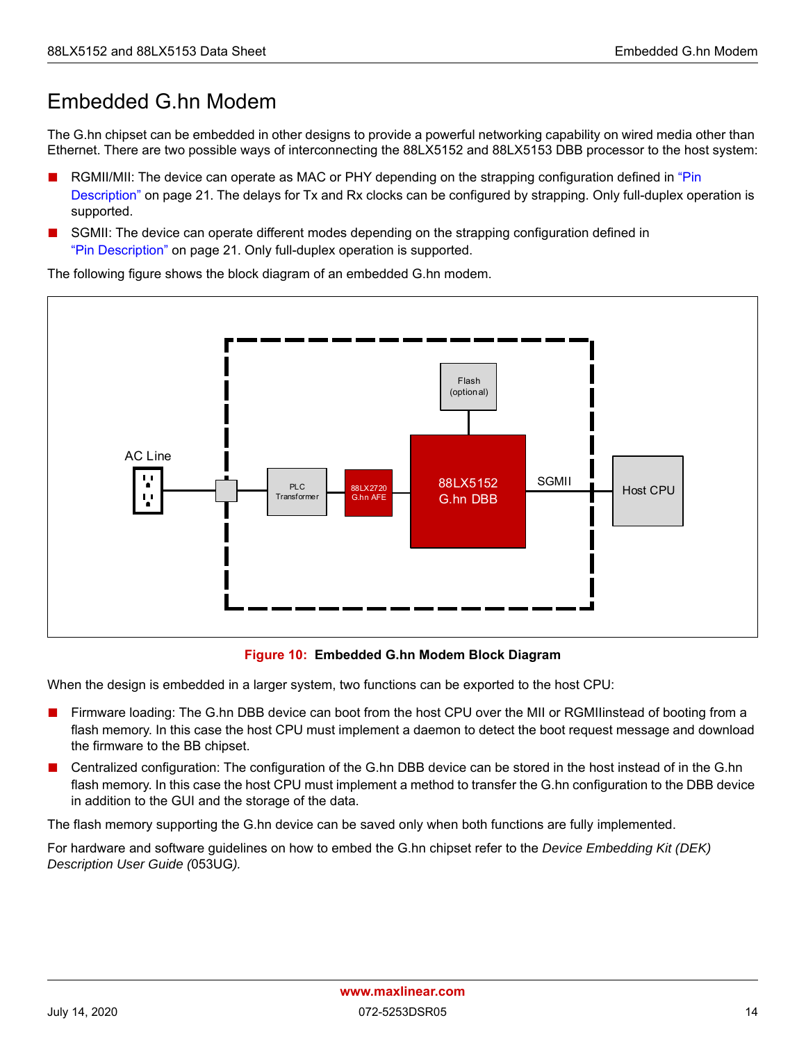## <span id="page-20-0"></span>Embedded G.hn Modem

The G.hn chipset can be embedded in other designs to provide a powerful networking capability on wired media other than Ethernet. There are two possible ways of interconnecting the 88LX5152 and 88LX5153 DBB processor to the host system:

- RGMII/MII: The device can operate as MAC or PHY depending on the strapping configuration defined in "Pin [Description" on page 21](#page-27-0). The delays for Tx and Rx clocks can be configured by strapping. Only full-duplex operation is supported.
- SGMII: The device can operate different modes depending on the strapping configuration defined in ["Pin Description" on page 21](#page-27-0). Only full-duplex operation is supported.

88LX2720 88LX5152 SGMII G.hn AFE 88LX5152 SGMII | Host CPU Flash (optional) PLC **Transforme** AC Line

The following figure shows the block diagram of an embedded G.hn modem.

#### **Figure 10: Embedded G.hn Modem Block Diagram**

<span id="page-20-1"></span>When the design is embedded in a larger system, two functions can be exported to the host CPU:

- Firmware loading: The G.hn DBB device can boot from the host CPU over the MII or RGMII instead of booting from a flash memory. In this case the host CPU must implement a daemon to detect the boot request message and download the firmware to the BB chipset.
- Centralized configuration: The configuration of the G.hn DBB device can be stored in the host instead of in the G.hn flash memory. In this case the host CPU must implement a method to transfer the G.hn configuration to the DBB device in addition to the GUI and the storage of the data.

The flash memory supporting the G.hn device can be saved only when both functions are fully implemented.

For hardware and software guidelines on how to embed the G.hn chipset refer to the *Device Embedding Kit (DEK) Description User Guide (*053UG*).*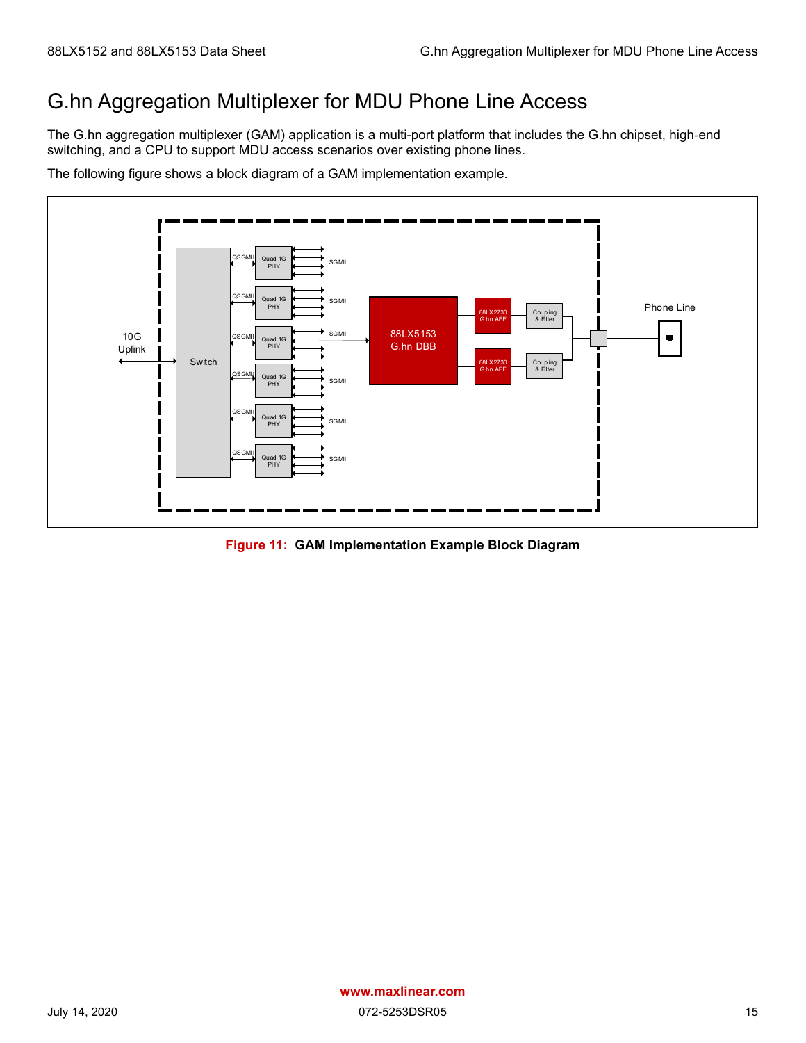## <span id="page-21-0"></span>G.hn Aggregation Multiplexer for MDU Phone Line Access

The G.hn aggregation multiplexer (GAM) application is a multi-port platform that includes the G.hn chipset, high-end switching, and a CPU to support MDU access scenarios over existing phone lines.

The following figure shows a block diagram of a GAM implementation example.



<span id="page-21-1"></span>**Figure 11: GAM Implementation Example Block Diagram**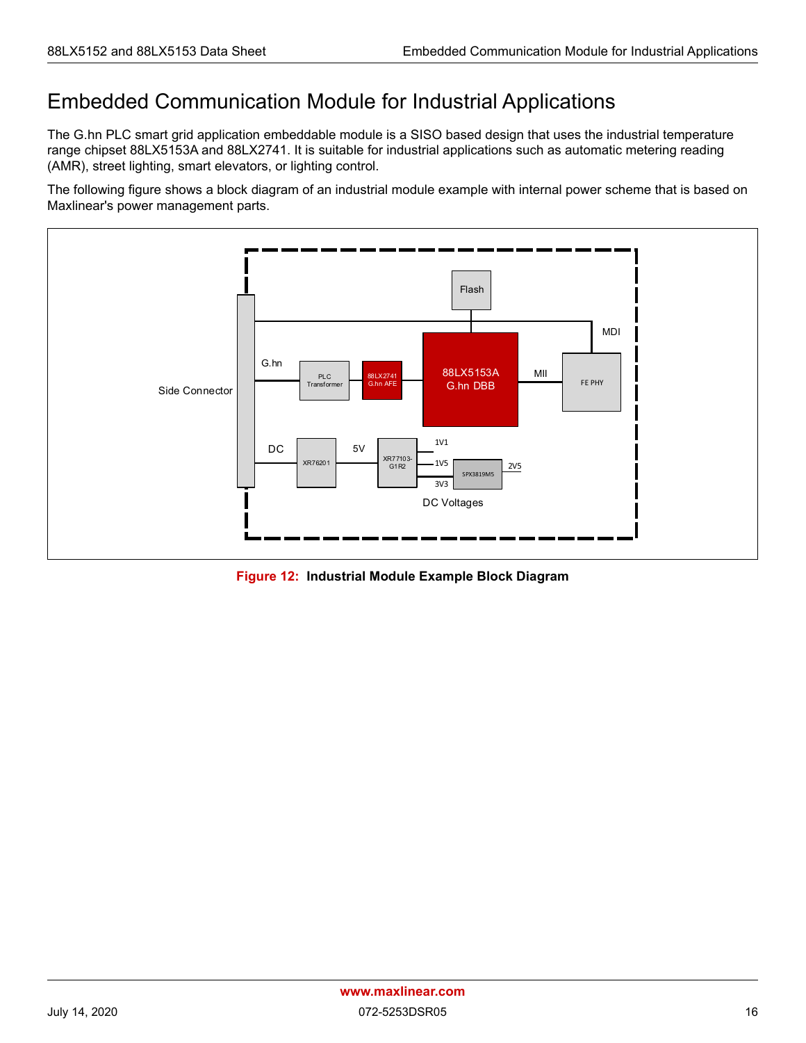## <span id="page-22-0"></span>Embedded Communication Module for Industrial Applications

The G.hn PLC smart grid application embeddable module is a SISO based design that uses the industrial temperature range chipset 88LX5153A and 88LX2741. It is suitable for industrial applications such as automatic metering reading (AMR), street lighting, smart elevators, or lighting control.

The following figure shows a block diagram of an industrial module example with internal power scheme that is based on Maxlinear's power management parts.



<span id="page-22-1"></span>**Figure 12: Industrial Module Example Block Diagram**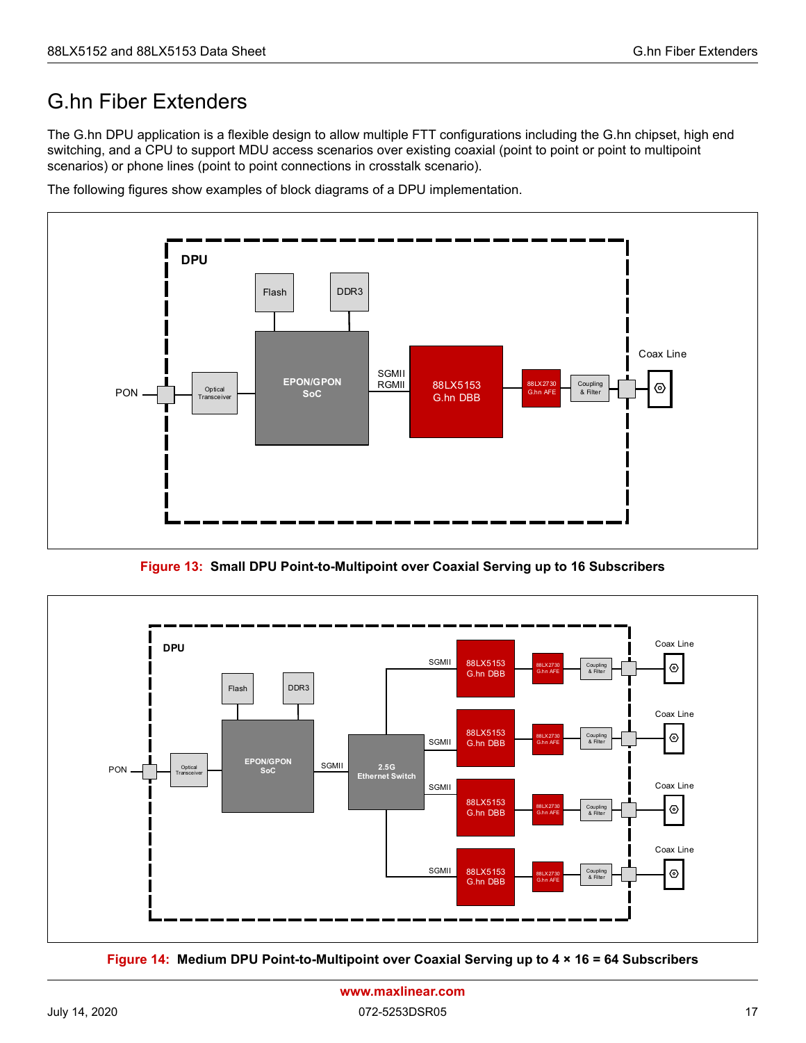## <span id="page-23-0"></span>G.hn Fiber Extenders

The G.hn DPU application is a flexible design to allow multiple FTT configurations including the G.hn chipset, high end switching, and a CPU to support MDU access scenarios over existing coaxial (point to point or point to multipoint scenarios) or phone lines (point to point connections in crosstalk scenario).

The following figures show examples of block diagrams of a DPU implementation.



**Figure 13: Small DPU Point-to-Multipoint over Coaxial Serving up to 16 Subscribers**

<span id="page-23-1"></span>

<span id="page-23-2"></span>**Figure 14: Medium DPU Point-to-Multipoint over Coaxial Serving up to 4 × 16 = 64 Subscribers**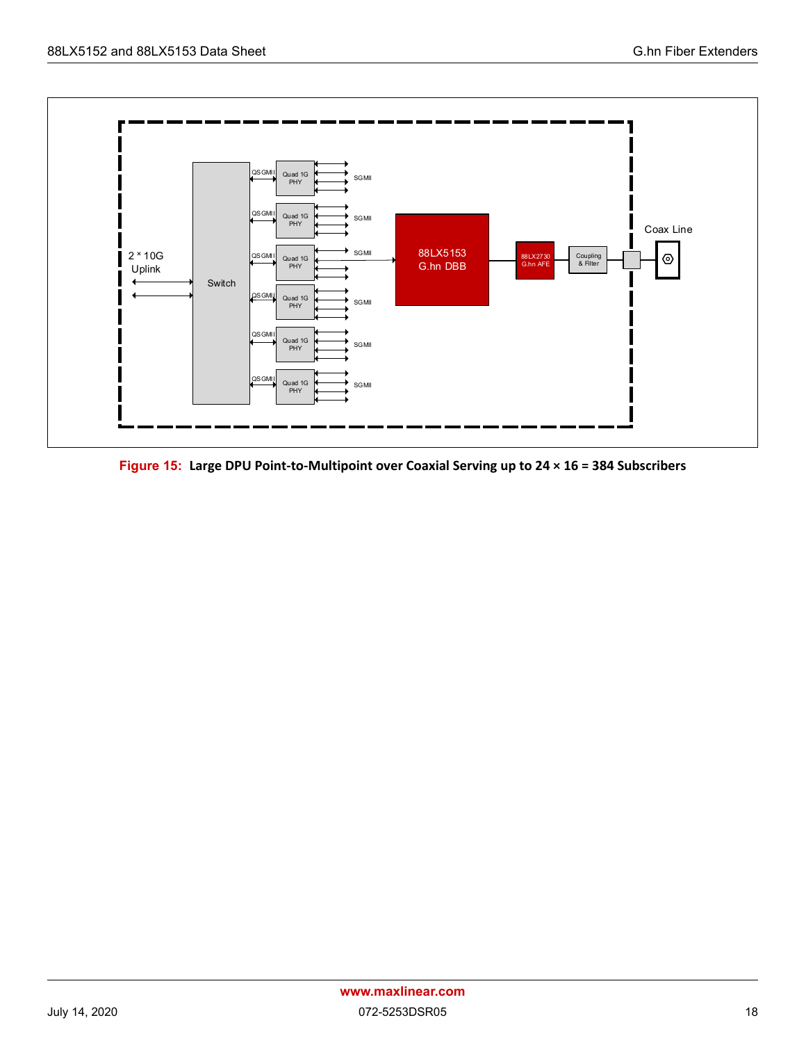

<span id="page-24-0"></span>**Figure 15: Large DPU Point-to-Multipoint over Coaxial Serving up to 24 × 16 = 384 Subscribers**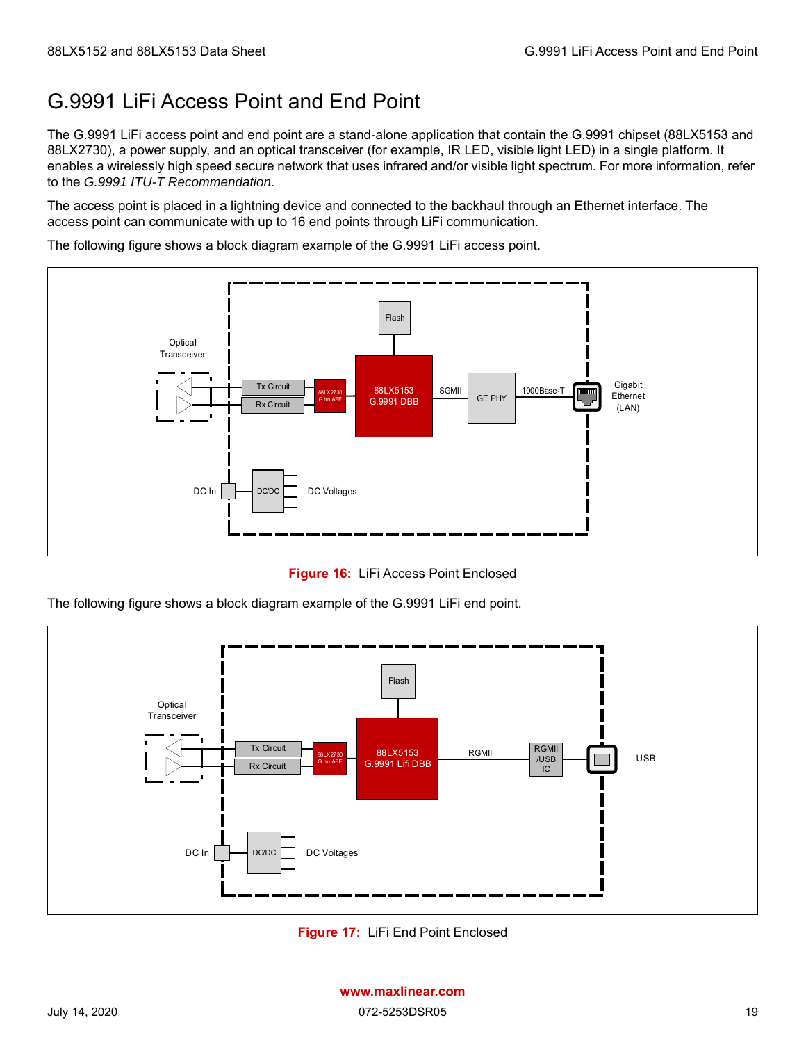## <span id="page-25-0"></span>G.9991 LiFi Access Point and End Point

The G.9991 LiFi access point and end point are a stand-alone application that contain the G.9991 chipset (88LX5153 and 88LX2730), a power supply, and an optical transceiver (for example, IR LED, visible light LED) in a single platform. It enables a wirelessly high speed secure network that uses infrared and/or visible light spectrum. For more information, refer to the *G.9991 ITU-T Recommendation*.

The access point is placed in a lightning device and connected to the backhaul through an Ethernet interface. The access point can communicate with up to 16 end points through LiFi communication.

The following figure shows a block diagram example of the G.9991 LiFi access point.



**Figure 16:** LiFi Access Point Enclosed

<span id="page-25-1"></span>The following figure shows a block diagram example of the G.9991 LiFi end point.



<span id="page-25-2"></span>**Figure 17:** LiFi End Point Enclosed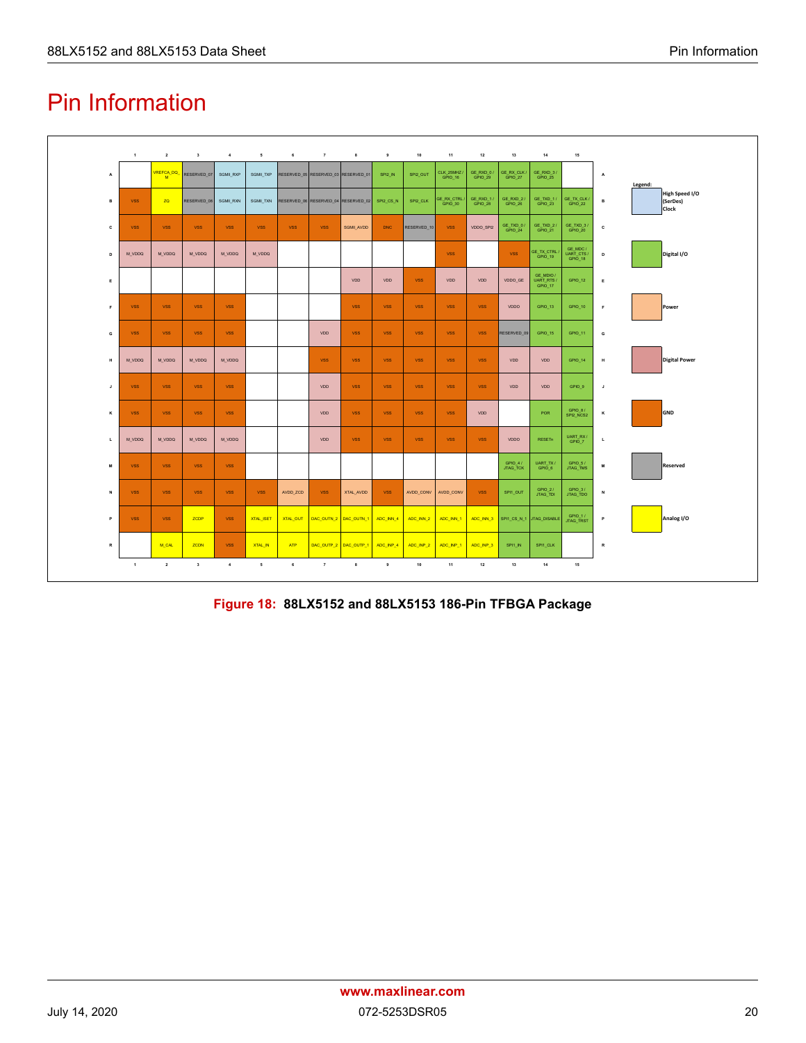# <span id="page-26-0"></span>Pin Information



<span id="page-26-1"></span>**Figure 18: 88LX5152 and 88LX5153 186-Pin TFBGA Package**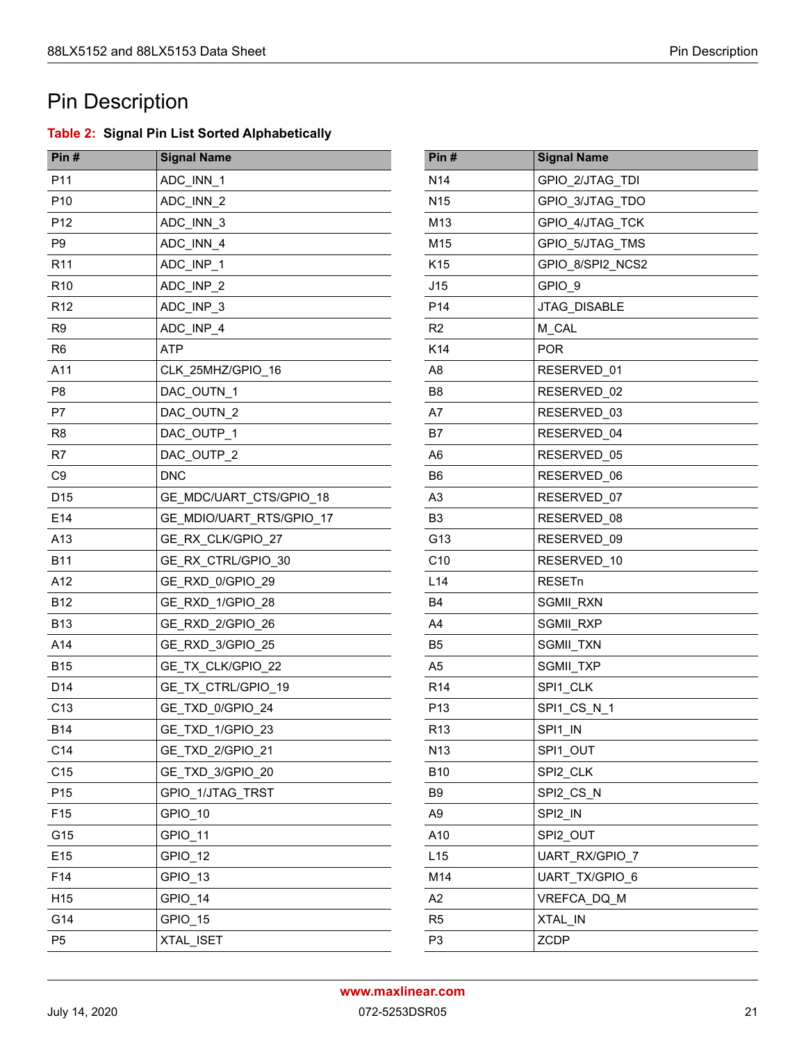# <span id="page-27-0"></span>Pin Description

### <span id="page-27-1"></span>**Table 2: Signal Pin List Sorted Alphabetically**

| Pin#            | <b>Signal Name</b>       | Pin#            | <b>Signal Name</b> |
|-----------------|--------------------------|-----------------|--------------------|
| P11             | ADC_INN_1                | N <sub>14</sub> | GPIO_2/JTAG_TDI    |
| P <sub>10</sub> | ADC_INN_2                | <b>N15</b>      | GPIO_3/JTAG_TDO    |
| P <sub>12</sub> | ADC_INN_3                | M13             | GPIO 4/JTAG TCK    |
| P <sub>9</sub>  | ADC_INN_4                | M15             | GPIO 5/JTAG TMS    |
| R <sub>11</sub> | ADC_INP_1                | K <sub>15</sub> | GPIO_8/SPI2_NCS2   |
| R <sub>10</sub> | ADC_INP_2                | J15             | GPIO 9             |
| R <sub>12</sub> | ADC INP 3                | P <sub>14</sub> | JTAG_DISABLE       |
| R <sub>9</sub>  | ADC_INP_4                | R2              | M_CAL              |
| R <sub>6</sub>  | <b>ATP</b>               | K14             | <b>POR</b>         |
| A11             | CLK 25MHZ/GPIO_16        | A <sub>8</sub>  | RESERVED_01        |
| P <sub>8</sub>  | DAC_OUTN_1               | B <sub>8</sub>  | RESERVED_02        |
| P7              | DAC_OUTN_2               | A7              | RESERVED_03        |
| R <sub>8</sub>  | DAC_OUTP_1               | <b>B7</b>       | RESERVED_04        |
| R7              | DAC_OUTP_2               | A <sub>6</sub>  | RESERVED_05        |
| C <sub>9</sub>  | <b>DNC</b>               | B <sub>6</sub>  | RESERVED_06        |
| D <sub>15</sub> | GE_MDC/UART_CTS/GPIO_18  | A <sub>3</sub>  | RESERVED_07        |
| E14             | GE_MDIO/UART_RTS/GPIO_17 | B <sub>3</sub>  | RESERVED 08        |
| A13             | GE_RX_CLK/GPIO_27        | G13             | RESERVED 09        |
| <b>B11</b>      | GE_RX_CTRL/GPIO_30       | C10             | RESERVED_10        |
| A12             | GE_RXD_0/GPIO_29         | L14             | <b>RESETn</b>      |
| <b>B12</b>      | GE_RXD_1/GPIO_28         | <b>B4</b>       | SGMII_RXN          |
| <b>B13</b>      | GE_RXD_2/GPIO_26         | A4              | SGMII_RXP          |
| A14             | GE_RXD_3/GPIO_25         | B <sub>5</sub>  | SGMII_TXN          |
| <b>B15</b>      | GE_TX_CLK/GPIO_22        | A <sub>5</sub>  | SGMII_TXP          |
| D14             | GE TX CTRL/GPIO 19       | R <sub>14</sub> | SPI1_CLK           |
| C <sub>13</sub> | GE_TXD_0/GPIO_24         | P <sub>13</sub> | SPI1_CS_N_1        |
| <b>B14</b>      | GE TXD 1/GPIO 23         | R <sub>13</sub> | SPI1 IN            |
| C14             | GE_TXD_2/GPIO_21         | N <sub>13</sub> | SPI1_OUT           |
| C <sub>15</sub> | GE_TXD_3/GPIO_20         | <b>B10</b>      | SPI2_CLK           |
| P <sub>15</sub> | GPIO_1/JTAG_TRST         | B <sub>9</sub>  | SPI2 CS N          |
| F <sub>15</sub> | GPIO_10                  | A <sub>9</sub>  | SPI2_IN            |
| G15             | GPIO_11                  | A10             | SPI2_OUT           |
| E15             | GPIO_12                  | L15             | UART_RX/GPIO_7     |
| F14             | GPIO_13                  | M14             | UART_TX/GPIO_6     |
| H15             | GPIO_14                  | A2              | VREFCA_DQ_M        |
| G14             | GPIO_15                  | R <sub>5</sub>  | XTAL_IN            |
| P <sub>5</sub>  | XTAL_ISET                | P <sub>3</sub>  | <b>ZCDP</b>        |

| GPIO 2/JTAG TDI<br>N <sub>14</sub><br>N <sub>15</sub><br>GPIO_3/JTAG_TDO<br>M <sub>13</sub><br>GPIO_4/JTAG_TCK<br>M15<br>GPIO 5/JTAG TMS<br>K <sub>15</sub><br>GPIO 8/SPI2 NCS2<br>J15<br>GPIO 9<br>P <sub>14</sub><br>JTAG DISABLE<br>R <sub>2</sub><br>M CAL<br>K14<br><b>POR</b><br>A <sub>8</sub><br>RESERVED_01<br>B <sub>8</sub><br>RESERVED <sub>02</sub><br>A7<br>RESERVED 03<br>RESERVED 04<br>B7<br>A6<br>RESERVED 05<br>RESERVED 06<br>B6<br>A <sub>3</sub><br>RESERVED_07<br>B <sub>3</sub><br>RESERVED 08<br>G13<br>RESERVED 09<br>C <sub>10</sub><br>RESERVED 10<br>L <sub>14</sub><br><b>RESET<sub>n</sub></b><br><b>SGMII RXN</b><br>B4<br>A <sub>4</sub><br><b>SGMII RXP</b><br>SGMII_TXN<br>B <sub>5</sub><br>A <sub>5</sub><br>SGMII_TXP<br>SPI1_CLK<br>R <sub>14</sub><br>SPI1_CS_N 1<br>P <sub>13</sub><br>SPI1 IN<br>R <sub>13</sub><br>SPI1 OUT<br>N <sub>13</sub><br><b>B10</b><br>SPI2 CLK<br>SPI2 CS N<br>B <sub>9</sub><br>A <sub>9</sub><br>SPI2 IN<br>A10<br>SPI2 OUT<br>L15<br><b>UART RX/GPIO 7</b><br>M14<br>UART TX/GPIO 6<br>A2<br>VREFCA DQ M<br>R <sub>5</sub><br>XTAL IN<br>P <sub>3</sub><br>ZCDP | Pin# | <b>Signal Name</b> |
|-----------------------------------------------------------------------------------------------------------------------------------------------------------------------------------------------------------------------------------------------------------------------------------------------------------------------------------------------------------------------------------------------------------------------------------------------------------------------------------------------------------------------------------------------------------------------------------------------------------------------------------------------------------------------------------------------------------------------------------------------------------------------------------------------------------------------------------------------------------------------------------------------------------------------------------------------------------------------------------------------------------------------------------------------------------------------------------------------------------------------------------------|------|--------------------|
|                                                                                                                                                                                                                                                                                                                                                                                                                                                                                                                                                                                                                                                                                                                                                                                                                                                                                                                                                                                                                                                                                                                                         |      |                    |
|                                                                                                                                                                                                                                                                                                                                                                                                                                                                                                                                                                                                                                                                                                                                                                                                                                                                                                                                                                                                                                                                                                                                         |      |                    |
|                                                                                                                                                                                                                                                                                                                                                                                                                                                                                                                                                                                                                                                                                                                                                                                                                                                                                                                                                                                                                                                                                                                                         |      |                    |
|                                                                                                                                                                                                                                                                                                                                                                                                                                                                                                                                                                                                                                                                                                                                                                                                                                                                                                                                                                                                                                                                                                                                         |      |                    |
|                                                                                                                                                                                                                                                                                                                                                                                                                                                                                                                                                                                                                                                                                                                                                                                                                                                                                                                                                                                                                                                                                                                                         |      |                    |
|                                                                                                                                                                                                                                                                                                                                                                                                                                                                                                                                                                                                                                                                                                                                                                                                                                                                                                                                                                                                                                                                                                                                         |      |                    |
|                                                                                                                                                                                                                                                                                                                                                                                                                                                                                                                                                                                                                                                                                                                                                                                                                                                                                                                                                                                                                                                                                                                                         |      |                    |
|                                                                                                                                                                                                                                                                                                                                                                                                                                                                                                                                                                                                                                                                                                                                                                                                                                                                                                                                                                                                                                                                                                                                         |      |                    |
|                                                                                                                                                                                                                                                                                                                                                                                                                                                                                                                                                                                                                                                                                                                                                                                                                                                                                                                                                                                                                                                                                                                                         |      |                    |
|                                                                                                                                                                                                                                                                                                                                                                                                                                                                                                                                                                                                                                                                                                                                                                                                                                                                                                                                                                                                                                                                                                                                         |      |                    |
|                                                                                                                                                                                                                                                                                                                                                                                                                                                                                                                                                                                                                                                                                                                                                                                                                                                                                                                                                                                                                                                                                                                                         |      |                    |
|                                                                                                                                                                                                                                                                                                                                                                                                                                                                                                                                                                                                                                                                                                                                                                                                                                                                                                                                                                                                                                                                                                                                         |      |                    |
|                                                                                                                                                                                                                                                                                                                                                                                                                                                                                                                                                                                                                                                                                                                                                                                                                                                                                                                                                                                                                                                                                                                                         |      |                    |
|                                                                                                                                                                                                                                                                                                                                                                                                                                                                                                                                                                                                                                                                                                                                                                                                                                                                                                                                                                                                                                                                                                                                         |      |                    |
|                                                                                                                                                                                                                                                                                                                                                                                                                                                                                                                                                                                                                                                                                                                                                                                                                                                                                                                                                                                                                                                                                                                                         |      |                    |
|                                                                                                                                                                                                                                                                                                                                                                                                                                                                                                                                                                                                                                                                                                                                                                                                                                                                                                                                                                                                                                                                                                                                         |      |                    |
|                                                                                                                                                                                                                                                                                                                                                                                                                                                                                                                                                                                                                                                                                                                                                                                                                                                                                                                                                                                                                                                                                                                                         |      |                    |
|                                                                                                                                                                                                                                                                                                                                                                                                                                                                                                                                                                                                                                                                                                                                                                                                                                                                                                                                                                                                                                                                                                                                         |      |                    |
|                                                                                                                                                                                                                                                                                                                                                                                                                                                                                                                                                                                                                                                                                                                                                                                                                                                                                                                                                                                                                                                                                                                                         |      |                    |
|                                                                                                                                                                                                                                                                                                                                                                                                                                                                                                                                                                                                                                                                                                                                                                                                                                                                                                                                                                                                                                                                                                                                         |      |                    |
|                                                                                                                                                                                                                                                                                                                                                                                                                                                                                                                                                                                                                                                                                                                                                                                                                                                                                                                                                                                                                                                                                                                                         |      |                    |
|                                                                                                                                                                                                                                                                                                                                                                                                                                                                                                                                                                                                                                                                                                                                                                                                                                                                                                                                                                                                                                                                                                                                         |      |                    |
|                                                                                                                                                                                                                                                                                                                                                                                                                                                                                                                                                                                                                                                                                                                                                                                                                                                                                                                                                                                                                                                                                                                                         |      |                    |
|                                                                                                                                                                                                                                                                                                                                                                                                                                                                                                                                                                                                                                                                                                                                                                                                                                                                                                                                                                                                                                                                                                                                         |      |                    |
|                                                                                                                                                                                                                                                                                                                                                                                                                                                                                                                                                                                                                                                                                                                                                                                                                                                                                                                                                                                                                                                                                                                                         |      |                    |
|                                                                                                                                                                                                                                                                                                                                                                                                                                                                                                                                                                                                                                                                                                                                                                                                                                                                                                                                                                                                                                                                                                                                         |      |                    |
|                                                                                                                                                                                                                                                                                                                                                                                                                                                                                                                                                                                                                                                                                                                                                                                                                                                                                                                                                                                                                                                                                                                                         |      |                    |
|                                                                                                                                                                                                                                                                                                                                                                                                                                                                                                                                                                                                                                                                                                                                                                                                                                                                                                                                                                                                                                                                                                                                         |      |                    |
|                                                                                                                                                                                                                                                                                                                                                                                                                                                                                                                                                                                                                                                                                                                                                                                                                                                                                                                                                                                                                                                                                                                                         |      |                    |
|                                                                                                                                                                                                                                                                                                                                                                                                                                                                                                                                                                                                                                                                                                                                                                                                                                                                                                                                                                                                                                                                                                                                         |      |                    |
|                                                                                                                                                                                                                                                                                                                                                                                                                                                                                                                                                                                                                                                                                                                                                                                                                                                                                                                                                                                                                                                                                                                                         |      |                    |
|                                                                                                                                                                                                                                                                                                                                                                                                                                                                                                                                                                                                                                                                                                                                                                                                                                                                                                                                                                                                                                                                                                                                         |      |                    |
|                                                                                                                                                                                                                                                                                                                                                                                                                                                                                                                                                                                                                                                                                                                                                                                                                                                                                                                                                                                                                                                                                                                                         |      |                    |
|                                                                                                                                                                                                                                                                                                                                                                                                                                                                                                                                                                                                                                                                                                                                                                                                                                                                                                                                                                                                                                                                                                                                         |      |                    |
|                                                                                                                                                                                                                                                                                                                                                                                                                                                                                                                                                                                                                                                                                                                                                                                                                                                                                                                                                                                                                                                                                                                                         |      |                    |
|                                                                                                                                                                                                                                                                                                                                                                                                                                                                                                                                                                                                                                                                                                                                                                                                                                                                                                                                                                                                                                                                                                                                         |      |                    |
|                                                                                                                                                                                                                                                                                                                                                                                                                                                                                                                                                                                                                                                                                                                                                                                                                                                                                                                                                                                                                                                                                                                                         |      |                    |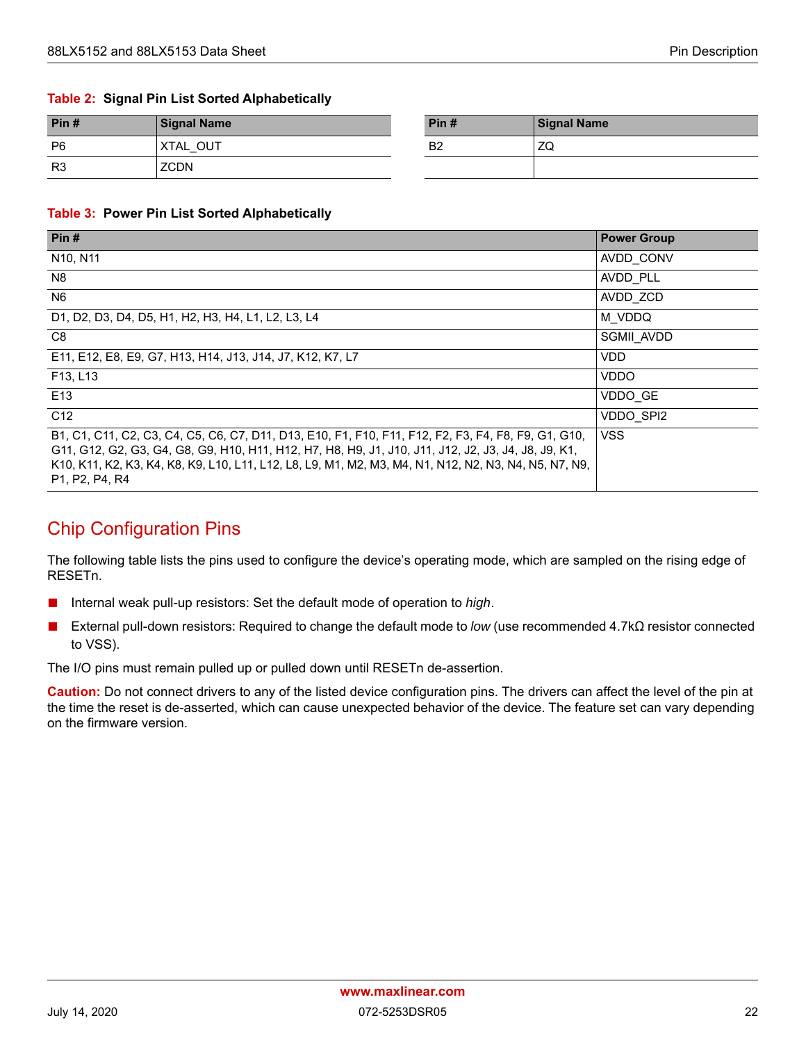#### **Table 2: Signal Pin List Sorted Alphabetically**

| Pin#           | <b>Signal Name</b> | Pin#           | <b>Signal Name</b>   |
|----------------|--------------------|----------------|----------------------|
| P <sub>6</sub> | OUT<br><b>XTAL</b> | B <sub>2</sub> | 7 <sup>c</sup><br>∠⊍ |
| R <sub>3</sub> | <b>ZCDN</b>        |                |                      |

#### <span id="page-28-0"></span>**Table 3: Power Pin List Sorted Alphabetically**

| Pin#                                                                                                                                                                                                                                                                                                                                                                                     | <b>Power Group</b> |
|------------------------------------------------------------------------------------------------------------------------------------------------------------------------------------------------------------------------------------------------------------------------------------------------------------------------------------------------------------------------------------------|--------------------|
| N <sub>10</sub> , N <sub>11</sub>                                                                                                                                                                                                                                                                                                                                                        | AVDD CONV          |
| N <sub>8</sub>                                                                                                                                                                                                                                                                                                                                                                           | AVDD PLL           |
| N <sub>6</sub>                                                                                                                                                                                                                                                                                                                                                                           | AVDD_ZCD           |
| D1, D2, D3, D4, D5, H1, H2, H3, H4, L1, L2, L3, L4                                                                                                                                                                                                                                                                                                                                       | M VDDQ             |
| C <sub>8</sub>                                                                                                                                                                                                                                                                                                                                                                           | SGMII AVDD         |
| E11, E12, E8, E9, G7, H13, H14, J13, J14, J7, K12, K7, L7                                                                                                                                                                                                                                                                                                                                | VDD                |
| F13. L13                                                                                                                                                                                                                                                                                                                                                                                 | <b>VDDO</b>        |
| E <sub>13</sub>                                                                                                                                                                                                                                                                                                                                                                          | VDDO GE            |
| C <sub>12</sub>                                                                                                                                                                                                                                                                                                                                                                          | VDDO SPI2          |
| B1, C1, C11, C2, C3, C4, C5, C6, C7, D11, D13, E10, F1, F10, F11, F12, F2, F3, F4, F8, F9, G1, G10,<br>G11, G12, G2, G3, G4, G8, G9, H10, H11, H12, H7, H8, H9, J1, J10, J11, J12, J2, J3, J4, J8, J9, K1,<br>K10, K11, K2, K3, K4, K8, K9, L10, L11, L12, L8, L9, M1, M2, M3, M4, N1, N12, N2, N3, N4, N5, N7, N9,<br>P <sub>1</sub> , P <sub>2</sub> , P <sub>4</sub> , R <sub>4</sub> | <b>VSS</b>         |

### Chip Configuration Pins

The following table lists the pins used to configure the device's operating mode, which are sampled on the rising edge of RESETn.

- Internal weak pull-up resistors: Set the default mode of operation to *high*.
- External pull-down resistors: Required to change the default mode to *low* (use recommended 4.7kΩ resistor connected to VSS).

The I/O pins must remain pulled up or pulled down until RESETn de-assertion.

**Caution:** Do not connect drivers to any of the listed device configuration pins. The drivers can affect the level of the pin at the time the reset is de-asserted, which can cause unexpected behavior of the device. The feature set can vary depending on the firmware version.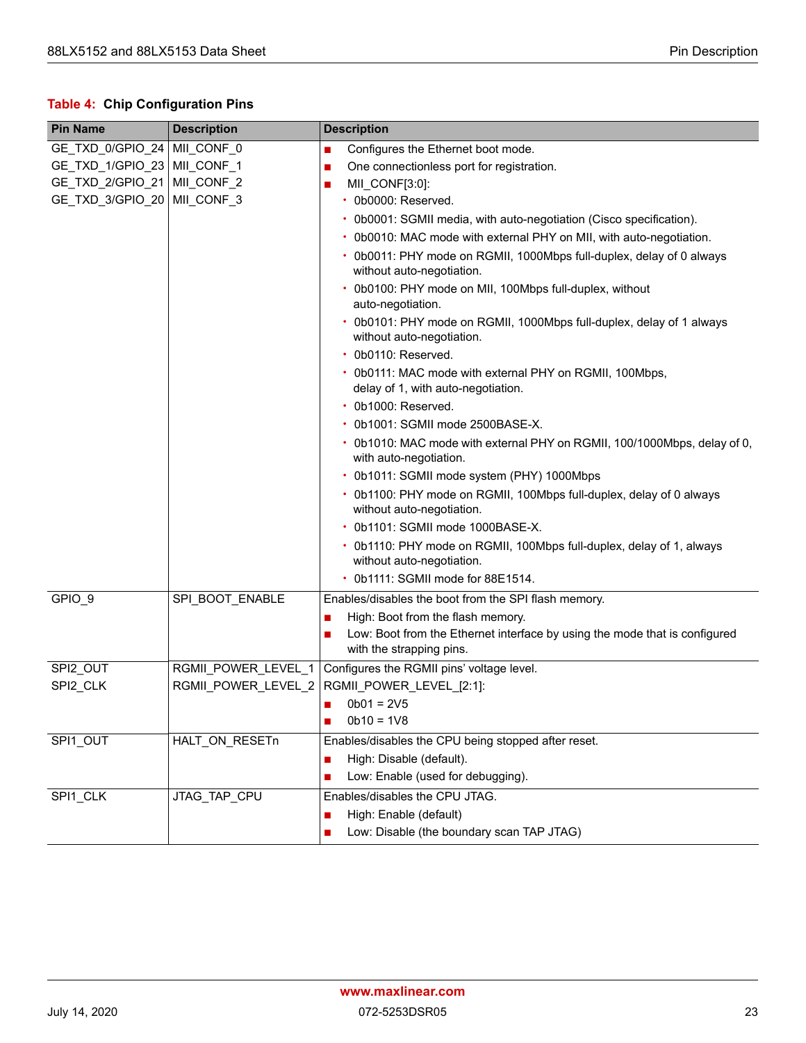### <span id="page-29-0"></span>**Table 4: Chip Configuration Pins**

| <b>Pin Name</b>               | <b>Description</b>  | <b>Description</b>                                                                                     |  |
|-------------------------------|---------------------|--------------------------------------------------------------------------------------------------------|--|
| GE_TXD_0/GPIO_24 MII_CONF_0   |                     | Configures the Ethernet boot mode.<br>$\mathbb{R}^n$                                                   |  |
| GE_TXD_1/GPIO_23   MII_CONF_1 |                     | One connectionless port for registration.<br>$\blacksquare$                                            |  |
| GE_TXD_2/GPIO_21   MII_CONF_2 |                     | MII CONF[3:0]:<br>■                                                                                    |  |
| GE_TXD_3/GPIO_20   MII_CONF_3 |                     | · 0b0000: Reserved.                                                                                    |  |
|                               |                     | • 0b0001: SGMII media, with auto-negotiation (Cisco specification).                                    |  |
|                               |                     | • 0b0010: MAC mode with external PHY on MII, with auto-negotiation.                                    |  |
|                               |                     | • 0b0011: PHY mode on RGMII, 1000Mbps full-duplex, delay of 0 always<br>without auto-negotiation.      |  |
|                               |                     | • 0b0100: PHY mode on MII, 100Mbps full-duplex, without<br>auto-negotiation.                           |  |
|                               |                     | • 0b0101: PHY mode on RGMII, 1000Mbps full-duplex, delay of 1 always<br>without auto-negotiation.      |  |
|                               |                     | • 0b0110: Reserved.                                                                                    |  |
|                               |                     | • 0b0111: MAC mode with external PHY on RGMII, 100Mbps,                                                |  |
|                               |                     | delay of 1, with auto-negotiation.                                                                     |  |
|                               |                     | • 0b1000: Reserved.                                                                                    |  |
|                               |                     | • 0b1001: SGMII mode 2500BASE-X.                                                                       |  |
|                               |                     | • 0b1010: MAC mode with external PHY on RGMII, 100/1000Mbps, delay of 0,<br>with auto-negotiation.     |  |
|                               |                     | • 0b1011: SGMII mode system (PHY) 1000Mbps                                                             |  |
|                               |                     | • 0b1100: PHY mode on RGMII, 100Mbps full-duplex, delay of 0 always<br>without auto-negotiation.       |  |
|                               |                     | • 0b1101: SGMII mode 1000BASE-X.                                                                       |  |
|                               |                     | • 0b1110: PHY mode on RGMII, 100Mbps full-duplex, delay of 1, always<br>without auto-negotiation.      |  |
|                               |                     | • 0b1111: SGMII mode for 88E1514.                                                                      |  |
| GPIO_9                        | SPI_BOOT_ENABLE     | Enables/disables the boot from the SPI flash memory.                                                   |  |
|                               |                     | High: Boot from the flash memory.<br>$\mathbb{R}^n$                                                    |  |
|                               |                     | Low: Boot from the Ethernet interface by using the mode that is configured<br>with the strapping pins. |  |
| SPI2_OUT                      | RGMII_POWER_LEVEL_1 | Configures the RGMII pins' voltage level.                                                              |  |
| SPI2_CLK                      | RGMII_POWER_LEVEL_2 | RGMII_POWER_LEVEL_[2:1]:                                                                               |  |
|                               |                     | $0b01 = 2V5$<br>$\mathcal{L}_{\mathcal{A}}$                                                            |  |
|                               |                     | $0b10 = 1V8$                                                                                           |  |
| SPI1_OUT                      | HALT_ON_RESETn      | Enables/disables the CPU being stopped after reset.                                                    |  |
|                               |                     | High: Disable (default).<br>$\blacksquare$                                                             |  |
|                               |                     | Low: Enable (used for debugging).                                                                      |  |
| SPI1_CLK                      | JTAG_TAP_CPU        | Enables/disables the CPU JTAG.                                                                         |  |
|                               |                     | High: Enable (default)<br>$\mathcal{L}_{\mathcal{A}}$                                                  |  |
|                               |                     | Low: Disable (the boundary scan TAP JTAG)                                                              |  |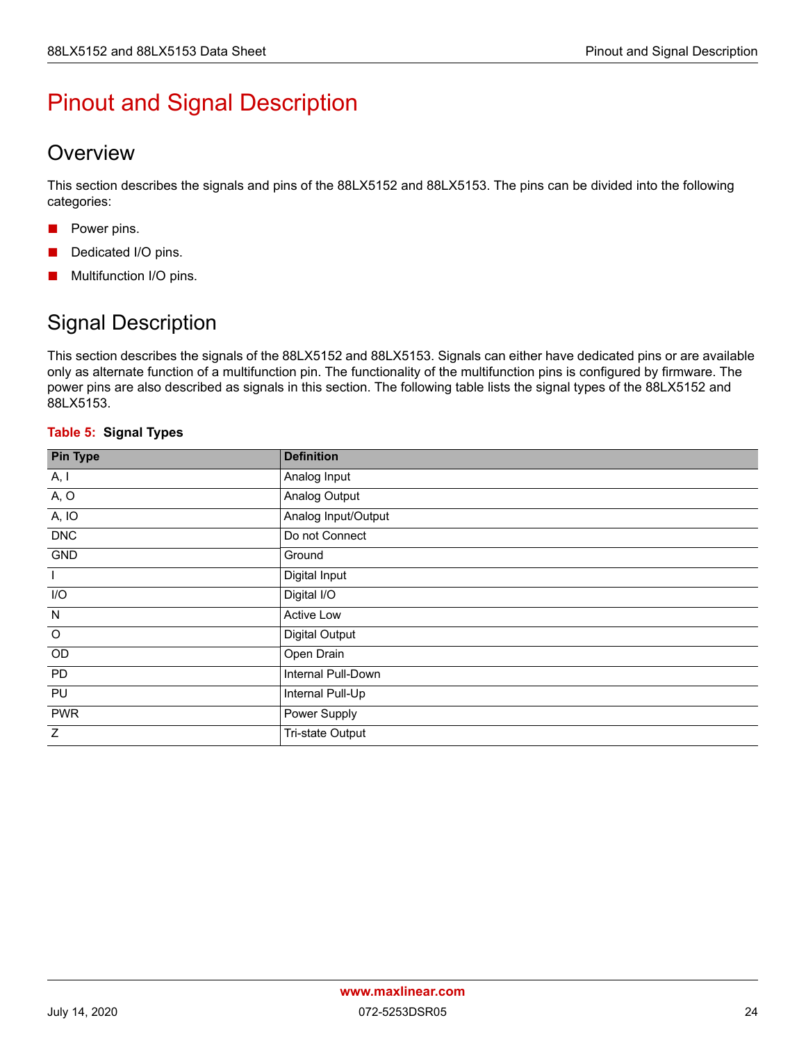# <span id="page-30-0"></span>Pinout and Signal Description

### <span id="page-30-1"></span>**Overview**

This section describes the signals and pins of the 88LX5152 and 88LX5153. The pins can be divided into the following categories:

- Power pins.
- Dedicated I/O pins.
- Multifunction I/O pins.

## <span id="page-30-2"></span>Signal Description

This section describes the signals of the 88LX5152 and 88LX5153. Signals can either have dedicated pins or are available only as alternate function of a multifunction pin. The functionality of the multifunction pins is configured by firmware. The power pins are also described as signals in this section. The following table lists the signal types of the 88LX5152 and 88LX5153.

#### <span id="page-30-3"></span>**Table 5: Signal Types**

| <b>Pin Type</b> | <b>Definition</b>     |
|-----------------|-----------------------|
| A, I            | Analog Input          |
| A, O            | Analog Output         |
| A, IO           | Analog Input/Output   |
| <b>DNC</b>      | Do not Connect        |
| GND             | Ground                |
| $\mathbf{I}$    | Digital Input         |
| I/O             | Digital I/O           |
| N               | Active Low            |
| $\circ$         | <b>Digital Output</b> |
| OD              | Open Drain            |
| PD              | Internal Pull-Down    |
| PU              | Internal Pull-Up      |
| <b>PWR</b>      | Power Supply          |
| Z               | Tri-state Output      |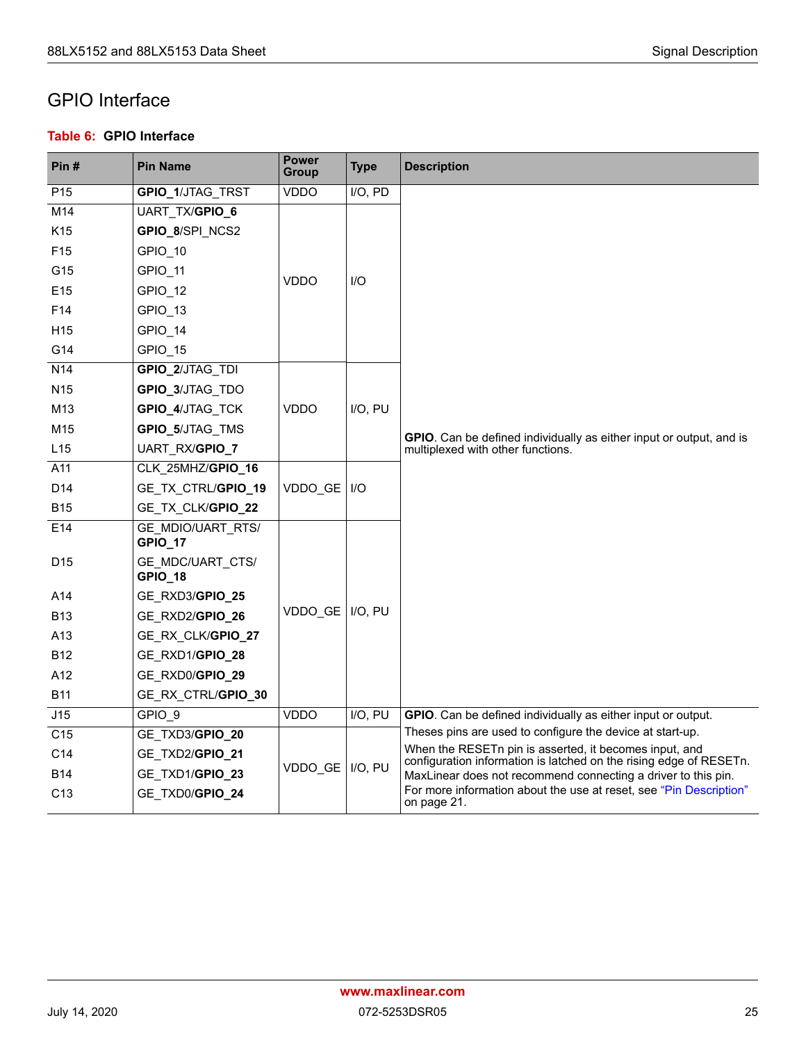### <span id="page-31-0"></span>GPIO Interface

#### <span id="page-31-1"></span>**Table 6: GPIO Interface**

| Pin#            | <b>Pin Name</b>                            | <b>Power</b><br>Group | <b>Type</b> | <b>Description</b>                                                                                                           |
|-----------------|--------------------------------------------|-----------------------|-------------|------------------------------------------------------------------------------------------------------------------------------|
| P <sub>15</sub> | GPIO_1/JTAG_TRST                           | <b>VDDO</b>           | I/O, PD     |                                                                                                                              |
| M14             | UART_TX/GPIO_6                             |                       |             |                                                                                                                              |
| K <sub>15</sub> | GPIO_8/SPI NCS2                            |                       |             |                                                                                                                              |
| F <sub>15</sub> | GPIO 10                                    |                       |             |                                                                                                                              |
| G15             | GPIO 11                                    | <b>VDDO</b>           | I/O         |                                                                                                                              |
| E <sub>15</sub> | GPIO 12                                    |                       |             |                                                                                                                              |
| F <sub>14</sub> | GPIO 13                                    |                       |             |                                                                                                                              |
| H <sub>15</sub> | GPIO 14                                    |                       |             |                                                                                                                              |
| G14             | GPIO 15                                    |                       |             |                                                                                                                              |
| N <sub>14</sub> | GPIO_2/JTAG_TDI                            |                       |             |                                                                                                                              |
| N <sub>15</sub> | GPIO_3/JTAG TDO                            |                       |             |                                                                                                                              |
| M <sub>13</sub> | GPIO_4/JTAG TCK                            | <b>VDDO</b>           | I/O, PU     |                                                                                                                              |
| M <sub>15</sub> | GPIO_5/JTAG TMS                            |                       |             | <b>GPIO.</b> Can be defined individually as either input or output, and is                                                   |
| L15             | UART_RX/GPIO_7                             |                       |             | multiplexed with other functions.                                                                                            |
| A11             | CLK 25MHZ/GPIO_16                          |                       |             |                                                                                                                              |
| D <sub>14</sub> | GE TX CTRL/GPIO_19                         | VDDO GE               | 1/O         |                                                                                                                              |
| <b>B15</b>      | GE TX CLK/GPIO_22                          |                       |             |                                                                                                                              |
| E14             | <b>GE MDIO/UART RTS/</b><br><b>GPIO_17</b> |                       |             |                                                                                                                              |
| D <sub>15</sub> | GE MDC/UART_CTS/<br>GPIO_18                |                       |             |                                                                                                                              |
| A14             | GE RXD3/GPIO_25                            |                       |             |                                                                                                                              |
| <b>B13</b>      | GE RXD2/GPIO_26                            | VDDO GE   I/O, PU     |             |                                                                                                                              |
| A <sub>13</sub> | GE_RX_CLK/GPIO_27                          |                       |             |                                                                                                                              |
| <b>B12</b>      | GE RXD1/GPIO_28                            |                       |             |                                                                                                                              |
| A12             | GE RXD0/GPIO_29                            |                       |             |                                                                                                                              |
| <b>B11</b>      | GE RX CTRL/GPIO 30                         |                       |             |                                                                                                                              |
| J15             | GPIO 9                                     | <b>VDDO</b>           | I/O, PU     | GPIO. Can be defined individually as either input or output.                                                                 |
| C <sub>15</sub> | GE TXD3/GPIO_20                            |                       |             | Theses pins are used to configure the device at start-up.                                                                    |
| C <sub>14</sub> | GE TXD2/GPIO_21                            |                       |             | When the RESETn pin is asserted, it becomes input, and<br>configuration information is latched on the rising edge of RESETn. |
| <b>B14</b>      | GE TXD1/GPIO_23                            | VDDO GE   I/O, PU     |             | MaxLinear does not recommend connecting a driver to this pin.                                                                |
| C <sub>13</sub> | GE_TXD0/GPIO_24                            |                       |             | For more information about the use at reset, see "Pin Description"<br>on page 21.                                            |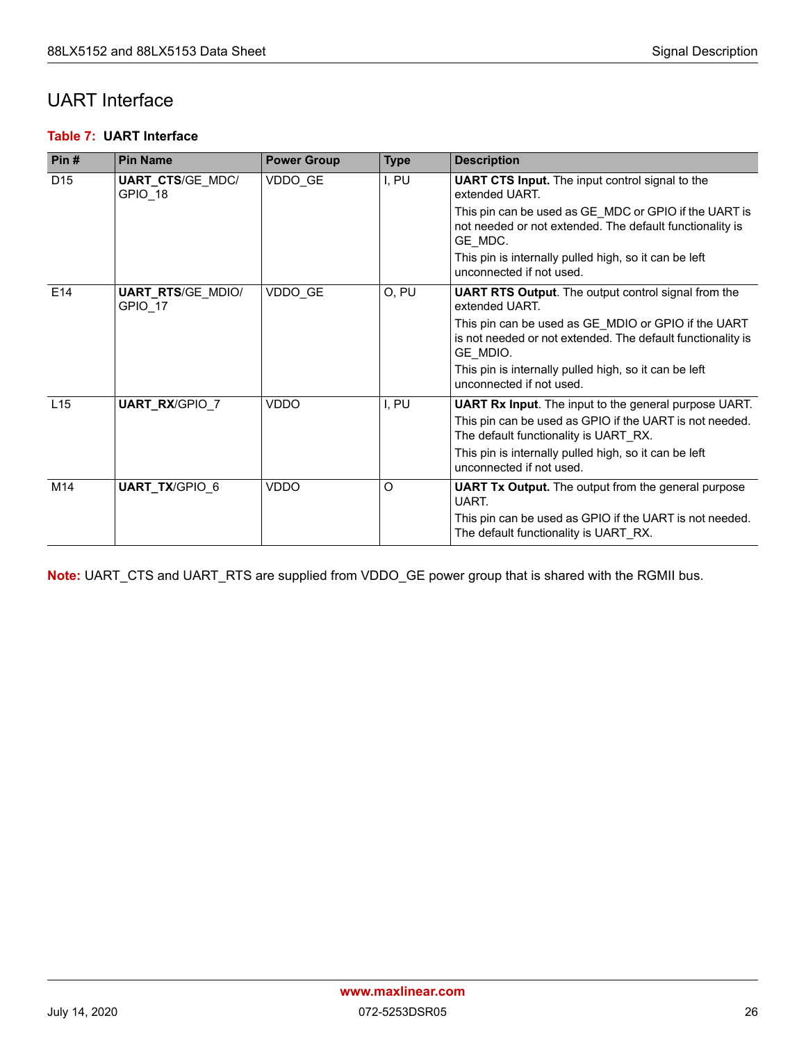### <span id="page-32-0"></span>UART Interface

#### <span id="page-32-1"></span>**Table 7: UART Interface**

| Pin#            | <b>Pin Name</b>                     | <b>Power Group</b> | <b>Type</b> | <b>Description</b>                                                                                                             |
|-----------------|-------------------------------------|--------------------|-------------|--------------------------------------------------------------------------------------------------------------------------------|
| D <sub>15</sub> | <b>UART_CTS/GE MDC/</b><br>GPIO 18  | VDDO GE            | I, PU       | <b>UART CTS Input.</b> The input control signal to the<br>extended UART.                                                       |
|                 |                                     |                    |             | This pin can be used as GE_MDC or GPIO if the UART is<br>not needed or not extended. The default functionality is<br>GE_MDC.   |
|                 |                                     |                    |             | This pin is internally pulled high, so it can be left<br>unconnected if not used.                                              |
| E14             | <b>UART_RTS/GE_MDIO/</b><br>GPIO 17 | VDDO GE            | O, PU       | <b>UART RTS Output.</b> The output control signal from the<br>extended UART.                                                   |
|                 |                                     |                    |             | This pin can be used as GE MDIO or GPIO if the UART<br>is not needed or not extended. The default functionality is<br>GE MDIO. |
|                 |                                     |                    |             | This pin is internally pulled high, so it can be left<br>unconnected if not used.                                              |
| L15             | <b>UART_RX/GPIO 7</b>               | VDDO               | I, PU       | <b>UART Rx Input.</b> The input to the general purpose UART.                                                                   |
|                 |                                     |                    |             | This pin can be used as GPIO if the UART is not needed.<br>The default functionality is UART RX.                               |
|                 |                                     |                    |             | This pin is internally pulled high, so it can be left<br>unconnected if not used.                                              |
| M14             | <b>UART_TX/GPIO 6</b>               | VDDO               | O           | <b>UART Tx Output.</b> The output from the general purpose<br>UART.                                                            |
|                 |                                     |                    |             | This pin can be used as GPIO if the UART is not needed.<br>The default functionality is UART RX.                               |

**Note:** UART\_CTS and UART\_RTS are supplied from VDDO\_GE power group that is shared with the RGMII bus.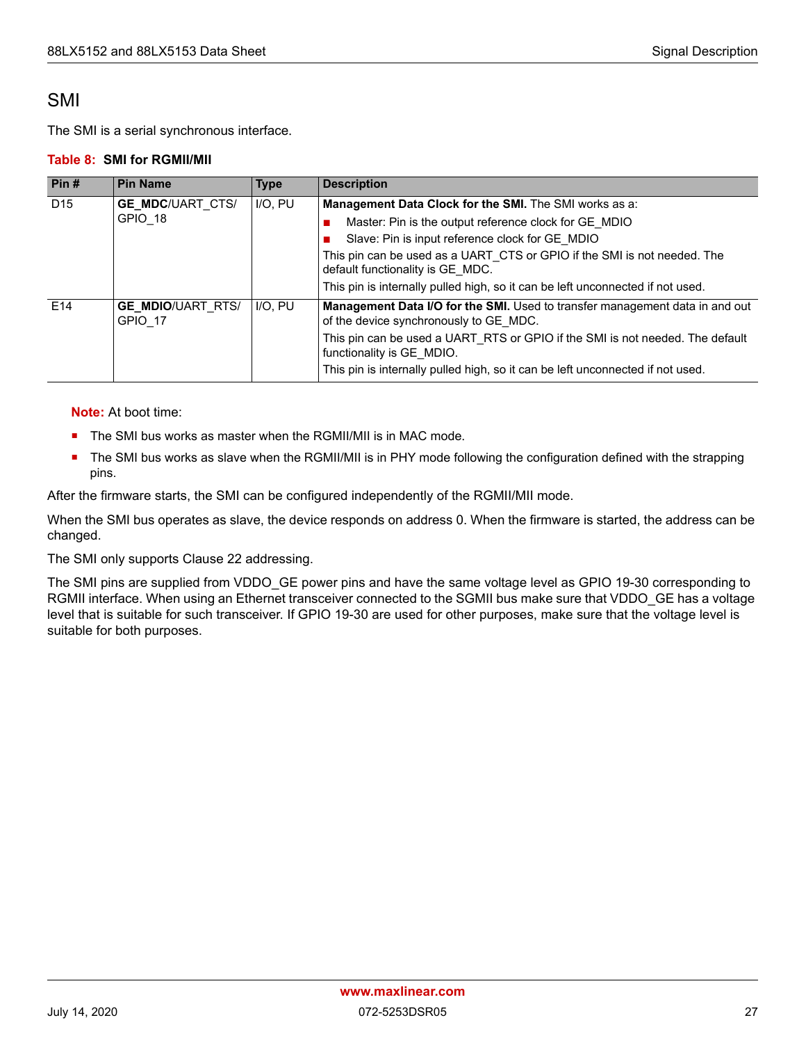### <span id="page-33-0"></span>SMI

The SMI is a serial synchronous interface.

#### <span id="page-33-1"></span>**Table 8: SMI for RGMII/MII**

| Pin#            | <b>Pin Name</b>                     | <b>Type</b>                                                                                                  | <b>Description</b>                                                                                                     |
|-----------------|-------------------------------------|--------------------------------------------------------------------------------------------------------------|------------------------------------------------------------------------------------------------------------------------|
| D <sub>15</sub> | <b>GE_MDC/UART CTS/</b>             | I/O, PU                                                                                                      | Management Data Clock for the SMI. The SMI works as a:                                                                 |
|                 | GPIO 18                             |                                                                                                              | Master: Pin is the output reference clock for GE MDIO                                                                  |
|                 |                                     |                                                                                                              | Slave: Pin is input reference clock for GE MDIO                                                                        |
|                 |                                     | This pin can be used as a UART CTS or GPIO if the SMI is not needed. The<br>default functionality is GE MDC. |                                                                                                                        |
|                 |                                     |                                                                                                              | This pin is internally pulled high, so it can be left unconnected if not used.                                         |
| E <sub>14</sub> | <b>GE MDIO/UART RTS/</b><br>GPIO 17 | I/O. PU                                                                                                      | Management Data I/O for the SMI. Used to transfer management data in and out<br>of the device synchronously to GE MDC. |
|                 |                                     |                                                                                                              | This pin can be used a UART RTS or GPIO if the SMI is not needed. The default<br>functionality is GE MDIO.             |
|                 |                                     |                                                                                                              | This pin is internally pulled high, so it can be left unconnected if not used.                                         |

**Note:** At boot time:

- The SMI bus works as master when the RGMII/MII is in MAC mode.
- The SMI bus works as slave when the RGMII/MII is in PHY mode following the configuration defined with the strapping pins.

After the firmware starts, the SMI can be configured independently of the RGMII/MII mode.

When the SMI bus operates as slave, the device responds on address 0. When the firmware is started, the address can be changed.

The SMI only supports Clause 22 addressing.

The SMI pins are supplied from VDDO\_GE power pins and have the same voltage level as GPIO 19-30 corresponding to RGMII interface. When using an Ethernet transceiver connected to the SGMII bus make sure that VDDO\_GE has a voltage level that is suitable for such transceiver. If GPIO 19-30 are used for other purposes, make sure that the voltage level is suitable for both purposes.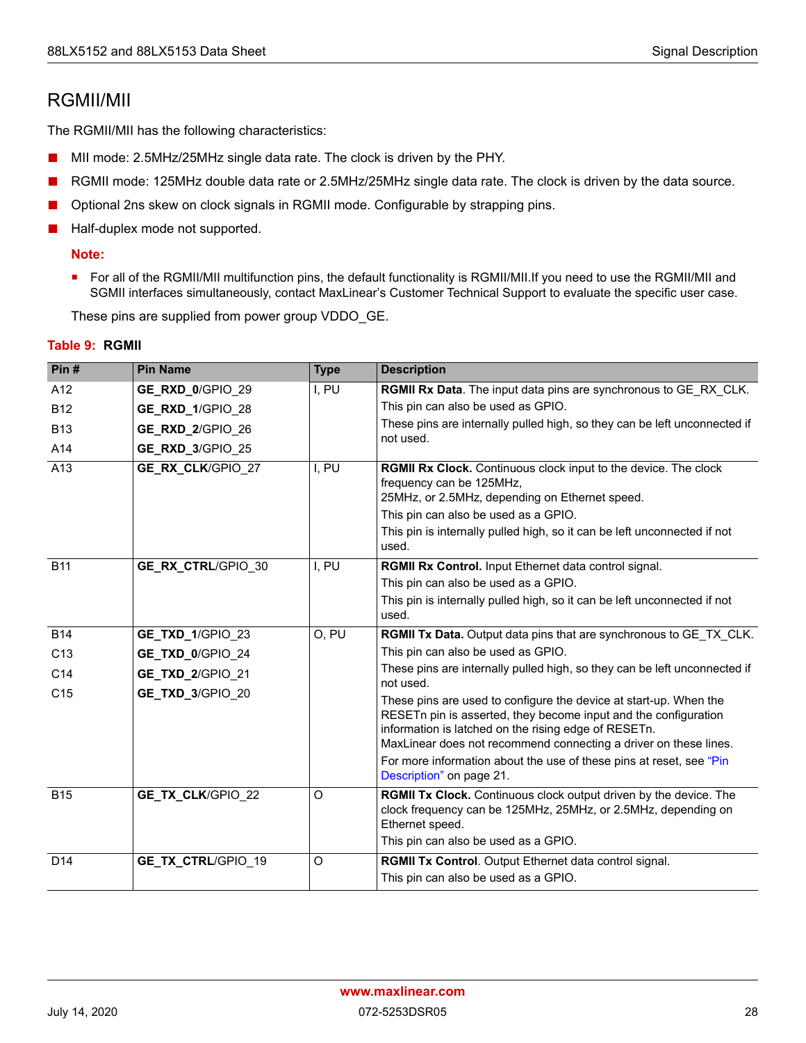### <span id="page-34-0"></span>RGMII/MII

The RGMII/MII has the following characteristics:

- MII mode: 2.5MHz/25MHz single data rate. The clock is driven by the PHY.
- RGMII mode: 125MHz double data rate or 2.5MHz/25MHz single data rate. The clock is driven by the data source.
- Optional 2ns skew on clock signals in RGMII mode. Configurable by strapping pins.
- Half-duplex mode not supported.

#### **Note:**

■ For all of the RGMII/MII multifunction pins, the default functionality is RGMII/MII.If you need to use the RGMII/MII and SGMII interfaces simultaneously, contact MaxLinear's Customer Technical Support to evaluate the specific user case.

These pins are supplied from power group VDDO\_GE.

| Pin#            | <b>Pin Name</b>           | <b>Type</b> | <b>Description</b>                                                                                                                                    |
|-----------------|---------------------------|-------------|-------------------------------------------------------------------------------------------------------------------------------------------------------|
| A12             | GE_RXD_0/GPIO 29          | I, PU       | RGMII Rx Data. The input data pins are synchronous to GE RX CLK.                                                                                      |
| <b>B12</b>      | GE_RXD_1/GPIO 28          |             | This pin can also be used as GPIO.                                                                                                                    |
| <b>B13</b>      | GE_RXD_2/GPIO 26          |             | These pins are internally pulled high, so they can be left unconnected if                                                                             |
| A14             | GE_RXD_3/GPIO 25          |             | not used.                                                                                                                                             |
| A13             | GE_RX_CLK/GPIO 27         | I, PU       | RGMII Rx Clock. Continuous clock input to the device. The clock                                                                                       |
|                 |                           |             | frequency can be 125MHz,                                                                                                                              |
|                 |                           |             | 25MHz, or 2.5MHz, depending on Ethernet speed.                                                                                                        |
|                 |                           |             | This pin can also be used as a GPIO.<br>This pin is internally pulled high, so it can be left unconnected if not                                      |
|                 |                           |             | used.                                                                                                                                                 |
| <b>B11</b>      | <b>GE_RX_CTRL/GPIO 30</b> | I, PU       | RGMII Rx Control. Input Ethernet data control signal.                                                                                                 |
|                 |                           |             | This pin can also be used as a GPIO.                                                                                                                  |
|                 |                           |             | This pin is internally pulled high, so it can be left unconnected if not<br>used.                                                                     |
| <b>B14</b>      | GE_TXD_1/GPIO 23          | O, PU       | RGMII Tx Data. Output data pins that are synchronous to GE TX CLK.                                                                                    |
| C <sub>13</sub> | GE_TXD_0/GPIO 24          |             | This pin can also be used as GPIO.                                                                                                                    |
| C <sub>14</sub> | GE_TXD_2/GPIO 21          |             | These pins are internally pulled high, so they can be left unconnected if<br>not used.                                                                |
| C <sub>15</sub> | GE_TXD_3/GPIO 20          |             | These pins are used to configure the device at start-up. When the                                                                                     |
|                 |                           |             | RESETn pin is asserted, they become input and the configuration<br>information is latched on the rising edge of RESETn.                               |
|                 |                           |             | MaxLinear does not recommend connecting a driver on these lines.                                                                                      |
|                 |                           |             | For more information about the use of these pins at reset, see "Pin<br>Description" on page 21.                                                       |
| <b>B15</b>      | GE_TX_CLK/GPIO 22         | O           | RGMII Tx Clock. Continuous clock output driven by the device. The<br>clock frequency can be 125MHz, 25MHz, or 2.5MHz, depending on<br>Ethernet speed. |
|                 |                           |             | This pin can also be used as a GPIO.                                                                                                                  |
| D <sub>14</sub> | <b>GE TX CTRL/GPIO 19</b> | O           | RGMII Tx Control. Output Ethernet data control signal.                                                                                                |
|                 |                           |             | This pin can also be used as a GPIO.                                                                                                                  |

#### <span id="page-34-1"></span>**Table 9: RGMII**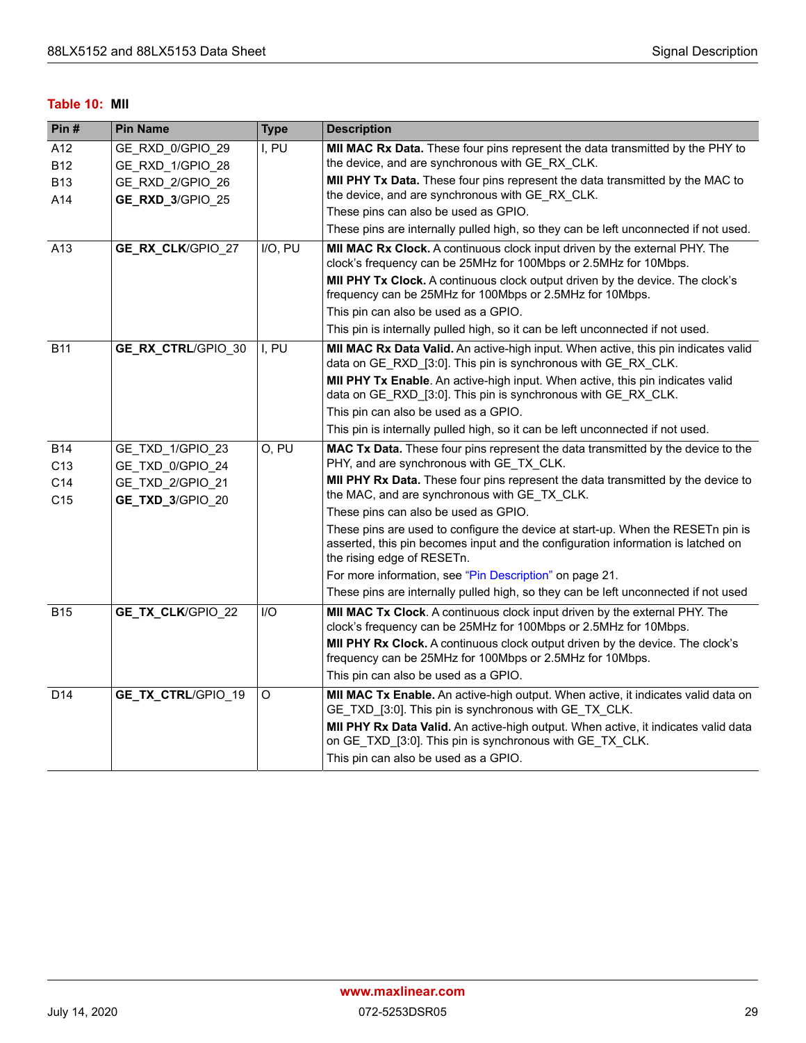#### <span id="page-35-0"></span>**Table 10: MII**

| Pin#            | <b>Pin Name</b>           | <b>Type</b> | <b>Description</b>                                                                                                                                                                                |
|-----------------|---------------------------|-------------|---------------------------------------------------------------------------------------------------------------------------------------------------------------------------------------------------|
| A12             | GE_RXD_0/GPIO_29          | I, PU       | MII MAC Rx Data. These four pins represent the data transmitted by the PHY to                                                                                                                     |
| <b>B12</b>      | GE_RXD_1/GPIO_28          |             | the device, and are synchronous with GE RX CLK.                                                                                                                                                   |
| <b>B13</b>      | GE_RXD_2/GPIO_26          |             | MII PHY Tx Data. These four pins represent the data transmitted by the MAC to                                                                                                                     |
| A14             | GE_RXD_3/GPIO 25          |             | the device, and are synchronous with GE_RX_CLK.                                                                                                                                                   |
|                 |                           |             | These pins can also be used as GPIO.                                                                                                                                                              |
|                 |                           |             | These pins are internally pulled high, so they can be left unconnected if not used.                                                                                                               |
| A13             | GE_RX_CLK/GPIO 27         | I/O, PU     | MII MAC Rx Clock. A continuous clock input driven by the external PHY. The<br>clock's frequency can be 25MHz for 100Mbps or 2.5MHz for 10Mbps.                                                    |
|                 |                           |             | MII PHY Tx Clock. A continuous clock output driven by the device. The clock's<br>frequency can be 25MHz for 100Mbps or 2.5MHz for 10Mbps.                                                         |
|                 |                           |             | This pin can also be used as a GPIO.                                                                                                                                                              |
|                 |                           |             | This pin is internally pulled high, so it can be left unconnected if not used.                                                                                                                    |
| <b>B11</b>      | <b>GE_RX_CTRL/GPIO 30</b> | I, PU       | MII MAC Rx Data Valid. An active-high input. When active, this pin indicates valid<br>data on GE_RXD_[3:0]. This pin is synchronous with GE_RX CLK.                                               |
|                 |                           |             | MII PHY Tx Enable. An active-high input. When active, this pin indicates valid<br>data on GE_RXD_[3:0]. This pin is synchronous with GE_RX_CLK.                                                   |
|                 |                           |             | This pin can also be used as a GPIO.                                                                                                                                                              |
|                 |                           |             | This pin is internally pulled high, so it can be left unconnected if not used.                                                                                                                    |
| <b>B14</b>      | GE TXD 1/GPIO 23          | O, PU       | MAC Tx Data. These four pins represent the data transmitted by the device to the<br>PHY, and are synchronous with GE_TX_CLK.                                                                      |
| C <sub>13</sub> | GE TXD 0/GPIO 24          |             | MII PHY Rx Data. These four pins represent the data transmitted by the device to                                                                                                                  |
| C14             | GE TXD 2/GPIO 21          |             | the MAC, and are synchronous with GE_TX_CLK.                                                                                                                                                      |
| C15             | GE_TXD_3/GPIO_20          |             | These pins can also be used as GPIO.                                                                                                                                                              |
|                 |                           |             | These pins are used to configure the device at start-up. When the RESETn pin is<br>asserted, this pin becomes input and the configuration information is latched on<br>the rising edge of RESETn. |
|                 |                           |             | For more information, see "Pin Description" on page 21.                                                                                                                                           |
|                 |                           |             | These pins are internally pulled high, so they can be left unconnected if not used                                                                                                                |
| <b>B15</b>      | GE_TX_CLK/GPIO 22         | I/O         | MII MAC Tx Clock. A continuous clock input driven by the external PHY. The<br>clock's frequency can be 25MHz for 100Mbps or 2.5MHz for 10Mbps.                                                    |
|                 |                           |             | <b>MII PHY Rx Clock.</b> A continuous clock output driven by the device. The clock's<br>frequency can be 25MHz for 100Mbps or 2.5MHz for 10Mbps.                                                  |
|                 |                           |             | This pin can also be used as a GPIO.                                                                                                                                                              |
| D14             | GE_TX_CTRL/GPIO_19        | O           | MII MAC Tx Enable. An active-high output. When active, it indicates valid data on<br>GE_TXD_[3:0]. This pin is synchronous with GE_TX_CLK.                                                        |
|                 |                           |             | MII PHY Rx Data Valid. An active-high output. When active, it indicates valid data<br>on GE_TXD_[3:0]. This pin is synchronous with GE_TX_CLK.                                                    |
|                 |                           |             | This pin can also be used as a GPIO.                                                                                                                                                              |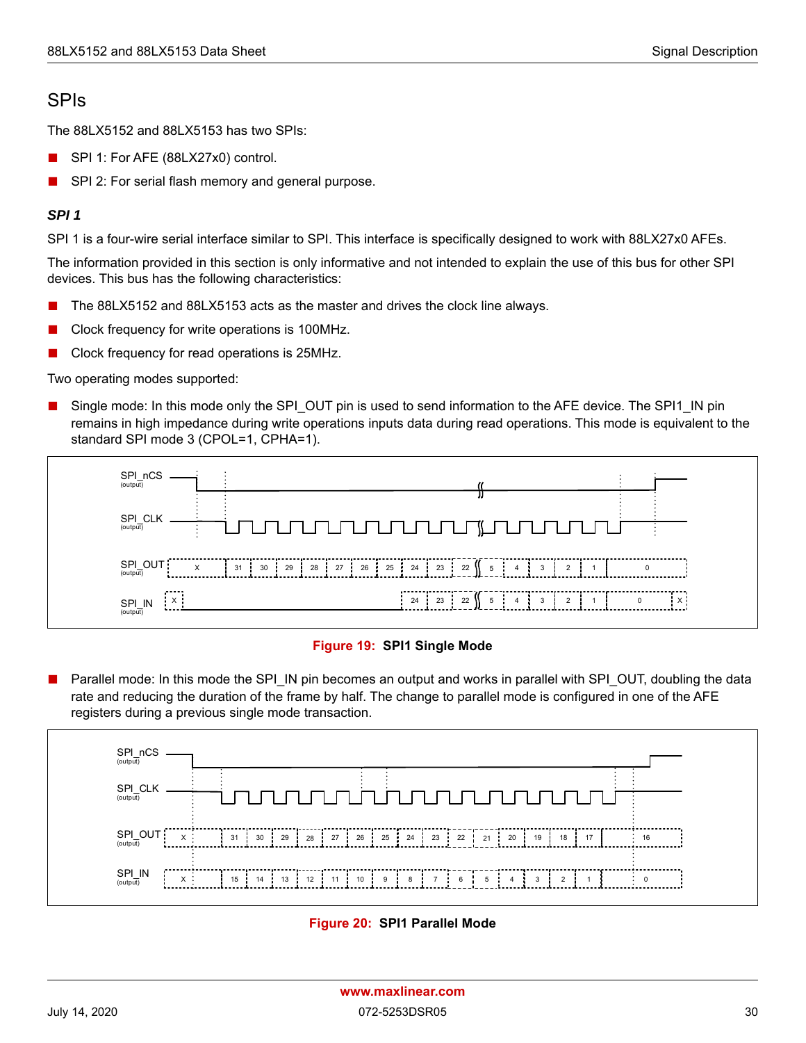### <span id="page-36-0"></span>SPIs

The 88LX5152 and 88LX5153 has two SPIs:

- SPI 1: For AFE (88LX27x0) control.
- SPI 2: For serial flash memory and general purpose.

#### *SPI 1*

SPI 1 is a four-wire serial interface similar to SPI. This interface is specifically designed to work with 88LX27x0 AFEs.

The information provided in this section is only informative and not intended to explain the use of this bus for other SPI devices. This bus has the following characteristics:

- The 88LX5152 and 88LX5153 acts as the master and drives the clock line always.
- Clock frequency for write operations is 100MHz.
- Clock frequency for read operations is 25MHz.

Two operating modes supported:

Single mode: In this mode only the SPI\_OUT pin is used to send information to the AFE device. The SPI1\_IN pin remains in high impedance during write operations inputs data during read operations. This mode is equivalent to the standard SPI mode 3 (CPOL=1, CPHA=1).



#### **Figure 19: SPI1 Single Mode**

<span id="page-36-1"></span>Parallel mode: In this mode the SPI\_IN pin becomes an output and works in parallel with SPI\_OUT, doubling the data rate and reducing the duration of the frame by half. The change to parallel mode is configured in one of the AFE registers during a previous single mode transaction.

<span id="page-36-2"></span>

**Figure 20: SPI1 Parallel Mode**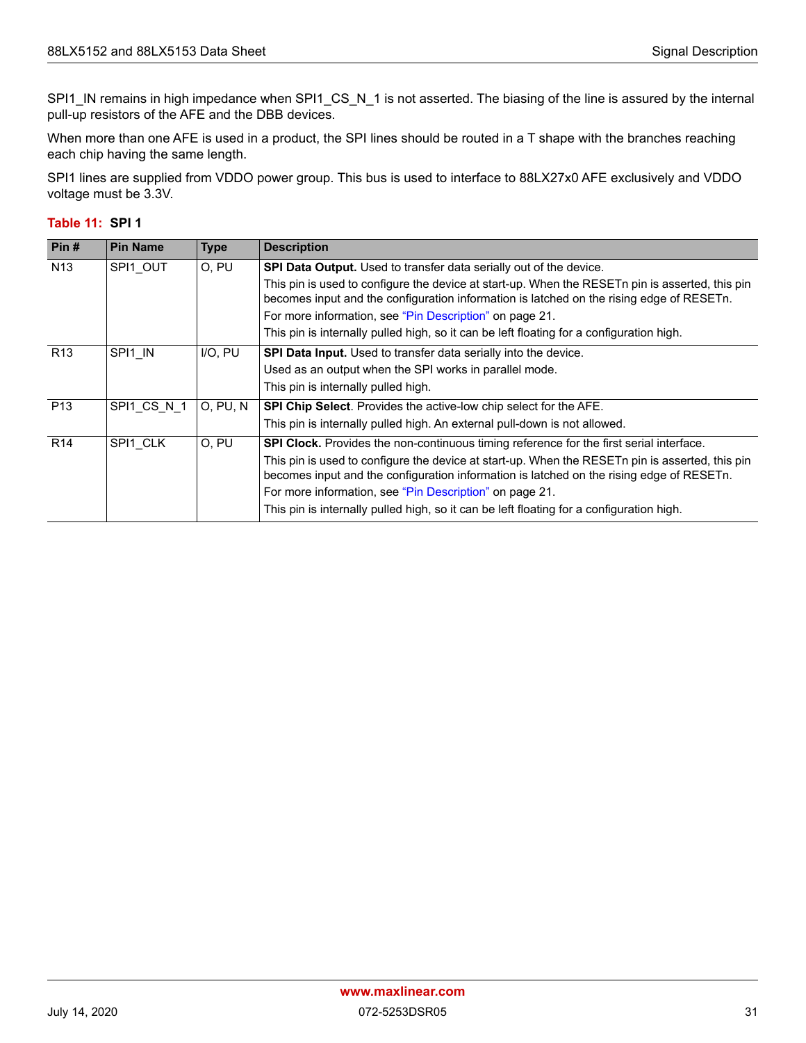SPI1\_IN remains in high impedance when SPI1\_CS\_N\_1 is not asserted. The biasing of the line is assured by the internal pull-up resistors of the AFE and the DBB devices.

When more than one AFE is used in a product, the SPI lines should be routed in a T shape with the branches reaching each chip having the same length.

SPI1 lines are supplied from VDDO power group. This bus is used to interface to 88LX27x0 AFE exclusively and VDDO voltage must be 3.3V.

#### <span id="page-37-0"></span>**Table 11: SPI 1**

| Pin#            | <b>Pin Name</b> | <b>Type</b>     | <b>Description</b>                                                                                                                                                                                                                                     |
|-----------------|-----------------|-----------------|--------------------------------------------------------------------------------------------------------------------------------------------------------------------------------------------------------------------------------------------------------|
| N <sub>13</sub> | SPI1 OUT        | O, PU           | <b>SPI Data Output.</b> Used to transfer data serially out of the device.                                                                                                                                                                              |
|                 |                 |                 | This pin is used to configure the device at start-up. When the RESETn pin is asserted, this pin<br>becomes input and the configuration information is latched on the rising edge of RESETn.                                                            |
|                 |                 |                 | For more information, see "Pin Description" on page 21.                                                                                                                                                                                                |
|                 |                 |                 | This pin is internally pulled high, so it can be left floating for a configuration high.                                                                                                                                                               |
| R <sub>13</sub> | SPI1 IN         | $I/O$ , $PU$    | <b>SPI Data Input.</b> Used to transfer data serially into the device.                                                                                                                                                                                 |
|                 |                 |                 | Used as an output when the SPI works in parallel mode.                                                                                                                                                                                                 |
|                 |                 |                 | This pin is internally pulled high.                                                                                                                                                                                                                    |
| P <sub>13</sub> | SPI1 CS N 1     | <b>O, PU, N</b> | SPI Chip Select. Provides the active-low chip select for the AFE.                                                                                                                                                                                      |
|                 |                 |                 | This pin is internally pulled high. An external pull-down is not allowed.                                                                                                                                                                              |
| R <sub>14</sub> | SPI1 CLK        | O, PU           | SPI Clock. Provides the non-continuous timing reference for the first serial interface.                                                                                                                                                                |
|                 |                 |                 | This pin is used to configure the device at start-up. When the RESET npin is asserted, this pin<br>becomes input and the configuration information is latched on the rising edge of RESETn.<br>For more information, see "Pin Description" on page 21. |
|                 |                 |                 | This pin is internally pulled high, so it can be left floating for a configuration high.                                                                                                                                                               |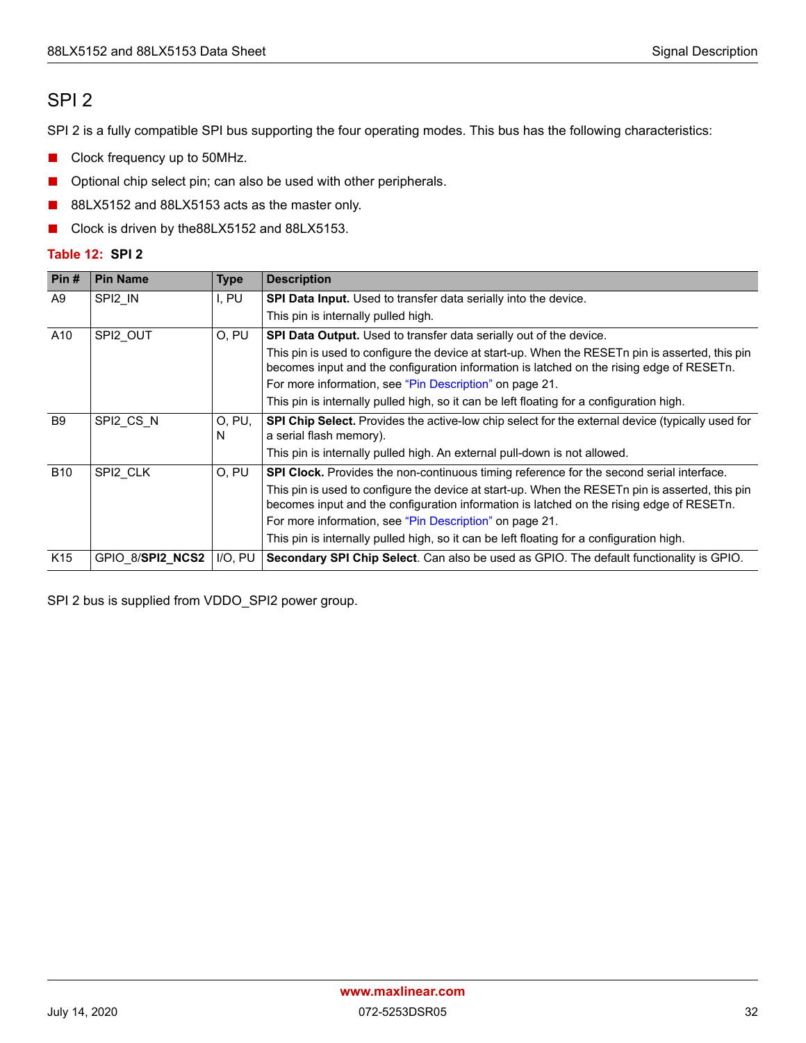### <span id="page-38-0"></span>SPI 2

SPI 2 is a fully compatible SPI bus supporting the four operating modes. This bus has the following characteristics:

- Clock frequency up to 50MHz.
- Optional chip select pin; can also be used with other peripherals.
- 88LX5152 and 88LX5153 acts as the master only.
- Clock is driven by the88LX5152 and 88LX5153.

#### <span id="page-38-1"></span>**Table 12: SPI 2**

| Pin#            | <b>Pin Name</b>  | <b>Type</b> | <b>Description</b>                                                                                                                                                                          |
|-----------------|------------------|-------------|---------------------------------------------------------------------------------------------------------------------------------------------------------------------------------------------|
| A9              | SPI2 IN          | I, PU       | <b>SPI Data Input.</b> Used to transfer data serially into the device.                                                                                                                      |
|                 |                  |             | This pin is internally pulled high.                                                                                                                                                         |
| A10             | SPI2 OUT         | O, PU       | <b>SPI Data Output.</b> Used to transfer data serially out of the device.                                                                                                                   |
|                 |                  |             | This pin is used to configure the device at start-up. When the RESETn pin is asserted, this pin<br>becomes input and the configuration information is latched on the rising edge of RESETn. |
|                 |                  |             | For more information, see "Pin Description" on page 21.                                                                                                                                     |
|                 |                  |             | This pin is internally pulled high, so it can be left floating for a configuration high.                                                                                                    |
| <b>B</b> 9      | SPI2 CS N        | O, PU,<br>N | SPI Chip Select. Provides the active-low chip select for the external device (typically used for<br>a serial flash memory).                                                                 |
|                 |                  |             | This pin is internally pulled high. An external pull-down is not allowed.                                                                                                                   |
| <b>B10</b>      | SPI2 CLK         | O, PU       | SPI Clock. Provides the non-continuous timing reference for the second serial interface.                                                                                                    |
|                 |                  |             | This pin is used to configure the device at start-up. When the RESET npin is asserted, this pin<br>becomes input and the configuration information is latched on the rising edge of RESETn. |
|                 |                  |             | For more information, see "Pin Description" on page 21.                                                                                                                                     |
|                 |                  |             | This pin is internally pulled high, so it can be left floating for a configuration high.                                                                                                    |
| K <sub>15</sub> | GPIO 8/SPI2 NCS2 | I/O, PU     | Secondary SPI Chip Select. Can also be used as GPIO. The default functionality is GPIO.                                                                                                     |

SPI 2 bus is supplied from VDDO\_SPI2 power group.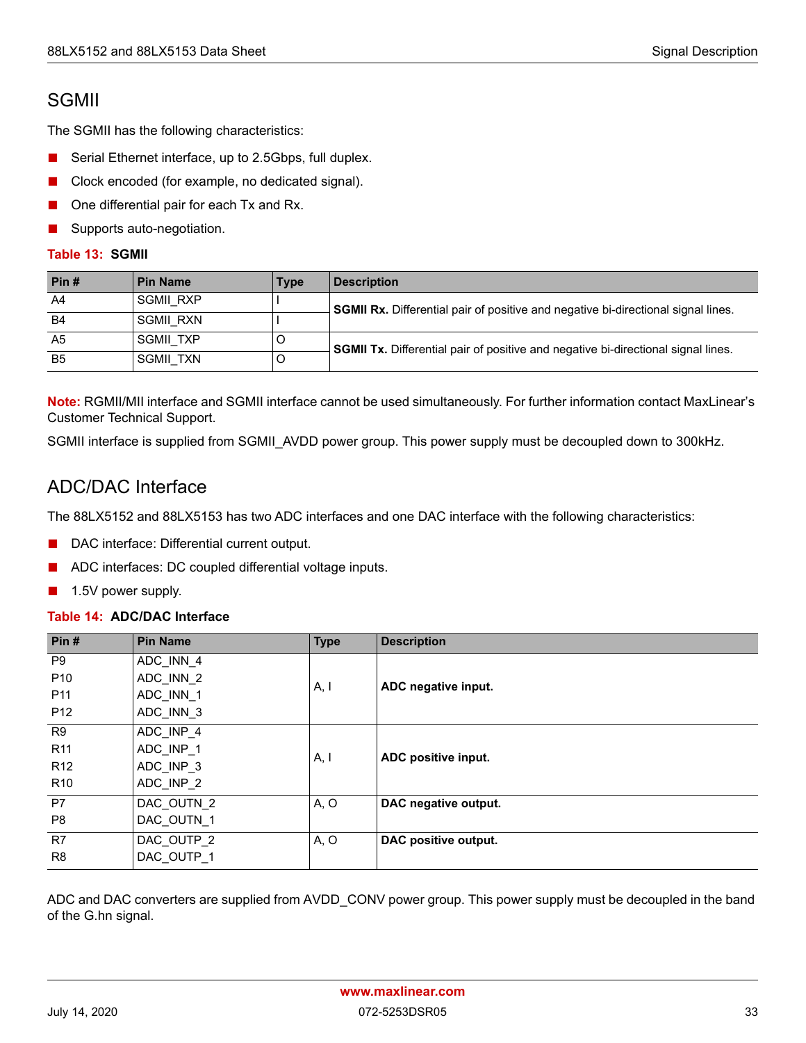### <span id="page-39-0"></span>SGMII

The SGMII has the following characteristics:

- Serial Ethernet interface, up to 2.5Gbps, full duplex.
- Clock encoded (for example, no dedicated signal).
- One differential pair for each Tx and Rx.
- Supports auto-negotiation.

#### <span id="page-39-2"></span>**Table 13: SGMII**

| Pin#           | l Pin Name       | <b>Type</b> | <b>Description</b>                                                                       |
|----------------|------------------|-------------|------------------------------------------------------------------------------------------|
| A4             | <b>SGMII RXP</b> |             | <b>SGMII Rx.</b> Differential pair of positive and negative bi-directional signal lines. |
| <b>B4</b>      | SGMII RXN        |             |                                                                                          |
| A5             | SGMII TXP        | C           | <b>SGMII Tx.</b> Differential pair of positive and negative bi-directional signal lines. |
| B <sub>5</sub> | SGMII TXN        | C           |                                                                                          |

**Note:** RGMII/MII interface and SGMII interface cannot be used simultaneously. For further information contact MaxLinear's Customer Technical Support.

SGMII interface is supplied from SGMII\_AVDD power group. This power supply must be decoupled down to 300kHz.

### <span id="page-39-1"></span>ADC/DAC Interface

The 88LX5152 and 88LX5153 has two ADC interfaces and one DAC interface with the following characteristics:

- DAC interface: Differential current output.
- ADC interfaces: DC coupled differential voltage inputs.
- 1.5V power supply.

#### <span id="page-39-3"></span>**Table 14: ADC/DAC Interface**

| Pin $#$         | <b>Pin Name</b> | <b>Type</b> | <b>Description</b>   |
|-----------------|-----------------|-------------|----------------------|
| P <sub>9</sub>  | ADC INN 4       |             |                      |
| P <sub>10</sub> | ADC INN 2       |             |                      |
| P <sub>11</sub> | ADC INN 1       | A, I        | ADC negative input.  |
| P <sub>12</sub> | ADC INN 3       |             |                      |
| R <sub>9</sub>  | ADC INP 4       |             |                      |
| <b>R11</b>      | ADC INP 1       |             |                      |
| R <sub>12</sub> | ADC INP 3       | A, I        | ADC positive input.  |
| R <sub>10</sub> | ADC INP 2       |             |                      |
| P7              | DAC OUTN 2      | A, O        | DAC negative output. |
| P <sub>8</sub>  | DAC OUTN 1      |             |                      |
| R7              | DAC OUTP 2      | A, O        | DAC positive output. |
| R <sub>8</sub>  | DAC OUTP 1      |             |                      |

ADC and DAC converters are supplied from AVDD\_CONV power group. This power supply must be decoupled in the band of the G.hn signal.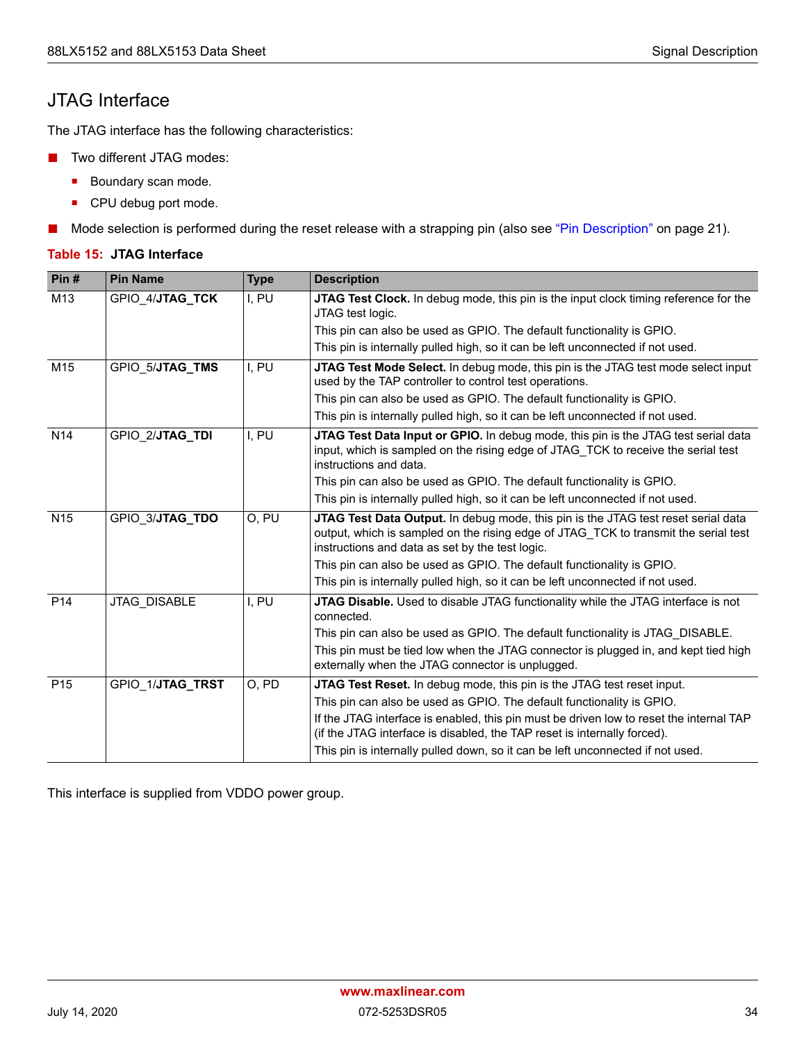### <span id="page-40-0"></span>JTAG Interface

The JTAG interface has the following characteristics:

- Two different JTAG modes:
	- Boundary scan mode.
	- **CPU debug port mode.**
- Mode selection is performed during the reset release with a strapping pin (also see ["Pin Description" on page 21\)](#page-27-0).

#### <span id="page-40-1"></span>**Table 15: JTAG Interface**

| Pin#            | <b>Pin Name</b>  | <b>Type</b> | <b>Description</b>                                                                                                                                                                                                          |
|-----------------|------------------|-------------|-----------------------------------------------------------------------------------------------------------------------------------------------------------------------------------------------------------------------------|
| M13             | GPIO 4/JTAG TCK  | I, PU       | JTAG Test Clock. In debug mode, this pin is the input clock timing reference for the<br>JTAG test logic.                                                                                                                    |
|                 |                  |             | This pin can also be used as GPIO. The default functionality is GPIO.                                                                                                                                                       |
|                 |                  |             | This pin is internally pulled high, so it can be left unconnected if not used.                                                                                                                                              |
| M15             | GPIO 5/JTAG_TMS  | I, PU       | JTAG Test Mode Select. In debug mode, this pin is the JTAG test mode select input<br>used by the TAP controller to control test operations.                                                                                 |
|                 |                  |             | This pin can also be used as GPIO. The default functionality is GPIO.                                                                                                                                                       |
|                 |                  |             | This pin is internally pulled high, so it can be left unconnected if not used.                                                                                                                                              |
| N <sub>14</sub> | GPIO 2/JTAG_TDI  | I, PU       | JTAG Test Data Input or GPIO. In debug mode, this pin is the JTAG test serial data<br>input, which is sampled on the rising edge of JTAG_TCK to receive the serial test<br>instructions and data.                           |
|                 |                  |             | This pin can also be used as GPIO. The default functionality is GPIO.                                                                                                                                                       |
|                 |                  |             | This pin is internally pulled high, so it can be left unconnected if not used.                                                                                                                                              |
| N <sub>15</sub> | GPIO 3/JTAG_TDO  | O, PU       | JTAG Test Data Output. In debug mode, this pin is the JTAG test reset serial data<br>output, which is sampled on the rising edge of JTAG_TCK to transmit the serial test<br>instructions and data as set by the test logic. |
|                 |                  |             | This pin can also be used as GPIO. The default functionality is GPIO.                                                                                                                                                       |
|                 |                  |             | This pin is internally pulled high, so it can be left unconnected if not used.                                                                                                                                              |
| P <sub>14</sub> | JTAG DISABLE     | I, PU       | JTAG Disable. Used to disable JTAG functionality while the JTAG interface is not<br>connected.                                                                                                                              |
|                 |                  |             | This pin can also be used as GPIO. The default functionality is JTAG DISABLE.                                                                                                                                               |
|                 |                  |             | This pin must be tied low when the JTAG connector is plugged in, and kept tied high<br>externally when the JTAG connector is unplugged.                                                                                     |
| P <sub>15</sub> | GPIO 1/JTAG TRST | O, PD       | <b>JTAG Test Reset.</b> In debug mode, this pin is the JTAG test reset input.                                                                                                                                               |
|                 |                  |             | This pin can also be used as GPIO. The default functionality is GPIO.                                                                                                                                                       |
|                 |                  |             | If the JTAG interface is enabled, this pin must be driven low to reset the internal TAP<br>(if the JTAG interface is disabled, the TAP reset is internally forced).                                                         |
|                 |                  |             | This pin is internally pulled down, so it can be left unconnected if not used.                                                                                                                                              |

This interface is supplied from VDDO power group.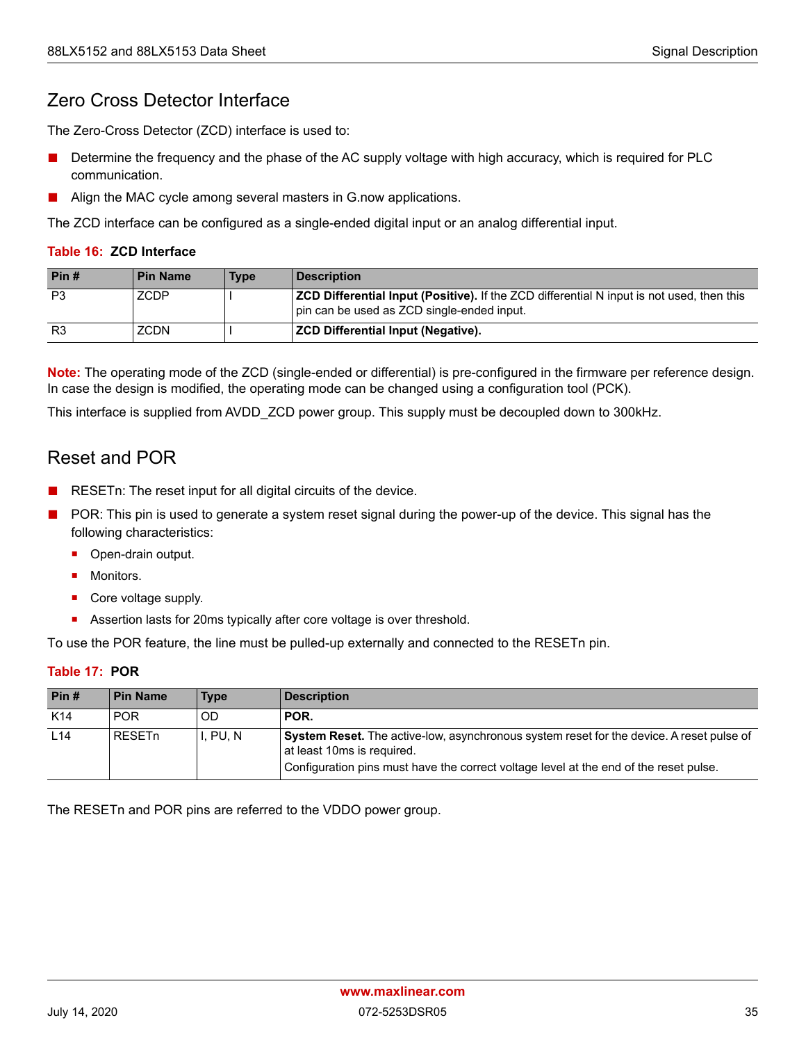### <span id="page-41-0"></span>Zero Cross Detector Interface

The Zero-Cross Detector (ZCD) interface is used to:

- Determine the frequency and the phase of the AC supply voltage with high accuracy, which is required for PLC communication.
- Align the MAC cycle among several masters in G.now applications.

The ZCD interface can be configured as a single-ended digital input or an analog differential input.

#### <span id="page-41-2"></span>**Table 16: ZCD Interface**

| Pin#           | l Pin Name | <b>Type</b> | <b>Description</b>                                                                                                                             |
|----------------|------------|-------------|------------------------------------------------------------------------------------------------------------------------------------------------|
| P <sub>3</sub> | ZCDP       |             | <b>ZCD Differential Input (Positive).</b> If the ZCD differential N input is not used, then this<br>pin can be used as ZCD single-ended input. |
| R <sub>3</sub> | ZCDN       |             | <b>ZCD Differential Input (Negative).</b>                                                                                                      |

**Note:** The operating mode of the ZCD (single-ended or differential) is pre-configured in the firmware per reference design. In case the design is modified, the operating mode can be changed using a configuration tool (PCK).

This interface is supplied from AVDD\_ZCD power group. This supply must be decoupled down to 300kHz.

### <span id="page-41-1"></span>Reset and POR

- RESETn: The reset input for all digital circuits of the device.
- POR: This pin is used to generate a system reset signal during the power-up of the device. This signal has the following characteristics:
	- **•** Open-drain output.
	- **Monitors.**
	- Core voltage supply.
	- Assertion lasts for 20ms typically after core voltage is over threshold.

To use the POR feature, the line must be pulled-up externally and connected to the RESETn pin.

#### <span id="page-41-3"></span>**Table 17: POR**

| Pin#            | <b>Pin Name</b> | Type      | <b>Description</b>                                                                                                                                                                                                     |
|-----------------|-----------------|-----------|------------------------------------------------------------------------------------------------------------------------------------------------------------------------------------------------------------------------|
| K <sub>14</sub> | <b>POR</b>      | <b>OD</b> | POR.                                                                                                                                                                                                                   |
| L14             | l RESETn        | I, PU, N  | <b>System Reset.</b> The active-low, asynchronous system reset for the device. A reset pulse of<br>at least 10ms is required.<br>Configuration pins must have the correct voltage level at the end of the reset pulse. |

The RESETn and POR pins are referred to the VDDO power group.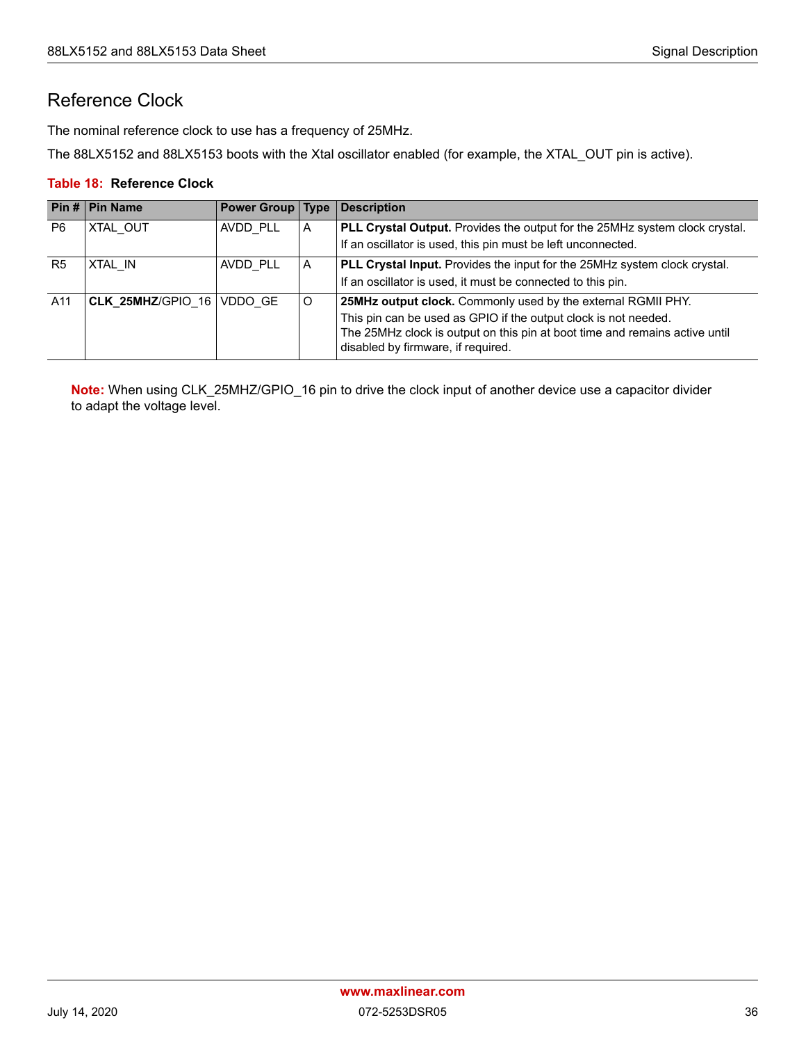### <span id="page-42-0"></span>Reference Clock

The nominal reference clock to use has a frequency of 25MHz.

The 88LX5152 and 88LX5153 boots with the Xtal oscillator enabled (for example, the XTAL\_OUT pin is active).

#### <span id="page-42-1"></span>**Table 18: Reference Clock**

|                | Pin #   Pin Name  | Power Group   Type |   | <b>Description</b>                                                                                                |
|----------------|-------------------|--------------------|---|-------------------------------------------------------------------------------------------------------------------|
| P <sub>6</sub> | XTAL OUT          | AVDD PLL           | A | PLL Crystal Output. Provides the output for the 25MHz system clock crystal.                                       |
|                |                   |                    |   | If an oscillator is used, this pin must be left unconnected.                                                      |
| R <sub>5</sub> | XTAL IN           | AVDD PLL           | A | PLL Crystal Input. Provides the input for the 25MHz system clock crystal.                                         |
|                |                   |                    |   | If an oscillator is used, it must be connected to this pin.                                                       |
| A11            | CLK 25MHZ/GPIO 16 | VDDO GE            | O | 25MHz output clock. Commonly used by the external RGMII PHY.                                                      |
|                |                   |                    |   | This pin can be used as GPIO if the output clock is not needed.                                                   |
|                |                   |                    |   | The 25MHz clock is output on this pin at boot time and remains active until<br>disabled by firmware, if required. |

**Note:** When using CLK\_25MHZ/GPIO\_16 pin to drive the clock input of another device use a capacitor divider to adapt the voltage level.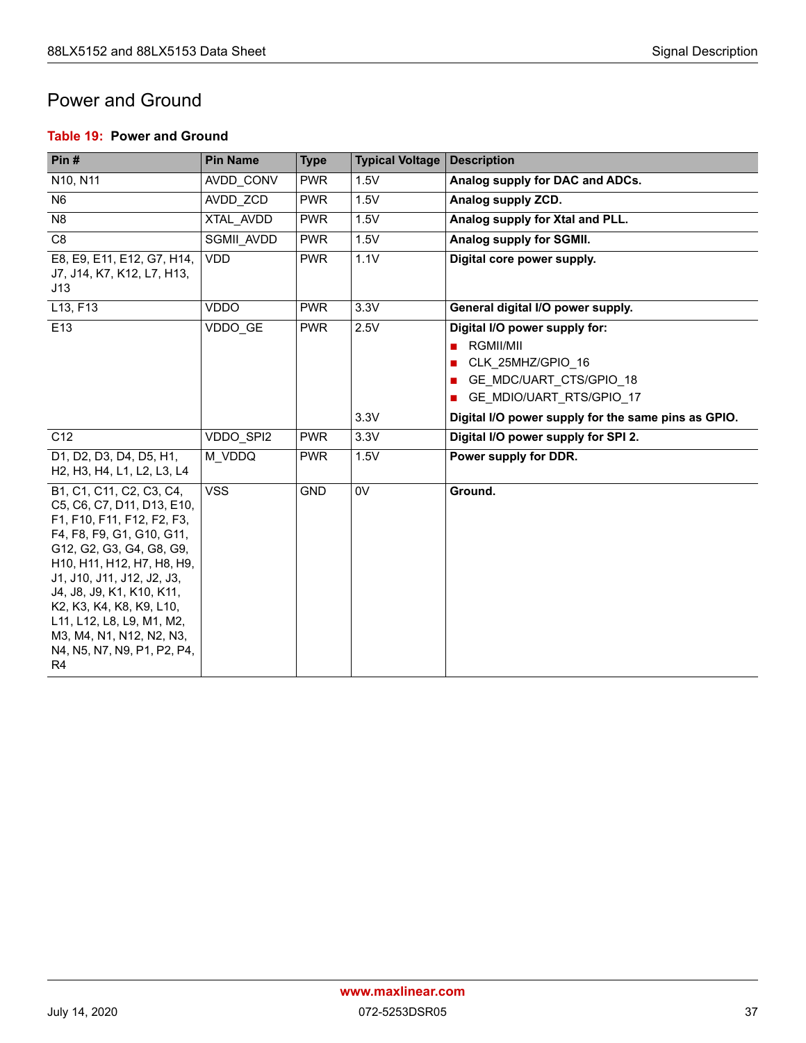### <span id="page-43-0"></span>Power and Ground

#### <span id="page-43-1"></span>**Table 19: Power and Ground**

| Pin#                                                                                                                                                                                                                                                                                                                                                                         | <b>Pin Name</b> | <b>Type</b> | <b>Typical Voltage</b> | <b>Description</b>                                                                                                                                                                 |
|------------------------------------------------------------------------------------------------------------------------------------------------------------------------------------------------------------------------------------------------------------------------------------------------------------------------------------------------------------------------------|-----------------|-------------|------------------------|------------------------------------------------------------------------------------------------------------------------------------------------------------------------------------|
| N10, N11                                                                                                                                                                                                                                                                                                                                                                     | AVDD CONV       | <b>PWR</b>  | 1.5V                   | Analog supply for DAC and ADCs.                                                                                                                                                    |
| N <sub>6</sub>                                                                                                                                                                                                                                                                                                                                                               | AVDD ZCD        | <b>PWR</b>  | 1.5V                   | Analog supply ZCD.                                                                                                                                                                 |
| N <sub>8</sub>                                                                                                                                                                                                                                                                                                                                                               | XTAL AVDD       | <b>PWR</b>  | 1.5V                   | Analog supply for Xtal and PLL.                                                                                                                                                    |
| C <sub>8</sub>                                                                                                                                                                                                                                                                                                                                                               | SGMII AVDD      | <b>PWR</b>  | 1.5V                   | Analog supply for SGMII.                                                                                                                                                           |
| E8, E9, E11, E12, G7, H14,<br>J7, J14, K7, K12, L7, H13,<br>J13                                                                                                                                                                                                                                                                                                              | <b>VDD</b>      | <b>PWR</b>  | 1.1V                   | Digital core power supply.                                                                                                                                                         |
| L13, F13                                                                                                                                                                                                                                                                                                                                                                     | <b>VDDO</b>     | <b>PWR</b>  | 3.3V                   | General digital I/O power supply.                                                                                                                                                  |
| E13                                                                                                                                                                                                                                                                                                                                                                          | VDDO GE         | <b>PWR</b>  | 2.5V<br>3.3V           | Digital I/O power supply for:<br>RGMII/MII<br>п<br>CLK 25MHZ/GPIO 16<br>GE MDC/UART CTS/GPIO 18<br>GE_MDIO/UART_RTS/GPIO_17<br>Digital I/O power supply for the same pins as GPIO. |
| C <sub>12</sub>                                                                                                                                                                                                                                                                                                                                                              | VDDO SPI2       | <b>PWR</b>  | 3.3V                   | Digital I/O power supply for SPI 2.                                                                                                                                                |
| D1, D2, D3, D4, D5, H1,<br>H <sub>2</sub> , H <sub>3</sub> , H <sub>4</sub> , L <sub>1</sub> , L <sub>2</sub> , L <sub>3</sub> , L <sub>4</sub>                                                                                                                                                                                                                              | M VDDQ          | <b>PWR</b>  | 1.5V                   | Power supply for DDR.                                                                                                                                                              |
| B1, C1, C11, C2, C3, C4,<br>C5, C6, C7, D11, D13, E10,<br>F1, F10, F11, F12, F2, F3,<br>F4, F8, F9, G1, G10, G11,<br>G12, G2, G3, G4, G8, G9,<br>H10, H11, H12, H7, H8, H9,<br>J1, J10, J11, J12, J2, J3,<br>J4, J8, J9, K1, K10, K11,<br>K2, K3, K4, K8, K9, L10,<br>L11, L12, L8, L9, M1, M2,<br>M3, M4, N1, N12, N2, N3,<br>N4, N5, N7, N9, P1, P2, P4,<br>R <sub>4</sub> | <b>VSS</b>      | <b>GND</b>  | 0V                     | Ground.                                                                                                                                                                            |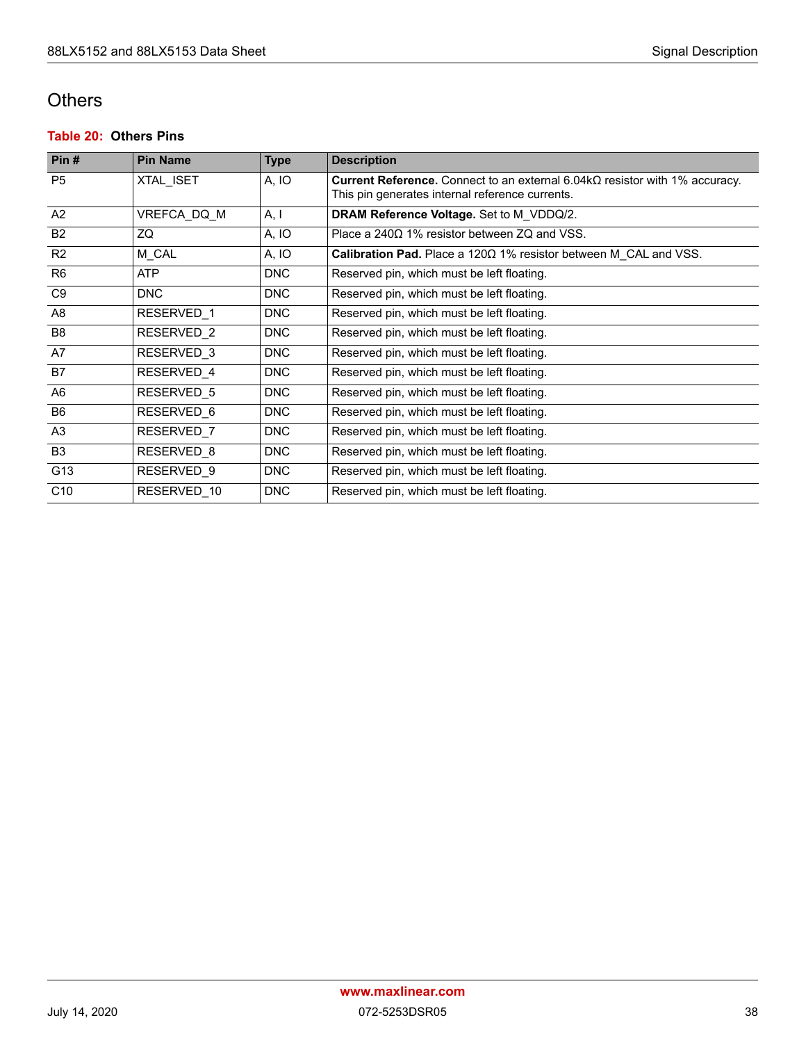### <span id="page-44-0"></span>**Others**

#### <span id="page-44-1"></span>**Table 20: Others Pins**

| Pin#            | <b>Pin Name</b> | <b>Type</b> | <b>Description</b>                                                                                                                    |
|-----------------|-----------------|-------------|---------------------------------------------------------------------------------------------------------------------------------------|
| P <sub>5</sub>  | XTAL ISET       | A, IO       | Current Reference. Connect to an external $6.04k\Omega$ resistor with 1% accuracy.<br>This pin generates internal reference currents. |
| A2              | VREFCA DQ M     | A, I        | DRAM Reference Voltage. Set to M_VDDQ/2.                                                                                              |
| <b>B2</b>       | ZQ              | A, IO       | Place a $240\Omega$ 1% resistor between ZQ and VSS.                                                                                   |
| R <sub>2</sub>  | M CAL           | A, IO       | Calibration Pad. Place a 1200 1% resistor between M CAL and VSS.                                                                      |
| R <sub>6</sub>  | <b>ATP</b>      | <b>DNC</b>  | Reserved pin, which must be left floating.                                                                                            |
| C <sub>9</sub>  | <b>DNC</b>      | <b>DNC</b>  | Reserved pin, which must be left floating.                                                                                            |
| A8              | RESERVED 1      | <b>DNC</b>  | Reserved pin, which must be left floating.                                                                                            |
| B <sub>8</sub>  | RESERVED 2      | <b>DNC</b>  | Reserved pin, which must be left floating.                                                                                            |
| A7              | RESERVED 3      | <b>DNC</b>  | Reserved pin, which must be left floating.                                                                                            |
| B7              | RESERVED 4      | <b>DNC</b>  | Reserved pin, which must be left floating.                                                                                            |
| A <sub>6</sub>  | RESERVED 5      | <b>DNC</b>  | Reserved pin, which must be left floating.                                                                                            |
| B <sub>6</sub>  | RESERVED 6      | <b>DNC</b>  | Reserved pin, which must be left floating.                                                                                            |
| A3              | RESERVED 7      | <b>DNC</b>  | Reserved pin, which must be left floating.                                                                                            |
| <b>B3</b>       | RESERVED 8      | <b>DNC</b>  | Reserved pin, which must be left floating.                                                                                            |
| G13             | RESERVED 9      | <b>DNC</b>  | Reserved pin, which must be left floating.                                                                                            |
| C <sub>10</sub> | RESERVED 10     | <b>DNC</b>  | Reserved pin, which must be left floating.                                                                                            |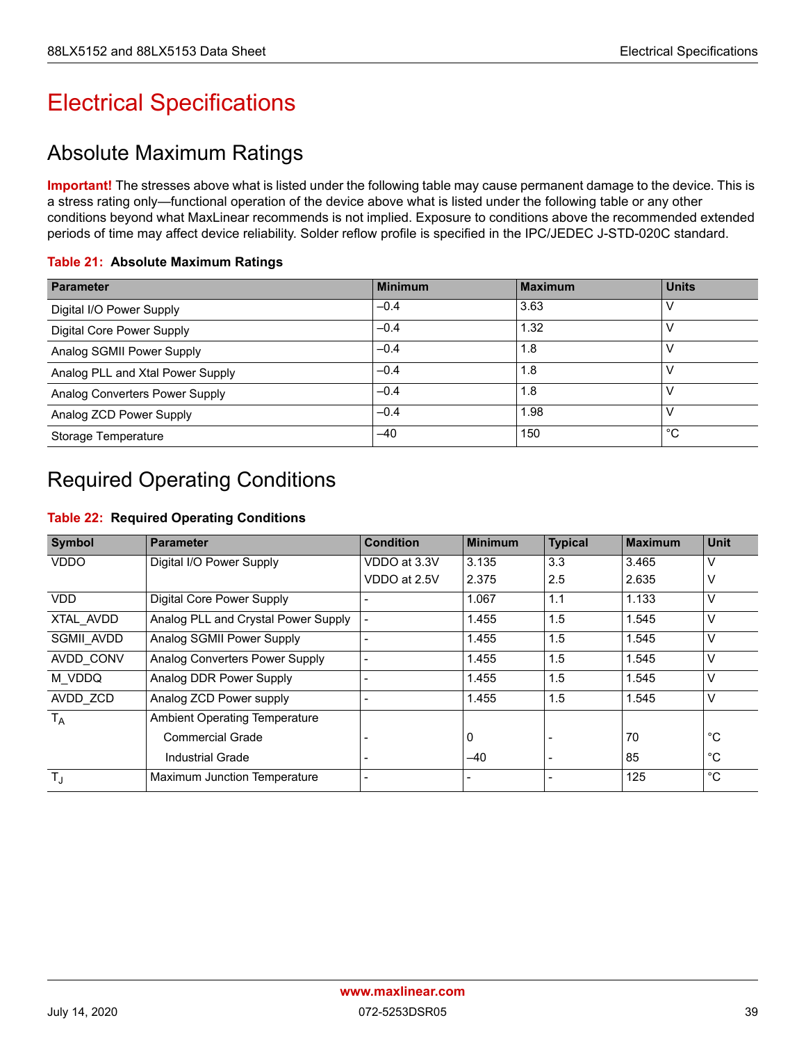# <span id="page-45-0"></span>Electrical Specifications

## <span id="page-45-1"></span>Absolute Maximum Ratings

**Important!** The stresses above what is listed under the following table may cause permanent damage to the device. This is a stress rating only—functional operation of the device above what is listed under the following table or any other conditions beyond what MaxLinear recommends is not implied. Exposure to conditions above the recommended extended periods of time may affect device reliability. Solder reflow profile is specified in the IPC/JEDEC J-STD-020C standard.

#### <span id="page-45-3"></span>**Table 21: Absolute Maximum Ratings**

| <b>Parameter</b>                 | <b>Minimum</b> | <b>Maximum</b> | <b>Units</b> |
|----------------------------------|----------------|----------------|--------------|
| Digital I/O Power Supply         | $-0.4$         | 3.63           |              |
| Digital Core Power Supply        | $-0.4$         | 1.32           |              |
| Analog SGMII Power Supply        | $-0.4$         | 1.8            |              |
| Analog PLL and Xtal Power Supply | $-0.4$         | 1.8            |              |
| Analog Converters Power Supply   | $-0.4$         | 1.8            |              |
| Analog ZCD Power Supply          | $-0.4$         | 1.98           |              |
| Storage Temperature              | $-40$          | 150            | °С           |

## <span id="page-45-2"></span>Required Operating Conditions

#### <span id="page-45-4"></span>**Table 22: Required Operating Conditions**

| <b>Symbol</b> | <b>Parameter</b>                     | <b>Condition</b> | <b>Minimum</b> | <b>Typical</b> | <b>Maximum</b> | <b>Unit</b>  |
|---------------|--------------------------------------|------------------|----------------|----------------|----------------|--------------|
| <b>VDDO</b>   | Digital I/O Power Supply             | VDDO at 3.3V     | 3.135          | 3.3            | 3.465          | V            |
|               |                                      | VDDO at 2.5V     | 2.375          | 2.5            | 2.635          | ٧            |
| <b>VDD</b>    | Digital Core Power Supply            |                  | 1.067          | 1.1            | 1.133          | V            |
| XTAL AVDD     | Analog PLL and Crystal Power Supply  |                  | 1.455          | 1.5            | 1.545          | V            |
| SGMII AVDD    | Analog SGMII Power Supply            |                  | 1.455          | 1.5            | 1.545          | V            |
| AVDD CONV     | Analog Converters Power Supply       |                  | 1.455          | 1.5            | 1.545          | V            |
| M VDDQ        | Analog DDR Power Supply              |                  | 1.455          | 1.5            | 1.545          | v            |
| AVDD ZCD      | Analog ZCD Power supply              |                  | 1.455          | 1.5            | 1.545          | V            |
| $T_A$         | <b>Ambient Operating Temperature</b> |                  |                |                |                |              |
|               | <b>Commercial Grade</b>              |                  | 0              |                | 70             | °C           |
|               | Industrial Grade                     |                  | $-40$          |                | 85             | $^{\circ}$ C |
| $T_{\rm J}$   | Maximum Junction Temperature         |                  |                |                | 125            | $^{\circ}$ C |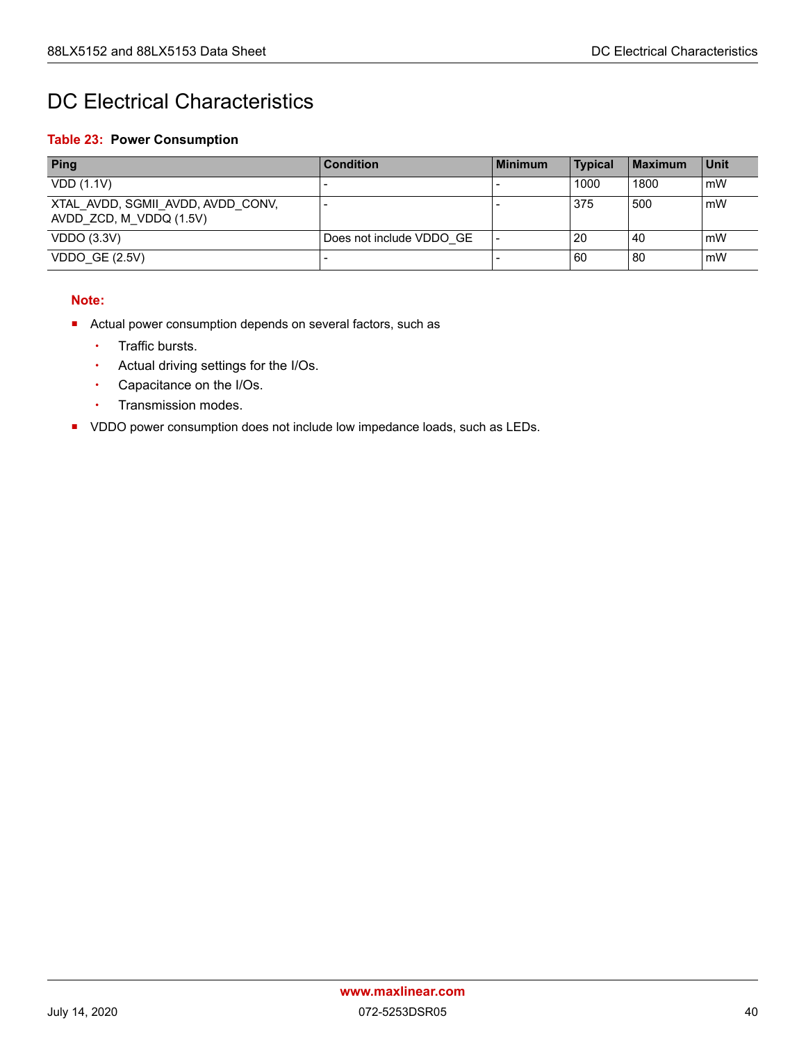## <span id="page-46-0"></span>DC Electrical Characteristics

#### <span id="page-46-1"></span>**Table 23: Power Consumption**

| <b>Ping</b>                                                  | <b>Condition</b>         | l Minimum | <b>Typical</b> | Maximum | <b>Unit</b> |
|--------------------------------------------------------------|--------------------------|-----------|----------------|---------|-------------|
| VDD(1.1V)                                                    |                          |           | 1000           | 1800    | mW          |
| XTAL AVDD, SGMII AVDD, AVDD CONV,<br>AVDD ZCD, M VDDQ (1.5V) |                          |           | 375            | 500     | mW          |
| <b>VDDO (3.3V)</b>                                           | Does not include VDDO GE |           | -20            | 40      | mW          |
| VDDO GE $(2.5V)$                                             |                          |           | l 60           | -80     | mW          |

#### **Note:**

- Actual power consumption depends on several factors, such as
	- Traffic bursts.
	- Actual driving settings for the I/Os.
	- Capacitance on the I/Os.
	- Transmission modes.
- **VDDO power consumption does not include low impedance loads, such as LEDs.**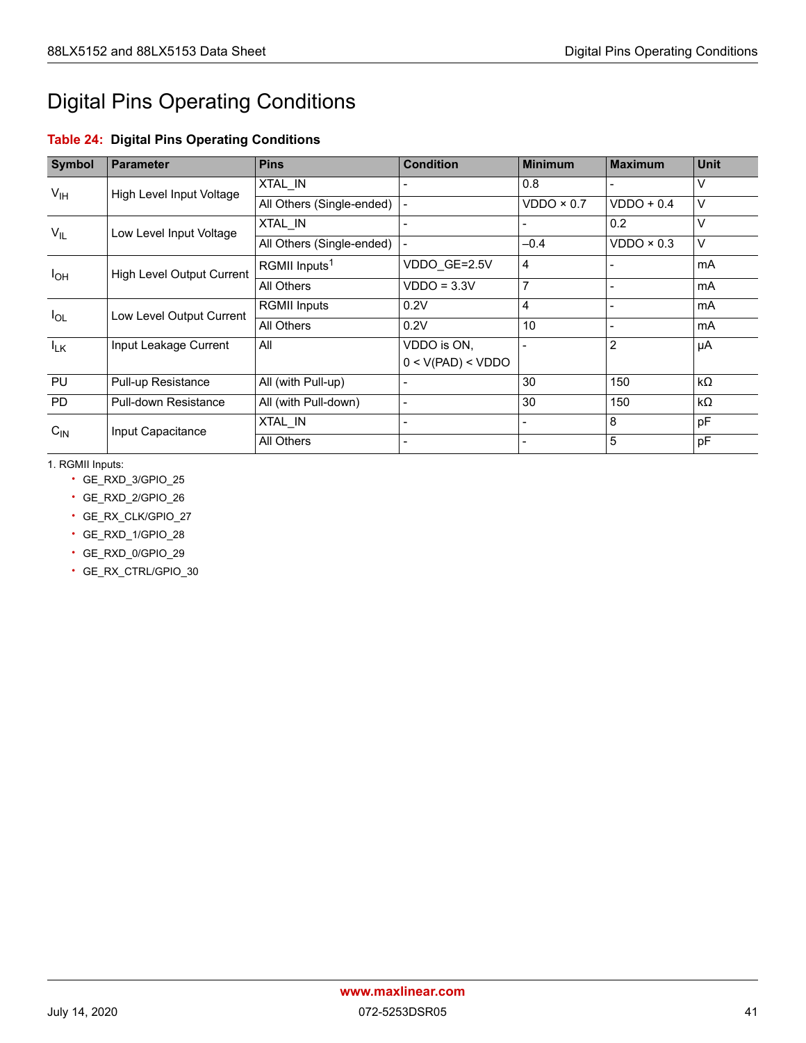# <span id="page-47-0"></span>Digital Pins Operating Conditions

### <span id="page-47-1"></span>**Table 24: Digital Pins Operating Conditions**

| <b>Symbol</b>                        | <b>Parameter</b>                 | <b>Pins</b>               | <b>Condition</b>  | <b>Minimum</b> | <b>Maximum</b>    | <b>Unit</b> |
|--------------------------------------|----------------------------------|---------------------------|-------------------|----------------|-------------------|-------------|
| V <sub>IH</sub>                      |                                  | XTAL IN                   |                   | 0.8            |                   | $\vee$      |
|                                      | High Level Input Voltage         | All Others (Single-ended) |                   | VDDO × 0.7     | $VDDO + 0.4$      | $\vee$      |
| $V_{IL}$                             | Low Level Input Voltage          | XTAL IN                   |                   |                | 0.2               | $\vee$      |
|                                      |                                  | All Others (Single-ended) |                   | $-0.4$         | $VDDO \times 0.3$ | $\vee$      |
| $I_{OH}$                             | <b>High Level Output Current</b> | RGMII Inputs <sup>1</sup> | VDDO GE=2.5V      | $\overline{4}$ |                   | mA          |
|                                      | All Others                       | $VDDO = 3.3V$             | 7                 |                | mA                |             |
|                                      |                                  | <b>RGMII Inputs</b>       | 0.2V              | $\overline{4}$ |                   | mA          |
| Low Level Output Current<br>$I_{OL}$ |                                  | All Others                | 0.2V              | 10             |                   | mA          |
| $I_{LK}$                             | Input Leakage Current            | All                       | VDDO is ON,       |                | $\overline{2}$    | μA          |
|                                      |                                  |                           | 0 < V(PAD) < VDDO |                |                   |             |
| PU                                   | Pull-up Resistance               | All (with Pull-up)        |                   | 30             | 150               | $k\Omega$   |
| <b>PD</b>                            | Pull-down Resistance             | All (with Pull-down)      |                   | 30             | 150               | $k\Omega$   |
|                                      |                                  | XTAL IN                   |                   |                | 8                 | pF          |
| $C_{\text{IN}}$                      | Input Capacitance                | All Others                |                   |                | 5                 | pF          |

1. RGMII Inputs:

- GE\_RXD\_3/GPIO\_25
- GE\_RXD\_2/GPIO\_26
- GE\_RX\_CLK/GPIO\_27
- GE\_RXD\_1/GPIO\_28
- GE\_RXD\_0/GPIO\_29
- GE\_RX\_CTRL/GPIO\_30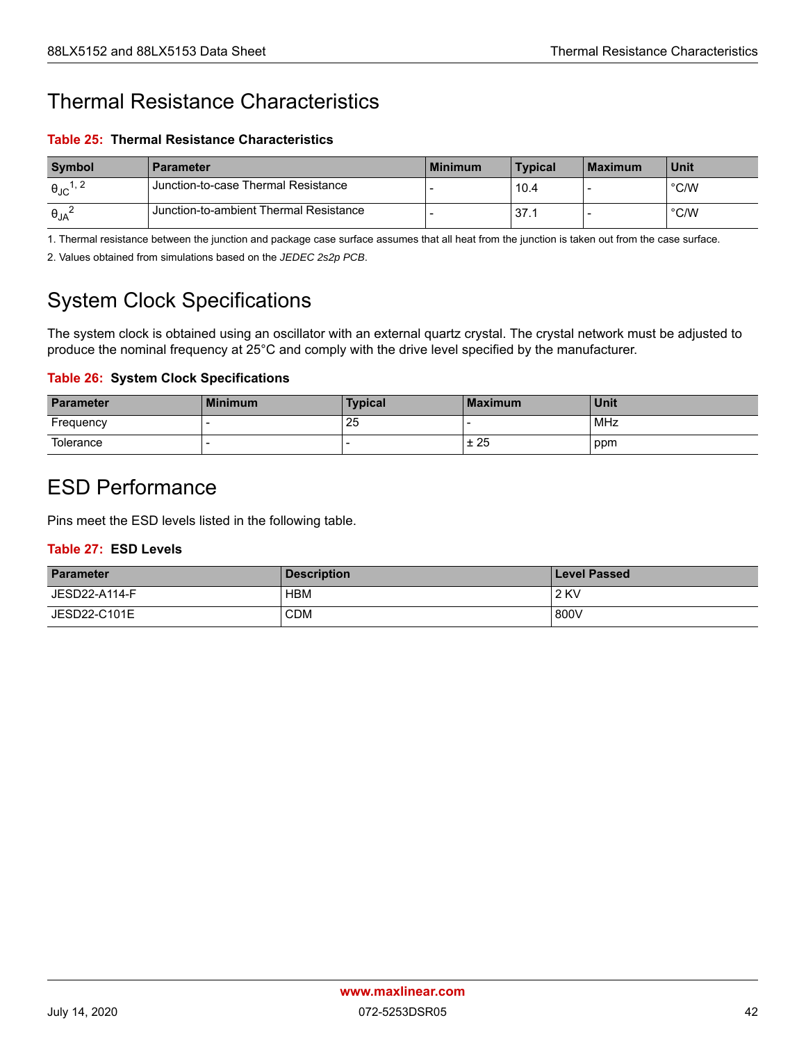## <span id="page-48-0"></span>Thermal Resistance Characteristics

<span id="page-48-3"></span>**Table 25: Thermal Resistance Characteristics**

| Symbol                      | <b>Parameter</b>                       | l Minimum | <b>Typical</b> | l Maximum | <b>Unit</b>   |
|-----------------------------|----------------------------------------|-----------|----------------|-----------|---------------|
| $\theta_{\text{JC}}^{1, 2}$ | Junction-to-case Thermal Resistance    |           | 10.4           |           | $\degree$ C/W |
| $\Theta_{JA}$               | Junction-to-ambient Thermal Resistance |           | 37.1           |           | $\degree$ C/W |

1. Thermal resistance between the junction and package case surface assumes that all heat from the junction is taken out from the case surface.

2. Values obtained from simulations based on the *JEDEC 2s2p PCB*.

## <span id="page-48-1"></span>System Clock Specifications

The system clock is obtained using an oscillator with an external quartz crystal. The crystal network must be adjusted to produce the nominal frequency at 25°C and comply with the drive level specified by the manufacturer.

#### <span id="page-48-4"></span>**Table 26: System Clock Specifications**

| <b>Parameter</b> | <b>Minimum</b> | <b>Typical</b> | <b>Maximum</b> | <b>Unit</b> |
|------------------|----------------|----------------|----------------|-------------|
| Frequency        |                | 25             |                | MHz         |
| Tolerance        |                |                | ± 25           | ppm         |

## <span id="page-48-2"></span>ESD Performance

Pins meet the ESD levels listed in the following table.

#### <span id="page-48-5"></span>**Table 27: ESD Levels**

| <b>Parameter</b> | <b>Description</b> | <b>Level Passed</b> |
|------------------|--------------------|---------------------|
| JESD22-A114-F    | <b>HBM</b>         | <b>2 KV</b>         |
| JESD22-C101E     | <b>CDM</b>         | 800V                |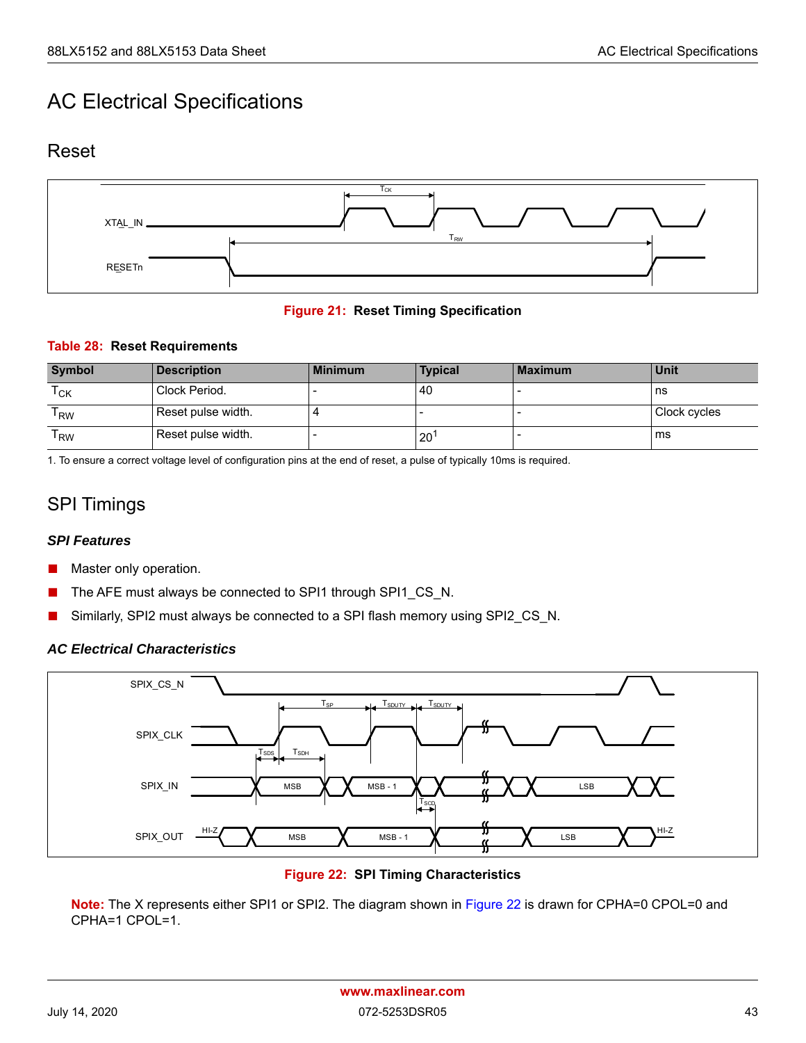## <span id="page-49-0"></span>AC Electrical Specifications

### <span id="page-49-1"></span>Reset



#### **Figure 21: Reset Timing Specification**

#### <span id="page-49-5"></span><span id="page-49-3"></span>**Table 28: Reset Requirements**

| <b>Symbol</b>              | <b>Description</b> | <b>Minimum</b> | <b>Typical</b> | Maximum | Unit         |
|----------------------------|--------------------|----------------|----------------|---------|--------------|
| $\mathsf{T}_{\mathsf{CK}}$ | Clock Period.      |                | 40             |         | ns           |
| l RW                       | Reset pulse width. |                |                |         | Clock cycles |
| l RW                       | Reset pulse width. |                | $20^{\circ}$   |         | ms           |

1. To ensure a correct voltage level of configuration pins at the end of reset, a pulse of typically 10ms is required.

### <span id="page-49-2"></span>SPI Timings

#### *SPI Features*

- Master only operation.
- The AFE must always be connected to SPI1 through SPI1\_CS\_N.
- Similarly, SPI2 must always be connected to a SPI flash memory using SPI2\_CS\_N.

#### *AC Electrical Characteristics*



**Figure 22: SPI Timing Characteristics**

<span id="page-49-4"></span>**Note:** The X represents either SPI1 or SPI2. The diagram shown in [Figure 22](#page-49-4) is drawn for CPHA=0 CPOL=0 and CPHA=1 CPOL=1.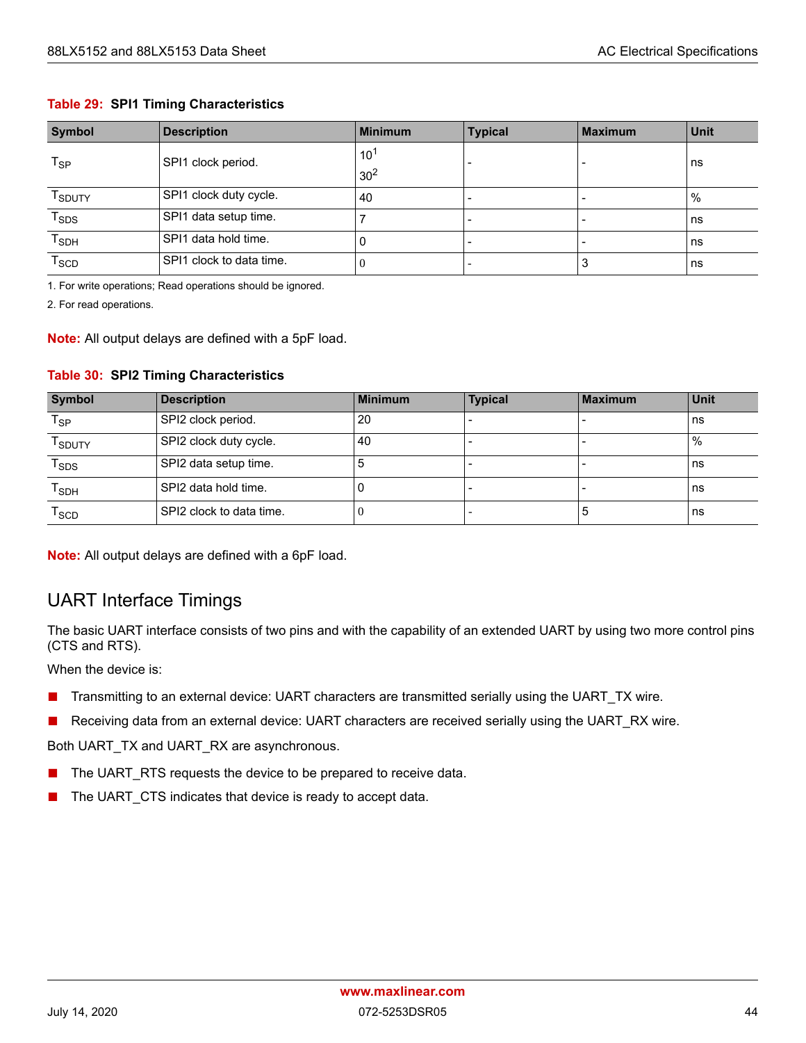#### <span id="page-50-1"></span>**Table 29: SPI1 Timing Characteristics**

| <b>Symbol</b>              | <b>Description</b>       | <b>Minimum</b>  | <b>Typical</b> | <b>Maximum</b> | <b>Unit</b> |
|----------------------------|--------------------------|-----------------|----------------|----------------|-------------|
| $\mathsf{T}_{\mathsf{SP}}$ | SPI1 clock period.       | $10^{1}$        |                |                | ns          |
|                            |                          | 30 <sup>2</sup> |                |                |             |
| T <sub>SDUTY</sub>         | SPI1 clock duty cycle.   | 40              |                |                | %           |
| $T_{SDS}$                  | SPI1 data setup time.    |                 |                | $\blacksquare$ | ns          |
| $T_{SDH}$                  | SPI1 data hold time.     | υ               |                |                | ns          |
| $T_{SCD}$                  | SPI1 clock to data time. | v               |                | చ              | ns          |

1. For write operations; Read operations should be ignored.

2. For read operations.

**Note:** All output delays are defined with a 5pF load.

#### <span id="page-50-2"></span>**Table 30: SPI2 Timing Characteristics**

| <b>Symbol</b>               | <b>Description</b>       | <b>Minimum</b> | <b>Typical</b> | <b>Maximum</b> | <b>Unit</b> |
|-----------------------------|--------------------------|----------------|----------------|----------------|-------------|
| $\mathsf{T}_{\mathsf{SP}}$  | SPI2 clock period.       | 20             |                |                | ns          |
| T <sub>SDUTY</sub>          | SPI2 clock duty cycle.   | 40             |                |                | $\%$        |
| $T_{SDS}$                   | SPI2 data setup time.    |                |                |                | ns          |
| $\mathsf{T}_{\mathsf{SDH}}$ | SPI2 data hold time.     |                |                |                | ns          |
| $\mathsf{T}_{\texttt{SCD}}$ | SPI2 clock to data time. |                |                | ు              | ns          |

**Note:** All output delays are defined with a 6pF load.

### <span id="page-50-0"></span>UART Interface Timings

The basic UART interface consists of two pins and with the capability of an extended UART by using two more control pins (CTS and RTS).

When the device is:

- Transmitting to an external device: UART characters are transmitted serially using the UART\_TX wire.
- Receiving data from an external device: UART characters are received serially using the UART\_RX wire.

Both UART\_TX and UART\_RX are asynchronous.

- The UART\_RTS requests the device to be prepared to receive data.
- The UART\_CTS indicates that device is ready to accept data.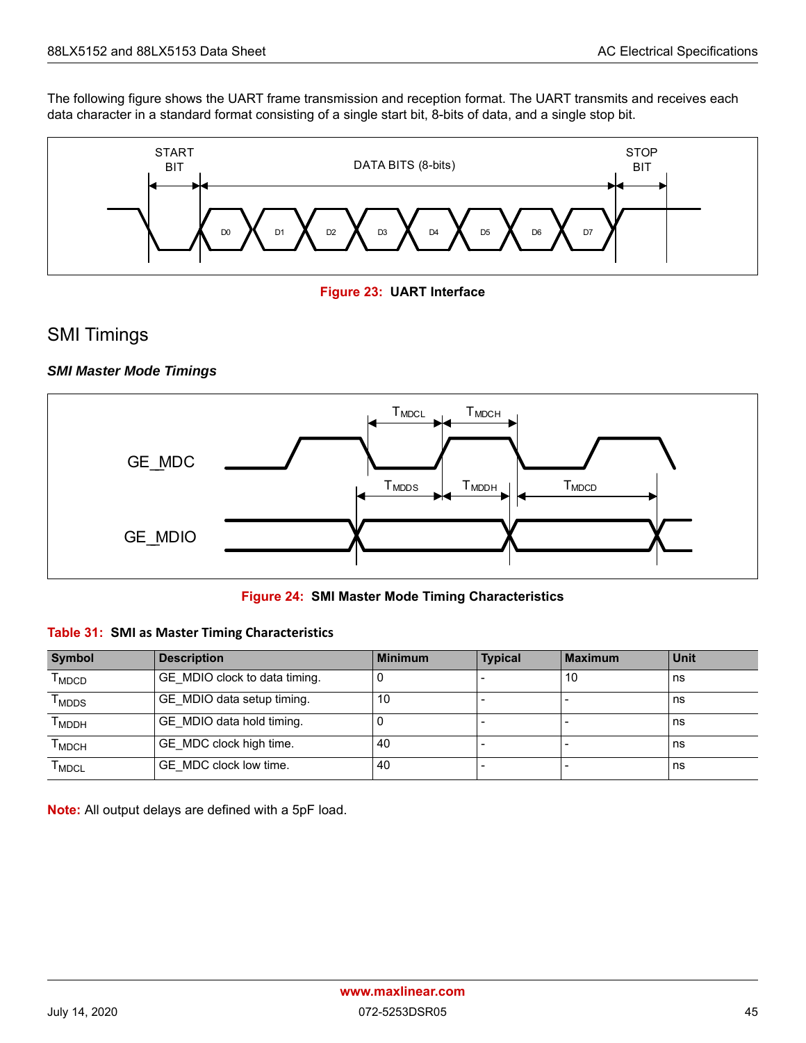The following figure shows the UART frame transmission and reception format. The UART transmits and receives each data character in a standard format consisting of a single start bit, 8-bits of data, and a single stop bit.



**Figure 23: UART Interface**

### <span id="page-51-1"></span><span id="page-51-0"></span>SMI Timings

#### *SMI Master Mode Timings*



**Figure 24: SMI Master Mode Timing Characteristics**

#### <span id="page-51-3"></span><span id="page-51-2"></span>**Table 31: SMI as Master Timing Characteristics**

| <b>Symbol</b>                     | <b>Description</b>            | <b>Minimum</b> | <b>Typical</b> | <b>Maximum</b> | Unit |
|-----------------------------------|-------------------------------|----------------|----------------|----------------|------|
| $\mathsf{T}_{\mathsf{MDCD}}$      | GE MDIO clock to data timing. |                |                | 10             | ns   |
| $\mathsf{\Gamma}_{\mathsf{MDDS}}$ | GE_MDIO data setup timing.    | 10             |                |                | ns   |
| т <sub>мррн</sub>                 | GE MDIO data hold timing.     |                |                |                | ns   |
| Т <sub>МDСН</sub>                 | GE MDC clock high time.       | 40             |                |                | ns   |
| l <sub>MDCL</sub>                 | GE MDC clock low time.        | 40             |                |                | ns   |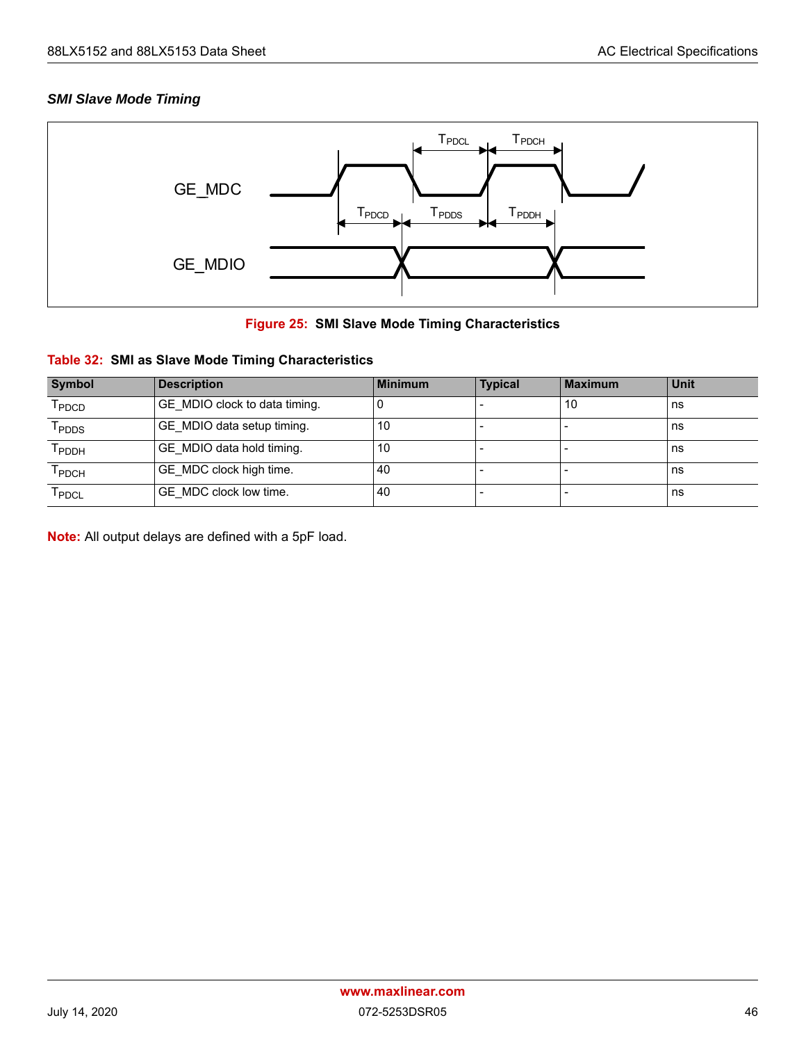#### *SMI Slave Mode Timing*



#### **Figure 25: SMI Slave Mode Timing Characteristics**

#### <span id="page-52-1"></span><span id="page-52-0"></span>**Table 32: SMI as Slave Mode Timing Characteristics**

| <b>Symbol</b>                | <b>Description</b>            | <b>Minimum</b> | <b>Typical</b> | <b>Maximum</b> | Unit |
|------------------------------|-------------------------------|----------------|----------------|----------------|------|
| T <sub>PDCD</sub>            | GE MDIO clock to data timing. |                |                | 10             | ns   |
| $\mathsf{T}_{\mathsf{PDDS}}$ | GE MDIO data setup timing.    | 10             |                |                | ns   |
| Т <sub>РDDН</sub>            | GE MDIO data hold timing.     | 10             |                |                | ns   |
| T <sub>PDCH</sub>            | GE MDC clock high time.       | 40             |                |                | ns   |
| $\mathsf{T}_{\mathsf{PDCL}}$ | GE MDC clock low time.        | 40             |                |                | ns   |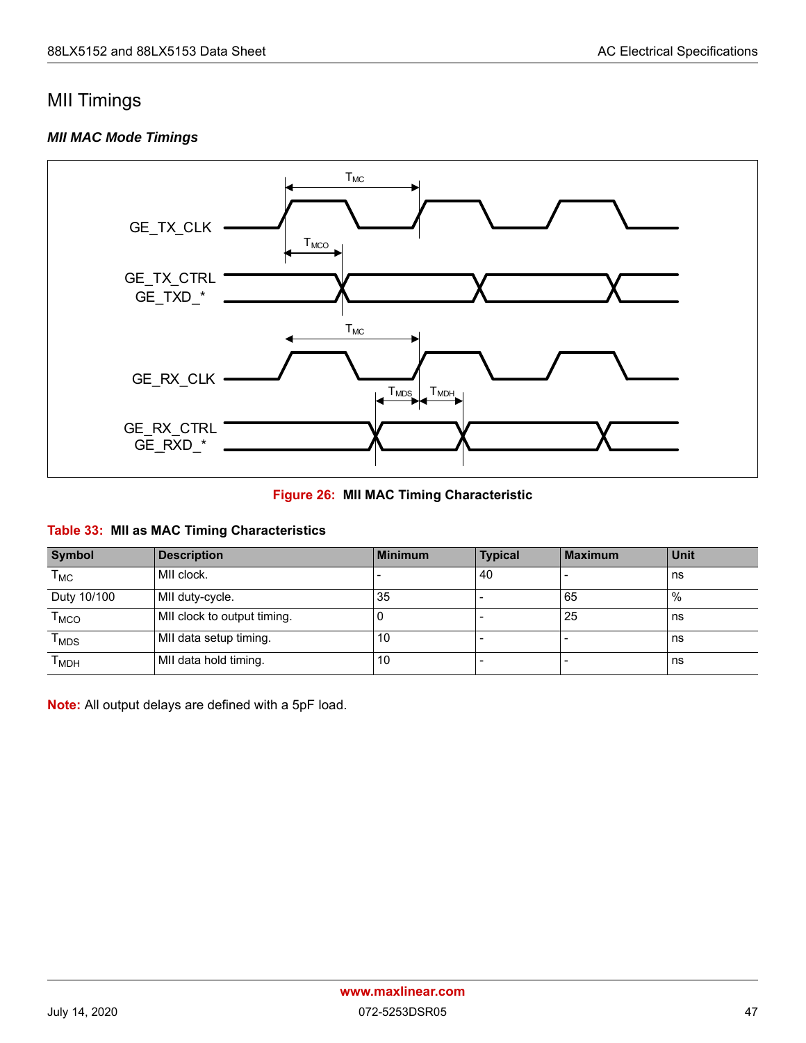### <span id="page-53-0"></span>MII Timings

#### *MII MAC Mode Timings*



**Figure 26: MII MAC Timing Characteristic**

#### <span id="page-53-2"></span><span id="page-53-1"></span>**Table 33: MII as MAC Timing Characteristics**

| <b>Symbol</b>                    | <b>Description</b>          | <b>Minimum</b> | <b>Typical</b> | <b>Maximum</b> | Unit |
|----------------------------------|-----------------------------|----------------|----------------|----------------|------|
| $\mathsf{T}_{\mathsf{MC}}$       | MII clock.                  |                | 40             |                | ns   |
| Duty 10/100                      | MII duty-cycle.             | 35             |                | 65             | $\%$ |
| $\mathsf{T}_{\mathsf{MCO}}$      | MII clock to output timing. |                |                | 25             | ns   |
| $\mathsf{\Gamma}_{\mathsf{MDS}}$ | MII data setup timing.      | 10             |                |                | ns   |
| Т <sub>мрн</sub>                 | MII data hold timing.       | 10             |                |                | ns   |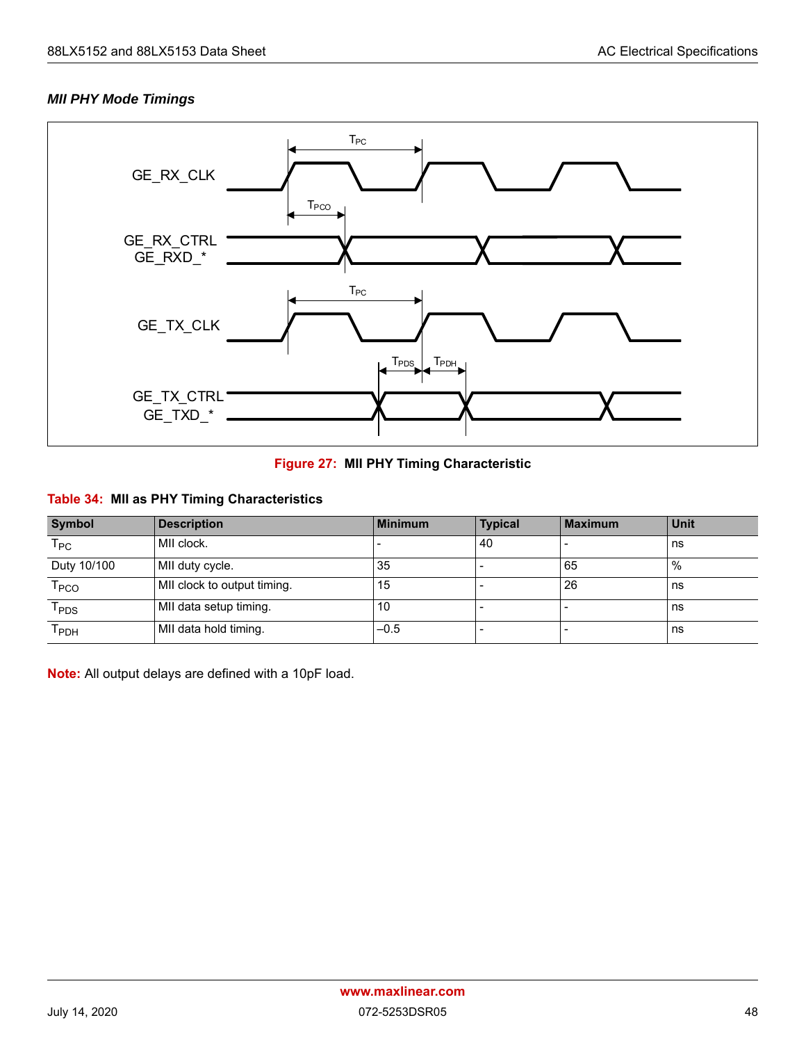#### *MII PHY Mode Timings*



#### **Figure 27: MII PHY Timing Characteristic**

### <span id="page-54-1"></span><span id="page-54-0"></span>**Table 34: MII as PHY Timing Characteristics**

| <b>Symbol</b>               | <b>Description</b>          | Minimum | <b>Typical</b> | <b>Maximum</b> | <b>Unit</b> |
|-----------------------------|-----------------------------|---------|----------------|----------------|-------------|
| $\mathsf{T}_{\mathsf{PC}}$  | MII clock.                  |         | 40             |                | ns          |
| Duty 10/100                 | MII duty cycle.             | 35      |                | 65             | %           |
| $\mathsf{T}_{\mathsf{PCO}}$ | MII clock to output timing. | 15      |                | 26             | ns          |
| $\mathsf{T}_\mathsf{PDS}$   | MII data setup timing.      | 10      |                |                | ns          |
| Т <sub>РDН</sub>            | MII data hold timing.       | $-0.5$  |                |                | ns          |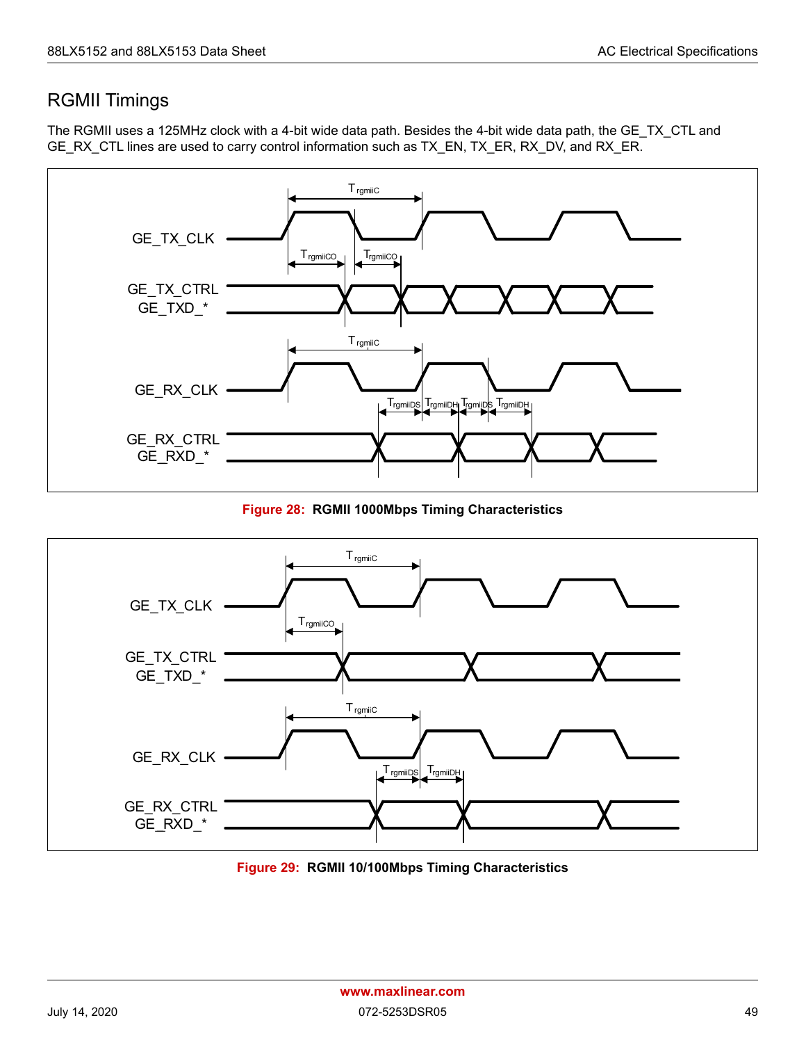### <span id="page-55-0"></span>RGMII Timings

The RGMII uses a 125MHz clock with a 4-bit wide data path. Besides the 4-bit wide data path, the GE\_TX\_CTL and GE\_RX\_CTL lines are used to carry control information such as TX\_EN, TX\_ER, RX\_DV, and RX\_ER.



**Figure 28: RGMII 1000Mbps Timing Characteristics**

<span id="page-55-1"></span>

<span id="page-55-2"></span>**Figure 29: RGMII 10/100Mbps Timing Characteristics**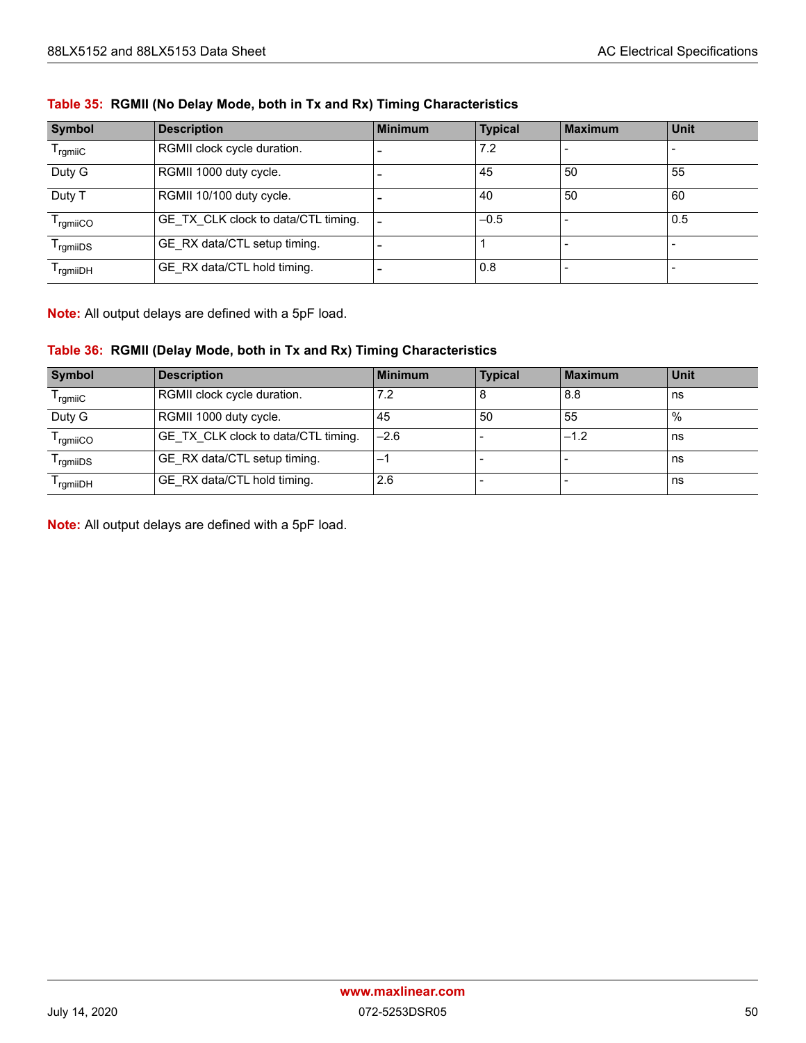| Symbol               | <b>Description</b>                  | <b>Minimum</b> | <b>Typical</b> | <b>Maximum</b> | Unit |
|----------------------|-------------------------------------|----------------|----------------|----------------|------|
| $T_{rgmiC}$          | RGMII clock cycle duration.         |                | 7.2            |                |      |
| Duty G               | RGMII 1000 duty cycle.              |                | 45             | 50             | 55   |
| Duty T               | RGMII 10/100 duty cycle.            |                | 40             | 50             | 60   |
| $T_{rgmiCO}$         | GE TX CLK clock to data/CTL timing. |                | $-0.5$         |                | 0.5  |
| <sup>I</sup> rgmiiDS | GE RX data/CTL setup timing.        |                |                |                |      |
| I ramiiDH            | GE RX data/CTL hold timing.         |                | 0.8            |                |      |

#### <span id="page-56-0"></span>**Table 35: RGMII (No Delay Mode, both in Tx and Rx) Timing Characteristics**

**Note:** All output delays are defined with a 5pF load.

#### <span id="page-56-1"></span>**Table 36: RGMII (Delay Mode, both in Tx and Rx) Timing Characteristics**

| <b>Symbol</b>        | <b>Description</b>                         | <b>Minimum</b> | <b>Typical</b> | <b>Maximum</b> | Unit |
|----------------------|--------------------------------------------|----------------|----------------|----------------|------|
| l <sub>rqmii</sub> C | RGMII clock cycle duration.                | 7.2            |                | 8.8            | ns   |
| Duty G               | RGMII 1000 duty cycle.                     | 45             | 50             | 55             | $\%$ |
| <sup>1</sup> ramiiCO | <b>GE TX CLK clock to data/CTL timing.</b> | $-2.6$         |                | $-1.2$         | ns   |
| <sup>I</sup> rgmiiDS | GE RX data/CTL setup timing.               |                |                |                | ns   |
| <sup>I</sup> rgmiiDH | GE RX data/CTL hold timing.                | 2.6            |                |                | ns   |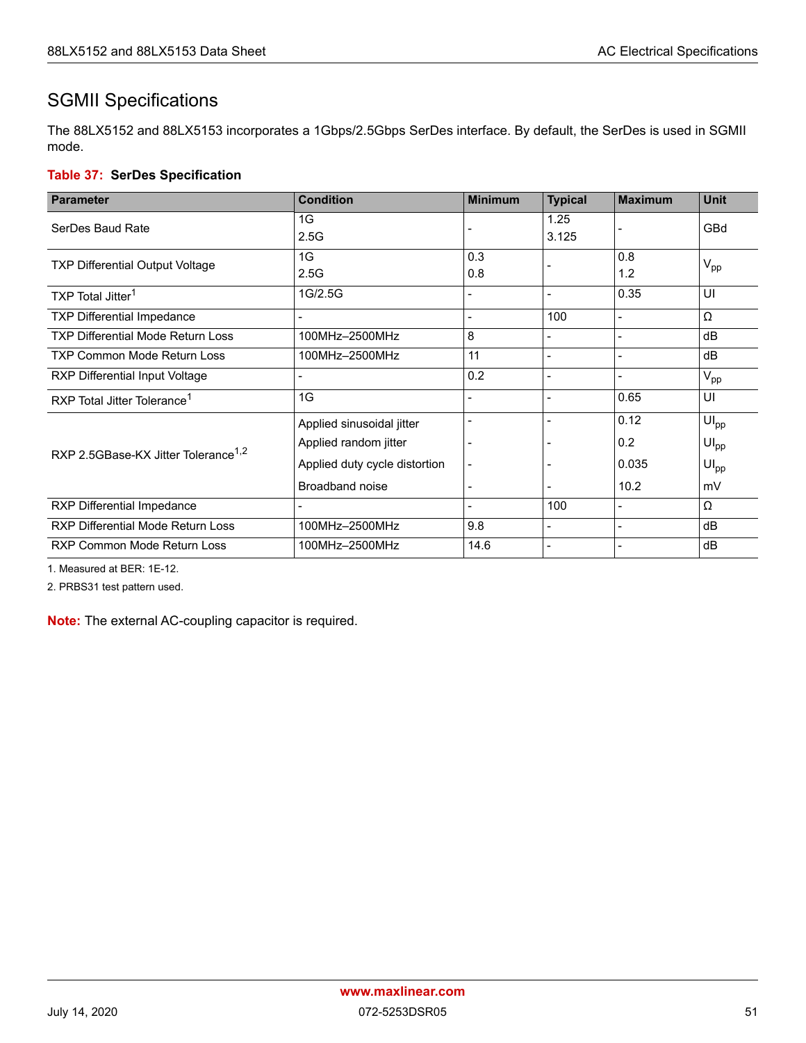### <span id="page-57-0"></span>SGMII Specifications

The 88LX5152 and 88LX5153 incorporates a 1Gbps/2.5Gbps SerDes interface. By default, the SerDes is used in SGMII mode.

#### <span id="page-57-1"></span>**Table 37: SerDes Specification**

| <b>Parameter</b>                                | <b>Condition</b>              | <b>Minimum</b>           | <b>Typical</b> | <b>Maximum</b> | <b>Unit</b>      |
|-------------------------------------------------|-------------------------------|--------------------------|----------------|----------------|------------------|
| SerDes Baud Rate                                | 1G<br>2.5G                    |                          | 1.25<br>3.125  |                | GBd              |
| <b>TXP Differential Output Voltage</b>          | 1G<br>2.5G                    | 0.3<br>0.8               |                | 0.8<br>1.2     | $V_{\text{pp}}$  |
| TXP Total Jitter <sup>1</sup>                   | 1G/2.5G                       |                          |                | 0.35           | UI               |
| <b>TXP Differential Impedance</b>               |                               | $\overline{\phantom{0}}$ | 100            |                | Ω                |
| <b>TXP Differential Mode Return Loss</b>        | 100MHz-2500MHz                | 8                        |                |                | dB               |
| <b>TXP Common Mode Return Loss</b>              | 100MHz-2500MHz                | 11                       |                |                | dB               |
| <b>RXP Differential Input Voltage</b>           |                               | 0.2                      |                |                | $V_{\text{pp}}$  |
| RXP Total Jitter Tolerance <sup>1</sup>         | 1G                            | $\overline{\phantom{0}}$ |                | 0.65           | UI               |
|                                                 | Applied sinusoidal jitter     |                          |                | 0.12           | $UI_{\text{pp}}$ |
| RXP 2.5GBase-KX Jitter Tolerance <sup>1,2</sup> | Applied random jitter         |                          |                | 0.2            | $UI_{\text{pp}}$ |
|                                                 | Applied duty cycle distortion |                          |                | 0.035          | $UI_{\text{pp}}$ |
|                                                 | Broadband noise               | $\overline{\phantom{0}}$ |                | 10.2           | mV               |
| RXP Differential Impedance                      |                               | $\overline{\phantom{0}}$ | 100            |                | Ω                |
| <b>RXP Differential Mode Return Loss</b>        | 100MHz-2500MHz                | 9.8                      |                | $\blacksquare$ | dB               |
| <b>RXP Common Mode Return Loss</b>              | 100MHz-2500MHz                | 14.6                     |                |                | dB               |

1. Measured at BER: 1E-12.

2. PRBS31 test pattern used.

**Note:** The external AC-coupling capacitor is required.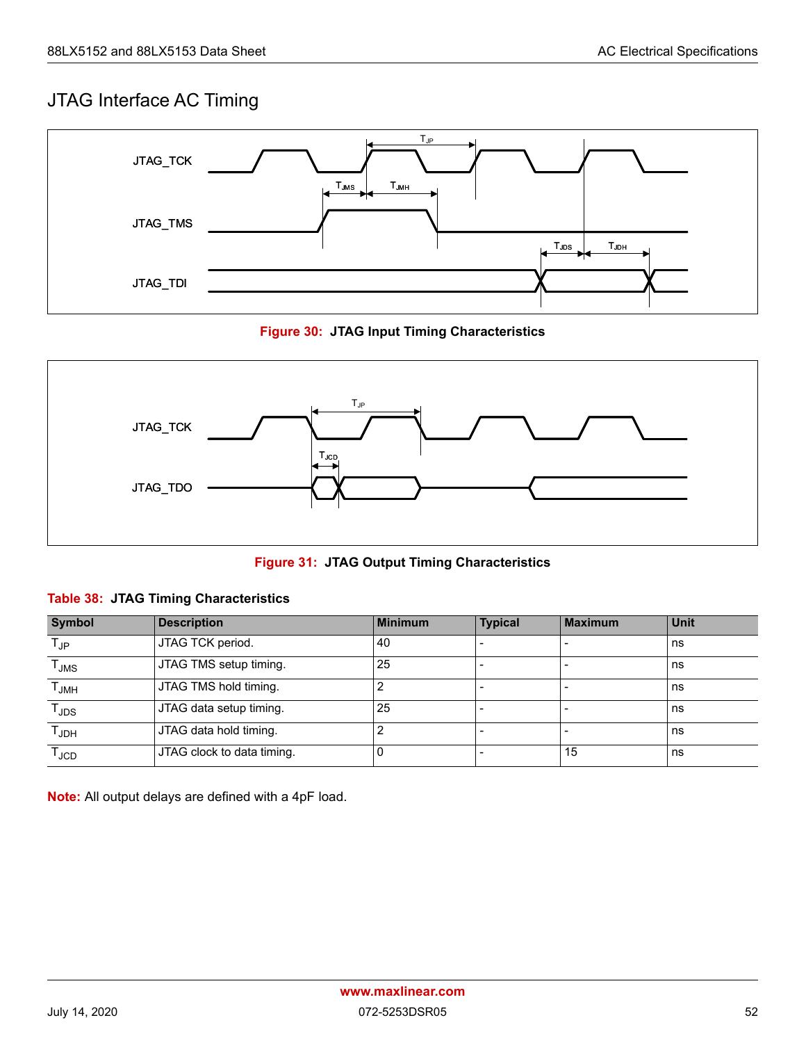### <span id="page-58-0"></span>JTAG Interface AC Timing



**Figure 30: JTAG Input Timing Characteristics**

<span id="page-58-1"></span>

**Figure 31: JTAG Output Timing Characteristics**

#### <span id="page-58-3"></span><span id="page-58-2"></span>**Table 38: JTAG Timing Characteristics**

| <b>Symbol</b>      | <b>Description</b>         | <b>Minimum</b> | <b>Typical</b> | <b>Maximum</b> | <b>Unit</b> |
|--------------------|----------------------------|----------------|----------------|----------------|-------------|
| $T_{\sf JP}$       | JTAG TCK period.           | 40             |                |                | ns          |
| $\mathsf{T_{JMS}}$ | JTAG TMS setup timing.     | 25             |                |                | ns          |
| $T_{JMH}$          | JTAG TMS hold timing.      |                |                |                | ns          |
| T <sub>JDS</sub>   | JTAG data setup timing.    | 25             |                |                | ns          |
| $T_{\sf JDH}$      | JTAG data hold timing.     |                |                |                | ns          |
| $T_{JCD}$          | JTAG clock to data timing. |                |                | 15             | ns          |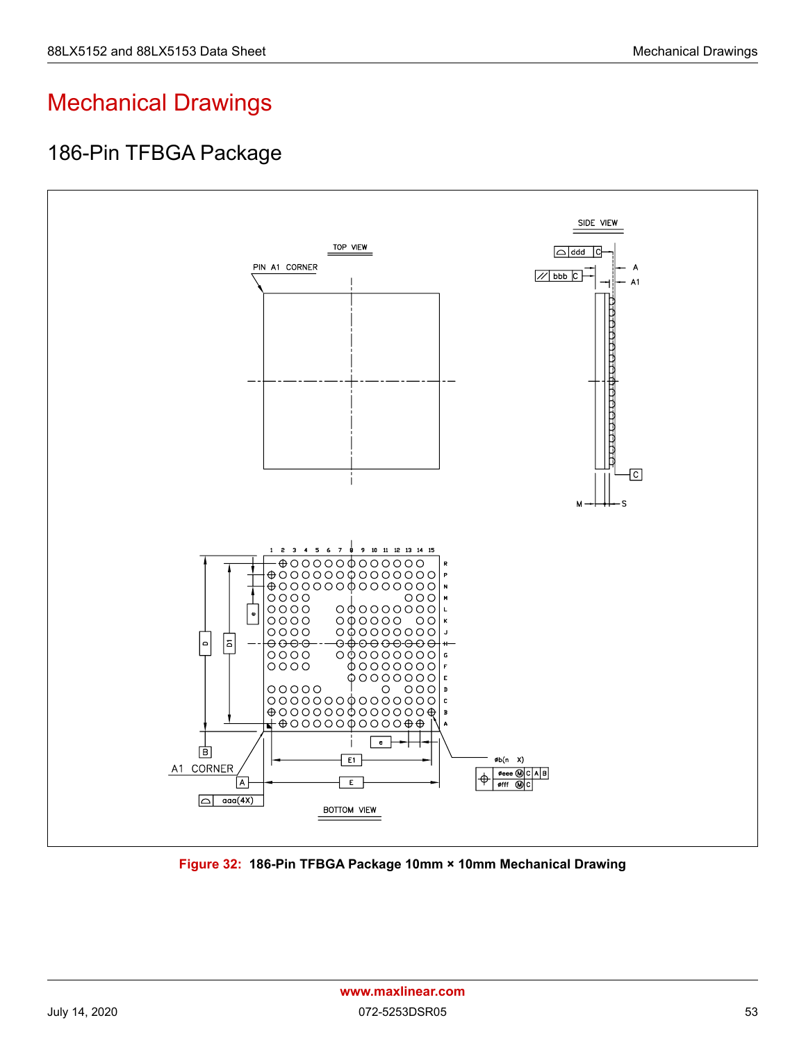# <span id="page-59-0"></span>Mechanical Drawings

### <span id="page-59-1"></span>186-Pin TFBGA Package



<span id="page-59-2"></span>**Figure 32: 186-Pin TFBGA Package 10mm × 10mm Mechanical Drawing**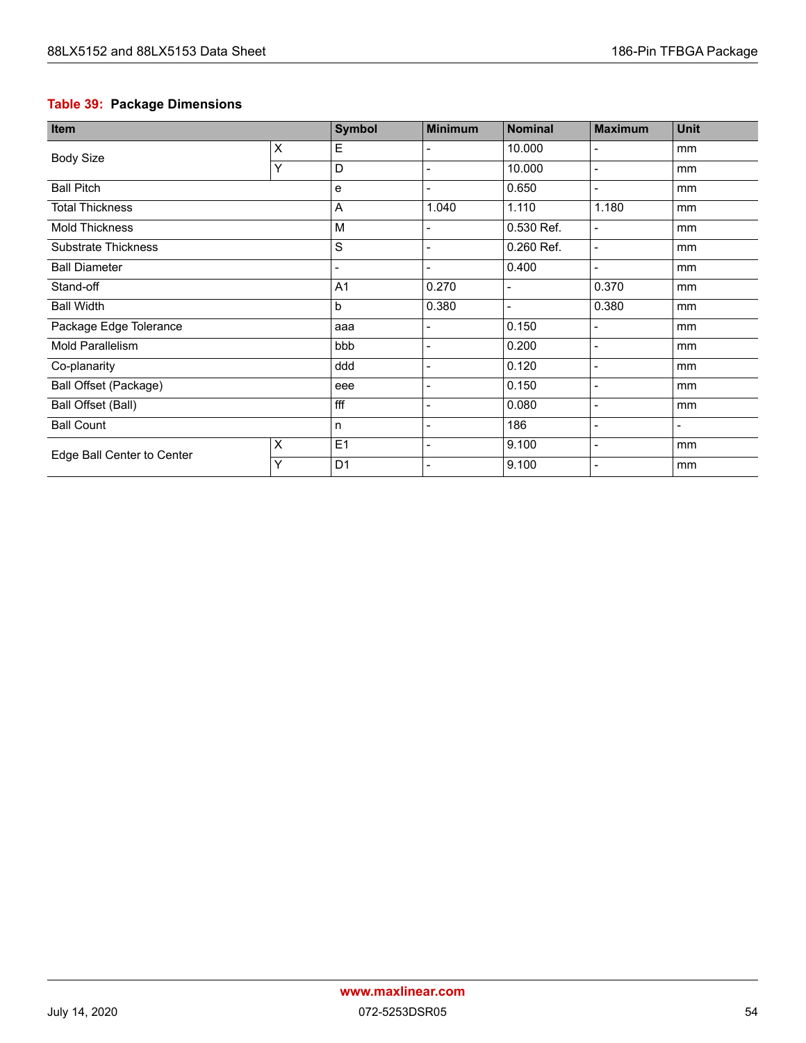### <span id="page-60-0"></span>**Table 39: Package Dimensions**

| Item                       |   | <b>Symbol</b>                | <b>Minimum</b>               | <b>Nominal</b> | <b>Maximum</b>           | <b>Unit</b>    |
|----------------------------|---|------------------------------|------------------------------|----------------|--------------------------|----------------|
| <b>Body Size</b>           | X | E                            |                              | 10.000         |                          | mm             |
|                            | Υ | D                            | $\blacksquare$               | 10.000         | $\overline{\phantom{a}}$ | mm             |
| <b>Ball Pitch</b>          |   | $\mathbf e$                  | $\overline{\phantom{a}}$     | 0.650          | $\overline{\phantom{a}}$ | mm             |
| <b>Total Thickness</b>     |   | $\overline{A}$               | 1.040                        | 1.110          | 1.180                    | mm             |
| <b>Mold Thickness</b>      |   | M                            |                              | 0.530 Ref.     | $\blacksquare$           | mm             |
| <b>Substrate Thickness</b> |   | S                            |                              | 0.260 Ref.     | $\blacksquare$           | mm             |
| <b>Ball Diameter</b>       |   | $\qquad \qquad \blacksquare$ |                              | 0.400          | $\blacksquare$           | mm             |
| Stand-off                  |   | A <sub>1</sub>               | 0.270                        |                | 0.370                    | mm             |
| <b>Ball Width</b>          |   | $\mathsf b$                  | 0.380                        |                | 0.380                    | mm             |
| Package Edge Tolerance     |   | aaa                          |                              | 0.150          | $\overline{\phantom{0}}$ | mm             |
| <b>Mold Parallelism</b>    |   | bbb                          |                              | 0.200          |                          | mm             |
| Co-planarity               |   | ddd                          |                              | 0.120          | $\overline{\phantom{0}}$ | mm             |
| Ball Offset (Package)      |   | eee                          | $\qquad \qquad \blacksquare$ | 0.150          | $\overline{\phantom{a}}$ | mm             |
| <b>Ball Offset (Ball)</b>  |   | fff                          | $\blacksquare$               | 0.080          | $\overline{\phantom{0}}$ | mm             |
| <b>Ball Count</b>          |   | $\mathsf{n}$                 | $\blacksquare$               | 186            | $\blacksquare$           | $\blacksquare$ |
| Edge Ball Center to Center | X | E <sub>1</sub>               |                              | 9.100          | $\overline{\phantom{0}}$ | mm             |
|                            | Υ | D <sub>1</sub>               |                              | 9.100          |                          | mm             |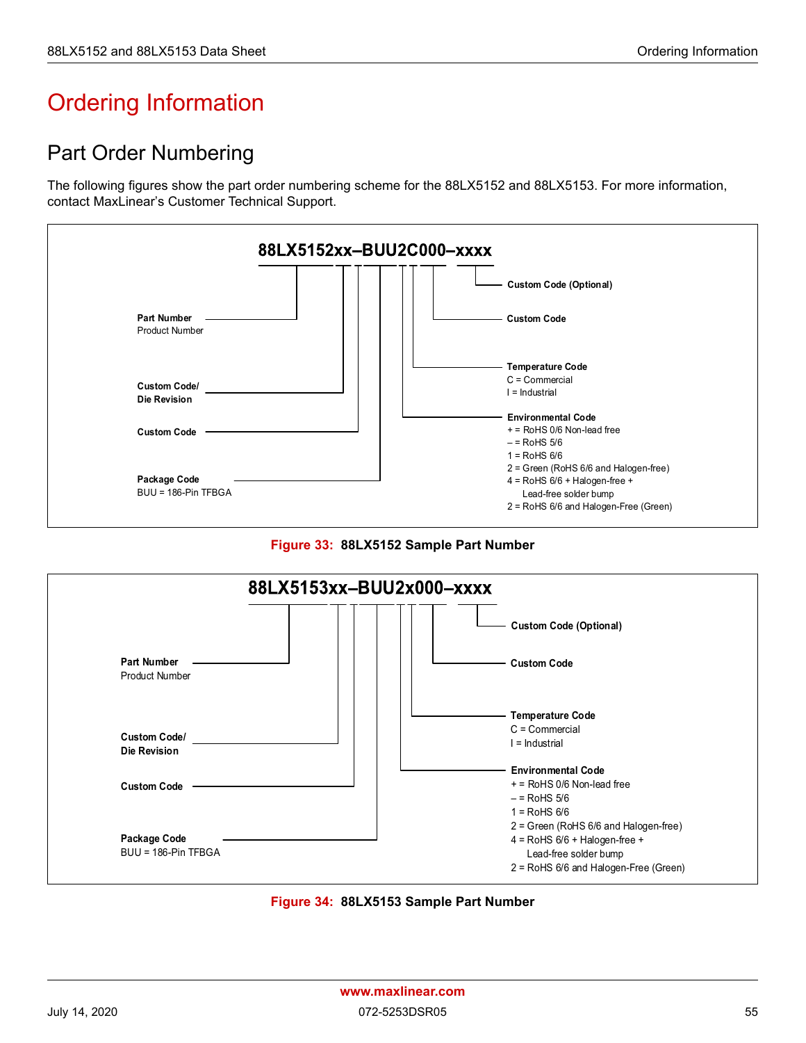# <span id="page-61-0"></span>Ordering Information

## <span id="page-61-1"></span>Part Order Numbering

The following figures show the part order numbering scheme for the 88LX5152 and 88LX5153. For more information, contact MaxLinear's Customer Technical Support.





<span id="page-61-2"></span>

<span id="page-61-3"></span>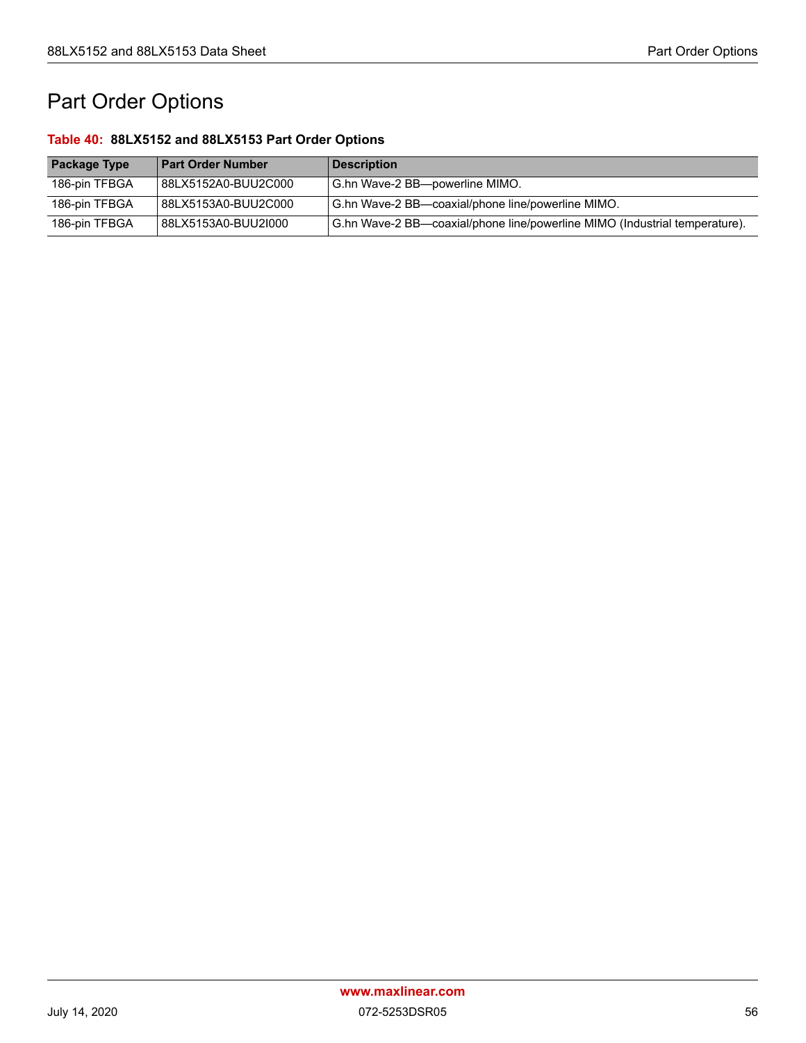# <span id="page-62-0"></span>Part Order Options

#### <span id="page-62-1"></span>**Table 40: 88LX5152 and 88LX5153 Part Order Options**

| <b>Package Type</b> | <b>Part Order Number</b> | Description                                                                |
|---------------------|--------------------------|----------------------------------------------------------------------------|
| 186-pin TFBGA       | 88LX5152A0-BUU2C000      | G.hn Wave-2 BB—powerline MIMO.                                             |
| 186-pin TFBGA       | 88LX5153A0-BUU2C000      | G.hn Wave-2 BB—coaxial/phone line/powerline MIMO.                          |
| 186-pin TFBGA       | 88LX5153A0-BUU2I000      | G.hn Wave-2 BB—coaxial/phone line/powerline MIMO (Industrial temperature). |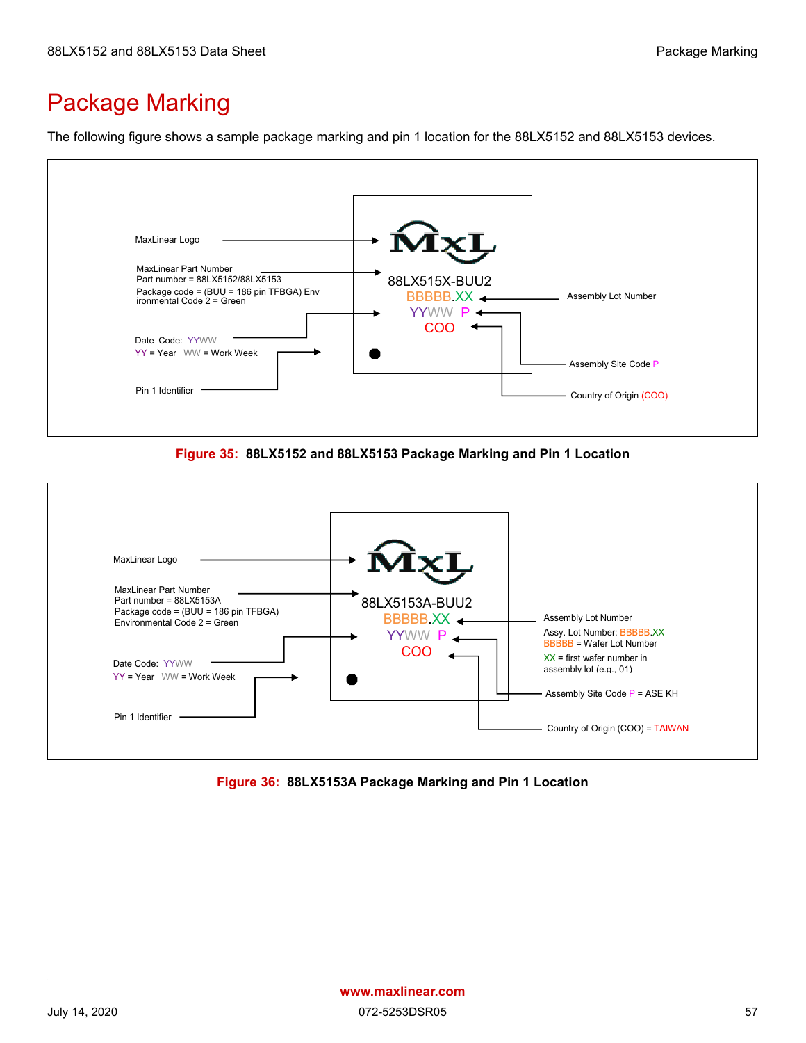# <span id="page-63-0"></span>Package Marking

The following figure shows a sample package marking and pin 1 location for the 88LX5152 and 88LX5153 devices.



**Figure 35: 88LX5152 and 88LX5153 Package Marking and Pin 1 Location**

<span id="page-63-1"></span>

<span id="page-63-2"></span>**Figure 36: 88LX5153A Package Marking and Pin 1 Location**